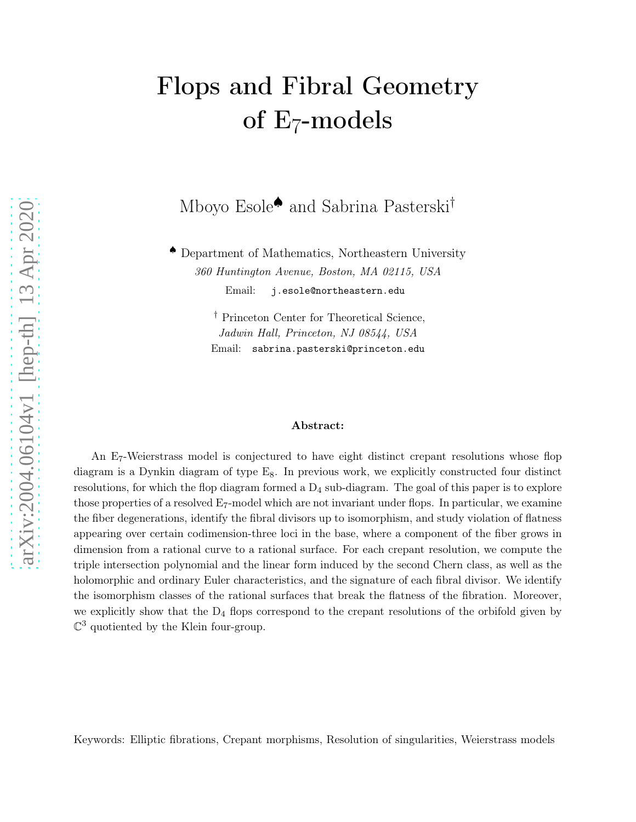# Flops and Fibral Geometry of E7 -models

Mboyo Esole♠ and Sabrina Pasterski†

♠ Department of Mathematics, Northeastern University 360 Huntington Avenue, Boston, MA 02115, USA Email: j.esole@northeastern.edu

> † Princeton Center for Theoretical Science, Jadwin Hall, Princeton, NJ 08544, USA Email: sabrina.pasterski@princeton.edu

#### Abstract:

An E<sub>7</sub>-Weierstrass model is conjectured to have eight distinct crepant resolutions whose flop diagram is a Dynkin diagram of type  $E_8$ . In previous work, we explicitly constructed four distinct resolutions, for which the flop diagram formed a  $D_4$  sub-diagram. The goal of this paper is to explore those properties of a resolved  $E_7$ -model which are not invariant under flops. In particular, we examine the fiber degenerations, identify the fibral divisors up to isomorphism, and study violation of flatness appearing over certain codimension-three loci in the base, where a component of the fiber grows in dimension from a rational curve to a rational surface. For each crepant resolution, we compute the triple intersection polynomial and the linear form induced by the second Chern class, as well as the holomorphic and ordinary Euler characteristics, and the signature of each fibral divisor. We identify the isomorphism classes of the rational surfaces that break the flatness of the fibration. Moreover, we explicitly show that the  $D_4$  flops correspond to the crepant resolutions of the orbifold given by  $\mathbb{C}^3$  quotiented by the Klein four-group.

Keywords: Elliptic fibrations, Crepant morphisms, Resolution of singularities, Weierstrass models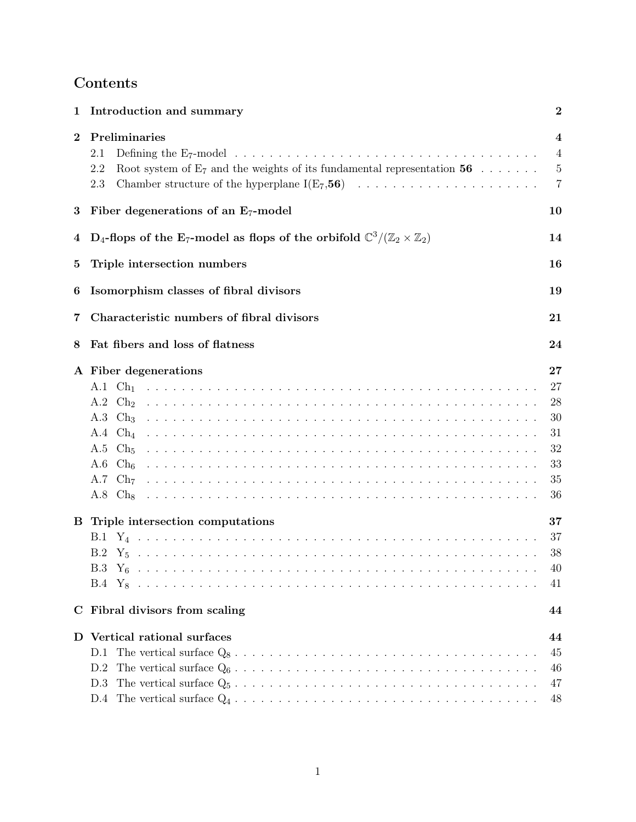## Contents

| 1        | Introduction and summary                                                                                                             | $\bf{2}$                                                         |
|----------|--------------------------------------------------------------------------------------------------------------------------------------|------------------------------------------------------------------|
| $\bf{2}$ | Preliminaries<br>2.1<br>Root system of $E_7$ and the weights of its fundamental representation 56<br>2.2<br>2.3                      | $\overline{\mathbf{4}}$<br>$\overline{4}$<br>5<br>$\overline{7}$ |
| 3        | Fiber degenerations of an $E_7$ -model                                                                                               | 10                                                               |
| 4        | D <sub>4</sub> -flops of the E <sub>7</sub> -model as flops of the orbifold $\mathbb{C}^3/(\mathbb{Z}_2 \times \mathbb{Z}_2)$        | 14                                                               |
| $\bf{5}$ | Triple intersection numbers                                                                                                          | 16                                                               |
| 6        | Isomorphism classes of fibral divisors                                                                                               | 19                                                               |
| 7        | Characteristic numbers of fibral divisors                                                                                            | 21                                                               |
| 8        | Fat fibers and loss of flatness                                                                                                      | 24                                                               |
|          | A Fiber degenerations<br>$A.2 \text{ Ch}_2$<br>$A.5$ Ch <sub>5</sub><br>A.6 $Ch_6$<br>A.7 $\mathrm{Ch}_{7}$<br>$A.8$ Ch <sub>8</sub> | 27<br>27<br>28<br>30<br>31<br>32<br>33<br>35<br>36               |
|          | <b>B</b> Triple intersection computations<br>$B.3 Y_6$                                                                               | 37<br>37<br>38<br>40<br>41                                       |
|          | C Fibral divisors from scaling                                                                                                       | 44                                                               |
|          | D Vertical rational surfaces<br>D.1<br>D.2<br>D.3<br>D.4                                                                             | 44<br>45<br>46<br>47<br>48                                       |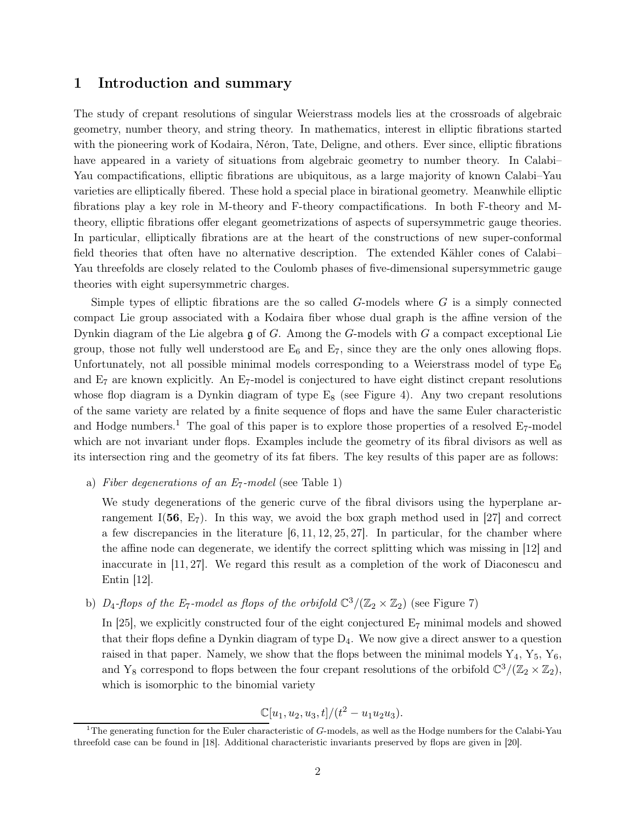#### <span id="page-2-0"></span>1 Introduction and summary

The study of crepant resolutions of singular Weierstrass models lies at the crossroads of algebraic geometry, number theory, and string theory. In mathematics, interest in elliptic fibrations started with the pioneering work of Kodaira, Néron, Tate, Deligne, and others. Ever since, elliptic fibrations have appeared in a variety of situations from algebraic geometry to number theory. In Calabi– Yau compactifications, elliptic fibrations are ubiquitous, as a large majority of known Calabi–Yau varieties are elliptically fibered. These hold a special place in birational geometry. Meanwhile elliptic fibrations play a key role in M-theory and F-theory compactifications. In both F-theory and Mtheory, elliptic fibrations offer elegant geometrizations of aspects of supersymmetric gauge theories. In particular, elliptically fibrations are at the heart of the constructions of new super-conformal field theories that often have no alternative description. The extended Kähler cones of Calabi– Yau threefolds are closely related to the Coulomb phases of five-dimensional supersymmetric gauge theories with eight supersymmetric charges.

Simple types of elliptic fibrations are the so called  $G$ -models where  $G$  is a simply connected compact Lie group associated with a Kodaira fiber whose dual graph is the affine version of the Dynkin diagram of the Lie algebra  $\mathfrak g$  of G. Among the G-models with G a compact exceptional Lie group, those not fully well understood are  $E_6$  and  $E_7$ , since they are the only ones allowing flops. Unfortunately, not all possible minimal models corresponding to a Weierstrass model of type  $E_6$ and  $E_7$  are known explicitly. An  $E_7$ -model is conjectured to have eight distinct crepant resolutions whose flop diagram is a Dynkin diagram of type  $E_8$  (see Figure [4\)](#page-8-0). Any two crepant resolutions of the same variety are related by a finite sequence of flops and have the same Euler characteristic and Hodge numbers.<sup>1</sup> The goal of this paper is to explore those properties of a resolved  $E_7$ -model which are not invariant under flops. Examples include the geometry of its fibral divisors as well as its intersection ring and the geometry of its fat fibers. The key results of this paper are as follows:

a) Fiber degenerations of an  $E_7$ -model (see Table [1\)](#page-11-0)

We study degenerations of the generic curve of the fibral divisors using the hyperplane arrangement I(56,  $E_7$ ). In this way, we avoid the box graph method used in [\[27\]](#page-50-0) and correct a few discrepancies in the literature  $[6, 11, 12, 25, 27]$  $[6, 11, 12, 25, 27]$  $[6, 11, 12, 25, 27]$  $[6, 11, 12, 25, 27]$  $[6, 11, 12, 25, 27]$ . In particular, for the chamber where the affine node can degenerate, we identify the correct splitting which was missing in [\[12\]](#page-49-2) and inaccurate in [\[11,](#page-49-1) [27\]](#page-50-0). We regard this result as a completion of the work of Diaconescu and Entin [\[12\]](#page-49-2).

b) D<sub>4</sub>-flops of the E<sub>7</sub>-model as flops of the orbifold  $\mathbb{C}^3/(\mathbb{Z}_2 \times \mathbb{Z}_2)$  (see Figure [7\)](#page-15-0)

In [\[25\]](#page-50-1), we explicitly constructed four of the eight conjectured  $E_7$  minimal models and showed that their flops define a Dynkin diagram of type  $D_4$ . We now give a direct answer to a question raised in that paper. Namely, we show that the flops between the minimal models  $Y_4, Y_5, Y_6$ , and Y<sub>8</sub> correspond to flops between the four crepant resolutions of the orbifold  $\mathbb{C}^3/(\mathbb{Z}_2 \times \mathbb{Z}_2)$ , which is isomorphic to the binomial variety

$$
\mathbb{C}[u_1, u_2, u_3, t]/(t^2 - u_1 u_2 u_3).
$$

<sup>&</sup>lt;sup>1</sup>The generating function for the Euler characteristic of  $G$ -models, as well as the Hodge numbers for the Calabi-Yau threefold case can be found in [\[18\]](#page-50-2). Additional characteristic invariants preserved by flops are given in [\[20\]](#page-50-3).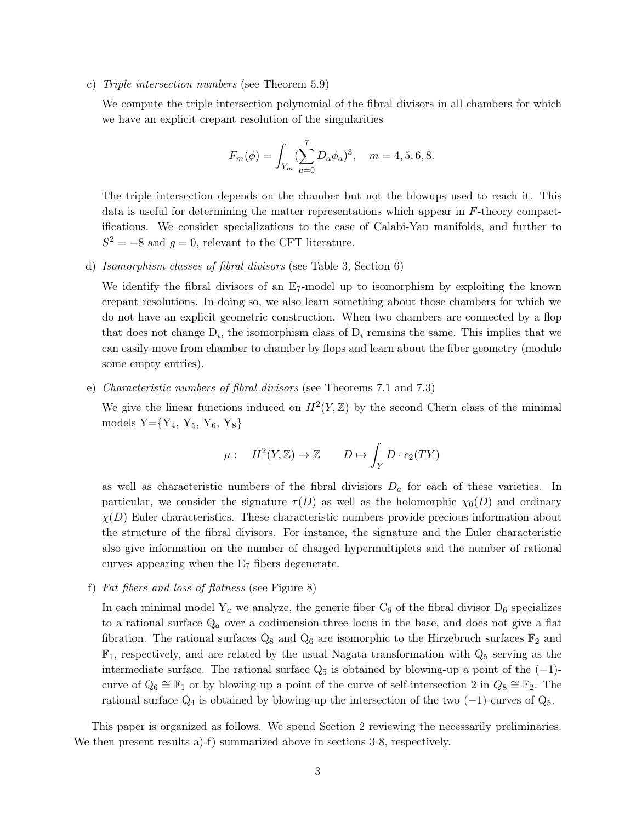c) Triple intersection numbers (see Theorem [5.9\)](#page-18-0)

We compute the triple intersection polynomial of the fibral divisors in all chambers for which we have an explicit crepant resolution of the singularities

$$
F_m(\phi) = \int_{Y_m} (\sum_{a=0}^7 D_a \phi_a)^3, \quad m = 4, 5, 6, 8.
$$

The triple intersection depends on the chamber but not the blowups used to reach it. This data is useful for determining the matter representations which appear in F-theory compactifications. We consider specializations to the case of Calabi-Yau manifolds, and further to  $S^2 = -8$  and  $g = 0$ , relevant to the CFT literature.

d) Isomorphism classes of fibral divisors (see Table [3,](#page-19-1) Section [6\)](#page-19-0)

We identify the fibral divisors of an  $E_7$ -model up to isomorphism by exploiting the known crepant resolutions. In doing so, we also learn something about those chambers for which we do not have an explicit geometric construction. When two chambers are connected by a flop that does not change  $D_i$ , the isomorphism class of  $D_i$  remains the same. This implies that we can easily move from chamber to chamber by flops and learn about the fiber geometry (modulo some empty entries).

e) Characteristic numbers of fibral divisors (see Theorems [7.1](#page-22-0) and [7.3\)](#page-23-0)

We give the linear functions induced on  $H^2(Y,\mathbb{Z})$  by the second Chern class of the minimal models  $Y = \{Y_4, Y_5, Y_6, Y_8\}$ 

$$
\mu: \quad H^2(Y, \mathbb{Z}) \to \mathbb{Z} \qquad D \mapsto \int_Y D \cdot c_2(TY)
$$

as well as characteristic numbers of the fibral divisiors  $D_a$  for each of these varieties. In particular, we consider the signature  $\tau(D)$  as well as the holomorphic  $\chi_0(D)$  and ordinary  $\chi(D)$  Euler characteristics. These characteristic numbers provide precious information about the structure of the fibral divisors. For instance, the signature and the Euler characteristic also give information on the number of charged hypermultiplets and the number of rational curves appearing when the  $E<sub>7</sub>$  fibers degenerate.

f) Fat fibers and loss of flatness (see Figure [8\)](#page-25-0)

In each minimal model  $Y_a$  we analyze, the generic fiber  $C_6$  of the fibral divisor  $D_6$  specializes to a rational surface  $Q_a$  over a codimension-three locus in the base, and does not give a flat fibration. The rational surfaces  $Q_8$  and  $Q_6$  are isomorphic to the Hirzebruch surfaces  $\mathbb{F}_2$  and  $\mathbb{F}_1$ , respectively, and are related by the usual Nagata transformation with  $Q_5$  serving as the intermediate surface. The rational surface  $Q_5$  is obtained by blowing-up a point of the  $(-1)$ curve of  $Q_6 \cong \mathbb{F}_1$  or by blowing-up a point of the curve of self-intersection 2 in  $Q_8 \cong \mathbb{F}_2$ . The rational surface  $Q_4$  is obtained by blowing-up the intersection of the two  $(-1)$ -curves of  $Q_5$ .

This paper is organized as follows. We spend Section 2 reviewing the necessarily preliminaries. We then present results a)-f) summarized above in sections 3-8, respectively.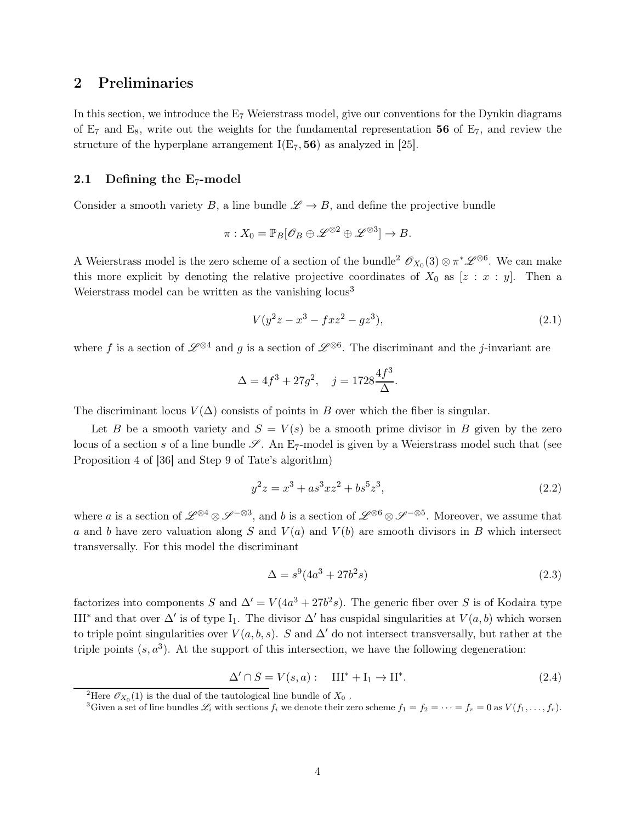## <span id="page-4-0"></span>2 Preliminaries

In this section, we introduce the  $E_7$  Weierstrass model, give our conventions for the Dynkin diagrams of  $E_7$  and  $E_8$ , write out the weights for the fundamental representation 56 of  $E_7$ , and review the structure of the hyperplane arrangement  $I(E_7, 56)$  as analyzed in [\[25\]](#page-50-1).

#### <span id="page-4-1"></span>2.1 Defining the  $E_7$ -model

Consider a smooth variety B, a line bundle  $\mathscr{L} \to B$ , and define the projective bundle

$$
\pi: X_0 = \mathbb{P}_B[\mathscr{O}_B \oplus \mathscr{L}^{\otimes 2} \oplus \mathscr{L}^{\otimes 3}] \to B.
$$

A Weierstrass model is the zero scheme of a section of the bundle<sup>2</sup>  $\mathscr{O}_{X_0}(3) \otimes \pi^* \mathscr{L}^{\otimes 6}$ . We can make this more explicit by denoting the relative projective coordinates of  $X_0$  as  $[z : x : y]$ . Then a Weierstrass model can be written as the vanishing locus<sup>3</sup>

$$
V(y^2z - x^3 - fxz^2 - gz^3), \t\t(2.1)
$$

where f is a section of  $\mathscr{L}^{\otimes 4}$  and g is a section of  $\mathscr{L}^{\otimes 6}$ . The discriminant and the j-invariant are

$$
\Delta = 4f^3 + 27g^2, \quad j = 1728 \frac{4f^3}{\Delta}.
$$

The discriminant locus  $V(\Delta)$  consists of points in B over which the fiber is singular.

Let B be a smooth variety and  $S = V(s)$  be a smooth prime divisor in B given by the zero locus of a section s of a line bundle  $\mathscr{S}$ . An E<sub>7</sub>-model is given by a Weierstrass model such that (see Proposition 4 of [\[36\]](#page-51-0) and Step 9 of Tate's algorithm)

<span id="page-4-2"></span>
$$
y^2 z = x^3 + a s^3 x z^2 + b s^5 z^3,
$$
\n(2.2)

where a is a section of  $\mathscr{L}^{\otimes 4} \otimes \mathscr{S}^{-\otimes 3}$ , and b is a section of  $\mathscr{L}^{\otimes 6} \otimes \mathscr{S}^{-\otimes 5}$ . Moreover, we assume that a and b have zero valuation along S and  $V(a)$  and  $V(b)$  are smooth divisors in B which intersect transversally. For this model the discriminant

$$
\Delta = s^9 (4a^3 + 27b^2 s) \tag{2.3}
$$

factorizes into components S and  $\Delta' = V(4a^3 + 27b^2s)$ . The generic fiber over S is of Kodaira type III<sup>\*</sup> and that over  $\Delta'$  is of type I<sub>1</sub>. The divisor  $\Delta'$  has cuspidal singularities at  $V(a, b)$  which worsen to triple point singularities over  $V(a, b, s)$ . S and  $\Delta'$  do not intersect transversally, but rather at the triple points  $(s, a^3)$ . At the support of this intersection, we have the following degeneration:

$$
\Delta' \cap S = V(s, a): \quad \text{III}^* + \text{I}_1 \to \text{II}^*.
$$
\n
$$
(2.4)
$$

<sup>&</sup>lt;sup>2</sup>Here  $\mathscr{O}_{X_0}(1)$  is the dual of the tautological line bundle of  $X_0$ .

<sup>&</sup>lt;sup>3</sup>Given a set of line bundles  $\mathscr{L}_i$  with sections  $f_i$  we denote their zero scheme  $f_1 = f_2 = \cdots = f_r = 0$  as  $V(f_1, \ldots, f_r)$ .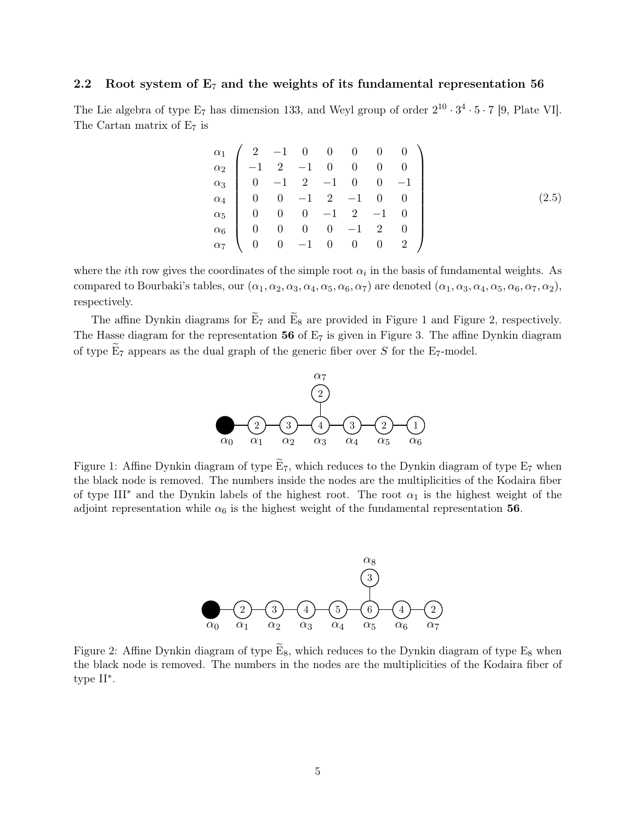#### <span id="page-5-0"></span>2.2 Root system of  $E_7$  and the weights of its fundamental representation 56

The Lie algebra of type  $E_7$  has dimension 133, and Weyl group of order  $2^{10} \cdot 3^4 \cdot 5 \cdot 7$  [\[9,](#page-49-3) Plate VI]. The Cartan matrix of  $E_7$  is

$$
\begin{array}{c}\n\alpha_1 \\
\alpha_2 \\
\alpha_3 \\
\alpha_4 \\
\alpha_5 \\
\alpha_6 \\
\alpha_7\n\end{array}\n\begin{pmatrix}\n2 & -1 & 0 & 0 & 0 & 0 & 0 \\
-1 & 2 & -1 & 0 & 0 & 0 \\
0 & -1 & 2 & -1 & 0 & 0 \\
0 & 0 & -1 & 2 & -1 & 0 \\
0 & 0 & 0 & -1 & 2 & -1 & 0 \\
0 & 0 & 0 & 0 & -1 & 2 & 0 \\
0 & 0 & -1 & 0 & 0 & 0 & 2\n\end{pmatrix}
$$
\n(2.5)

where the *i*th row gives the coordinates of the simple root  $\alpha_i$  in the basis of fundamental weights. As compared to Bourbaki's tables, our  $(\alpha_1, \alpha_2, \alpha_3, \alpha_4, \alpha_5, \alpha_6, \alpha_7)$  are denoted  $(\alpha_1, \alpha_3, \alpha_4, \alpha_5, \alpha_6, \alpha_7, \alpha_2)$ , respectively.

<span id="page-5-1"></span>The affine Dynkin diagrams for  $E_7$  and  $E_8$  are provided in Figure [1](#page-5-1) and Figure [2,](#page-5-2) respectively. The Hasse diagram for the representation  $56$  of  $E<sub>7</sub>$  is given in Figure [3.](#page-6-0) The affine Dynkin diagram of type  $E_7$  appears as the dual graph of the generic fiber over S for the E<sub>7</sub>-model.



<span id="page-5-2"></span>Figure 1: Affine Dynkin diagram of type  $\widetilde{E}_7$ , which reduces to the Dynkin diagram of type  $E_7$  when the black node is removed. The numbers inside the nodes are the multiplicities of the Kodaira fiber of type III<sup>\*</sup> and the Dynkin labels of the highest root. The root  $\alpha_1$  is the highest weight of the adjoint representation while  $\alpha_6$  is the highest weight of the fundamental representation 56.



Figure 2: Affine Dynkin diagram of type  $\widetilde{E}_8$ , which reduces to the Dynkin diagram of type  $E_8$  when the black node is removed. The numbers in the nodes are the multiplicities of the Kodaira fiber of type II<sup>∗</sup> .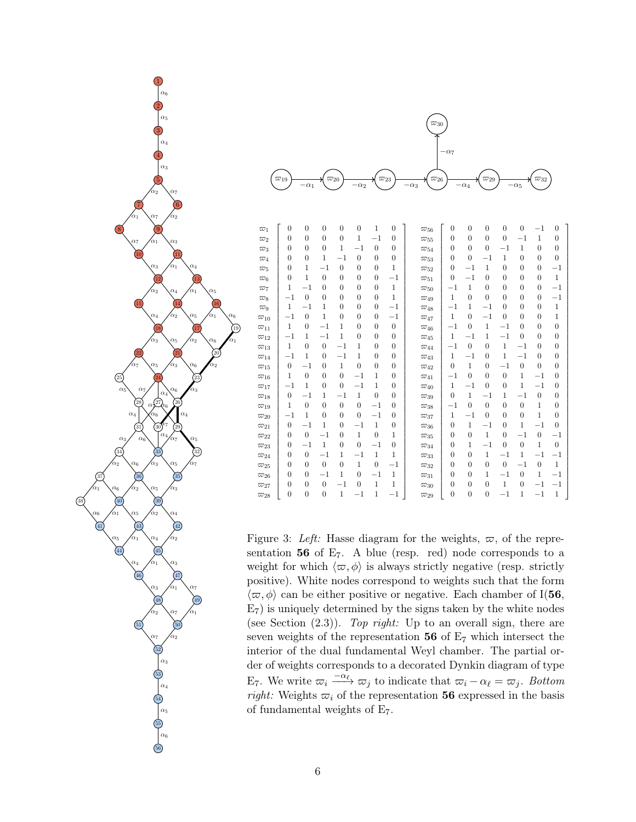<span id="page-6-0"></span>

56



| $\overline{\omega}_1$    | $\overline{0}$   | $\theta$         | $\overline{0}$ | $\theta$       | $\boldsymbol{0}$ | 1                | $\overline{0}$   | $\overline{\omega}_{56}$ | $\theta$         | $\theta$         | $\overline{0}$   | $\overline{0}$   | $\overline{0}$   | $^{-1}$          | $\overline{0}$   |
|--------------------------|------------------|------------------|----------------|----------------|------------------|------------------|------------------|--------------------------|------------------|------------------|------------------|------------------|------------------|------------------|------------------|
| $\varpi_2$               | $\overline{0}$   | $\theta$         | $\overline{0}$ | $\overline{0}$ | $\mathbf{1}$     | $^{-1}$          | $\boldsymbol{0}$ | $\varpi_{55}$            | $\overline{0}$   | $\overline{0}$   | $\overline{0}$   | $\overline{0}$   | $^{-1}$          | $\mathbf{1}$     | $\overline{0}$   |
| $\varpi_3$               | $\theta$         | $\theta$         | $\overline{0}$ | 1              | $^{-1}$          | $\overline{0}$   | $\boldsymbol{0}$ | $\varpi_{54}$            | $\theta$         | $\overline{0}$   | $\overline{0}$   | $^{-1}$          | $\mathbf{1}$     | $\overline{0}$   | $\boldsymbol{0}$ |
| $\varpi_4$               | $\overline{0}$   | $\theta$         | $\mathbf{1}$   | $^{-1}$        | $\boldsymbol{0}$ | $\overline{0}$   | $\boldsymbol{0}$ | $\overline{\omega}_{53}$ | $\overline{0}$   | $\overline{0}$   | $^{-1}$          | $\mathbf{1}$     | $\overline{0}$   | $\boldsymbol{0}$ | $\overline{0}$   |
| $\varpi_5$               | $\overline{0}$   | 1                | $^{-1}$        | $\mathbf{0}$   | $\overline{0}$   | $\overline{0}$   | 1                | $\varpi_{52}$            | $\overline{0}$   | $^{-1}$          | $\mathbf{1}$     | $\theta$         | $\overline{0}$   | $\boldsymbol{0}$ | $^{-1}$          |
| $\varpi_6$               | $\theta$         | $\mathbf{1}$     | $\overline{0}$ | $\theta$       | $\mathbf{0}$     | $\mathbf{0}$     | $^{-1}$          | $\varpi_{51}$            | $\boldsymbol{0}$ | $^{-1}$          | $\overline{0}$   | $\overline{0}$   | $\overline{0}$   | $\boldsymbol{0}$ | $\mathbf{1}$     |
| $\varpi_7$               | 1                | $^{-1}$          | $\overline{0}$ | $\mathbf{0}$   | $\mathbf{0}$     | $\mathbf{0}$     | 1                | $\varpi_{50}$            | $^{-1}$          | $\mathbf{1}$     | $\overline{0}$   | $\theta$         | $\overline{0}$   | $\boldsymbol{0}$ | $^{-1}$          |
| $\varpi_8$               | $^{-1}$          | $\boldsymbol{0}$ | $\overline{0}$ | $\theta$       | $\boldsymbol{0}$ | $\mathbf{0}$     | 1                | $\varpi_{49}$            | 1                | $\overline{0}$   | $\overline{0}$   | $\theta$         | $\overline{0}$   | $\boldsymbol{0}$ | $^{-1}$          |
| $\varpi_9$               | $\mathbf{1}$     | $^{-1}$          | $\mathbf{1}$   | $\theta$       | $\theta$         | $\boldsymbol{0}$ | $^{-1}$          | $\varpi_{48}$            | $^{-1}$          | 1                | $^{-1}$          | $\theta$         | $\theta$         | $\theta$         | $\,1$            |
| $\varpi_{10}$            | $^{-1}$          | $\mathbf{0}$     | 1              | $\mathbf{0}$   | $\boldsymbol{0}$ | $\overline{0}$   | $^{-1}$          | $\varpi_{47}$            | 1                | $\boldsymbol{0}$ | $^{-1}$          | $\overline{0}$   | $\overline{0}$   | $\boldsymbol{0}$ | $\mathbf{1}$     |
| $\overline{\omega}_{11}$ | $\mathbf{1}$     | $\overline{0}$   | $^{-1}$        | 1              | $\overline{0}$   | $\theta$         | $\mathbf{0}$     | $\overline{\omega}_{46}$ | $^{-1}$          | $\overline{0}$   | $\mathbf{1}$     | $^{-1}$          | $\overline{0}$   | $\overline{0}$   | $\boldsymbol{0}$ |
| $\varpi_{12}$            | $^{-1}$          | $\mathbf{1}$     | $-1$           | $\mathbf{1}$   | $\mathbf{0}$     | $\mathbf{0}$     | $\boldsymbol{0}$ | $\varpi_{45}$            | 1                | $^{-1}$          | $\mathbf{1}$     | $-1$             | $\overline{0}$   | $\overline{0}$   | $\boldsymbol{0}$ |
| $\varpi_{13}$            | $\mathbf{1}$     | $\theta$         | $\overline{0}$ | $^{-1}$        | 1                | $\overline{0}$   | $\boldsymbol{0}$ | $\varpi_{44}$            | $^{-1}$          | $\theta$         | $\overline{0}$   | $\mathbf{1}$     | $^{-1}$          | $\theta$         | $\boldsymbol{0}$ |
| $\overline{\omega}_{14}$ | $^{-1}$          | 1                | $\overline{0}$ | $^{-1}$        | 1                | $\theta$         | $\mathbf{0}$     | $\varpi_{43}$            | 1                | $^{-1}$          | $\overline{0}$   | $\mathbf{1}$     | $^{-1}$          | $\overline{0}$   | $\boldsymbol{0}$ |
| $\varpi_{15}$            | $\mathbf{0}$     | $^{-1}$          | $\overline{0}$ | $\mathbf{1}$   | $\boldsymbol{0}$ | $\mathbf{0}$     | $\mathbf{0}$     | $\varpi_{42}$            | $\boldsymbol{0}$ | $\mathbf{1}$     | $\boldsymbol{0}$ | $^{-1}$          | $\boldsymbol{0}$ | $\overline{0}$   | $\boldsymbol{0}$ |
| $\overline{\omega}_{16}$ | 1                | $\mathbf{0}$     | $\overline{0}$ | $\mathbf{0}$   | $^{-1}$          | 1                | $\boldsymbol{0}$ | $\varpi_{41}$            | $^{-1}$          | $\boldsymbol{0}$ | $\overline{0}$   | $\boldsymbol{0}$ | $\mathbf{1}$     | $^{-1}$          | $\boldsymbol{0}$ |
| $\varpi_{17}$            | $^{-1}$          | 1                | $\overline{0}$ | $\theta$       | $^{-1}$          | 1                | $\boldsymbol{0}$ | $\varpi_{40}$            | $\mathbf{1}$     | $^{-1}$          | $\overline{0}$   | $\theta$         | $\mathbf{1}$     | $^{-1}$          | $\boldsymbol{0}$ |
| $\overline{\omega}_{18}$ | $\mathbf{0}$     | $^{-1}$          | 1              | $^{-1}$        | $\mathbf{1}$     | $\mathbf{0}$     | $\boldsymbol{0}$ | $\varpi_{39}$            | $\boldsymbol{0}$ | $\mathbf{1}$     | $^{-1}$          | $\mathbf{1}$     | $^{-1}$          | $\boldsymbol{0}$ | $\boldsymbol{0}$ |
| $\varpi_{19}$            | 1                | $\theta$         | $\overline{0}$ | $\mathbf{0}$   | $\boldsymbol{0}$ | $^{-1}$          | $\mathbf{0}$     | $\varpi_{38}$            | $^{-1}$          | $\overline{0}$   | $\overline{0}$   | $\theta$         | $\overline{0}$   | $\mathbf{1}$     | $\boldsymbol{0}$ |
| $\varpi_{20}$            | $^{-1}$          | 1                | $\overline{0}$ | $\mathbf{0}$   | $\boldsymbol{0}$ | $^{-1}$          | $\boldsymbol{0}$ | $\varpi_{37}$            | 1                | $^{-1}$          | $\overline{0}$   | $\theta$         | $\overline{0}$   | $\mathbf{1}$     | $\boldsymbol{0}$ |
| $\varpi_{21}$            | $\mathbf{0}$     | $^{-1}$          | $\mathbf{1}$   | $\mathbf{0}$   | $^{-1}$          | $\,1$            | $\boldsymbol{0}$ | $\varpi_{36}$            | $\theta$         | $\mathbf{1}$     | $^{-1}$          | $\overline{0}$   | $1\,$            | $^{-1}$          | $\boldsymbol{0}$ |
| $\varpi_{22}$            | $\overline{0}$   | $\overline{0}$   | $^{-1}$        | $\mathbf{0}$   | 1                | $\boldsymbol{0}$ | 1                | $\varpi_{35}$            | $\overline{0}$   | $\overline{0}$   | $\mathbf{1}$     | $\theta$         | $^{-1}$          | $\boldsymbol{0}$ | $^{-1}$          |
| $\varpi_{23}$            | $\overline{0}$   | $^{-1}$          | $\mathbf{1}$   | $\mathbf{0}$   | $\boldsymbol{0}$ | $^{-1}$          | $\boldsymbol{0}$ | $\varpi_{34}$            | $\overline{0}$   | 1                | $^{-1}$          | $\overline{0}$   | $\boldsymbol{0}$ | $\mathbf{1}$     | $\boldsymbol{0}$ |
| $\varpi_{24}$            | $\theta$         | $\boldsymbol{0}$ | $-1$           | 1              | $-1$             | $\,1$            | 1                | $\varpi_{33}$            | $\overline{0}$   | $\overline{0}$   | $\mathbf{1}$     | $^{-1}$          | $1\,$            | $^{-1}$          | $^{-1}$          |
| $\varpi_{25}$            | $\overline{0}$   | $\theta$         | $\theta$       | $\mathbf{0}$   | 1                | $\boldsymbol{0}$ | $^{-1}$          | $\varpi_{32}$            | $\theta$         | $\overline{0}$   | $\overline{0}$   | $\boldsymbol{0}$ | $^{-1}$          | $\boldsymbol{0}$ | $\mathbf{1}$     |
| $\varpi_{26}$            | $\Omega$         | $\theta$         | $^{-1}$        | 1              | $\boldsymbol{0}$ | $^{-1}$          | 1                | $\varpi_{31}$            | $\overline{0}$   | $\overline{0}$   | $\mathbf{1}$     | $^{-1}$          | $\boldsymbol{0}$ | 1                | $^{-1}$          |
| $\varpi_{27}$            | $\boldsymbol{0}$ | $\mathbf{0}$     | $\mathbf{0}$   | $^{-1}$        | $\boldsymbol{0}$ | $\,1$            | 1                | $\varpi_{30}$            | $\boldsymbol{0}$ | $\overline{0}$   | $\boldsymbol{0}$ | $\mathbf{1}$     | $\boldsymbol{0}$ | $^{-1}$          | $^{-1}$          |
| $\varpi_{28}$            | $\boldsymbol{0}$ | $\mathbf{0}$     | $\overline{0}$ | $\mathbf 1$    | $^{-1}$          | $\mathbf{1}$     | $^{-1}$          | $\varpi_{29}$            | $\theta$         | $\overline{0}$   | $\overline{0}$   | $^{-1}$          | 1                | $^{-1}$          | $\mathbf{1}$     |

Figure 3: Left: Hasse diagram for the weights,  $\varpi$ , of the representation  $56$  of  $E_7$ . A blue (resp. red) node corresponds to a weight for which  $\langle \varpi, \phi \rangle$  is always strictly negative (resp. strictly positive). White nodes correspond to weights such that the form  $\langle \varpi, \phi \rangle$  can be either positive or negative. Each chamber of I(56,  $E_7$ ) is uniquely determined by the signs taken by the white nodes (see Section  $(2.3)$ ). Top right: Up to an overall sign, there are seven weights of the representation  $56$  of  $E<sub>7</sub>$  which intersect the interior of the dual fundamental Weyl chamber. The partial order of weights corresponds to a decorated Dynkin diagram of type E<sub>7</sub>. We write  $\varpi_i \xrightarrow{-\alpha_\ell} \varpi_j$  to indicate that  $\varpi_i - \alpha_\ell = \varpi_j$ . Bottom right: Weights  $\varpi_i$  of the representation 56 expressed in the basis of fundamental weights of E7.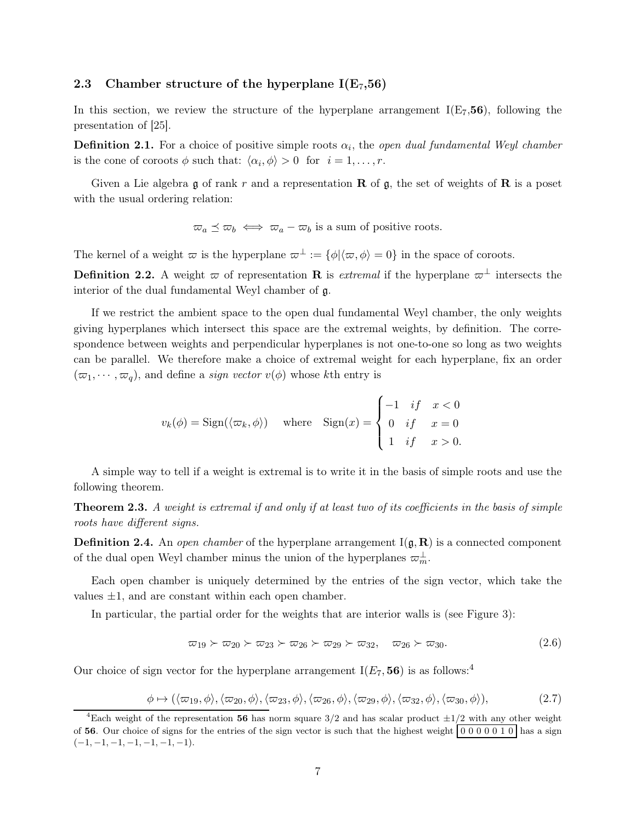#### <span id="page-7-0"></span>2.3 Chamber structure of the hyperplane  $I(E_7,56)$

In this section, we review the structure of the hyperplane arrangement  $I(E_7,56)$ , following the presentation of [\[25\]](#page-50-1).

**Definition 2.1.** For a choice of positive simple roots  $\alpha_i$ , the *open dual fundamental Weyl chamber* is the cone of coroots  $\phi$  such that:  $\langle \alpha_i, \phi \rangle > 0$  for  $i = 1, \dots, r$ .

Given a Lie algebra  $\frak{g}$  of rank r and a representation **R** of  $\frak{g}$ , the set of weights of **R** is a poset with the usual ordering relation:

 $\overline{\omega}_a \preceq \overline{\omega}_b \iff \overline{\omega}_a - \overline{\omega}_b$  is a sum of positive roots.

The kernel of a weight  $\varpi$  is the hyperplane  $\varpi^{\perp} := {\varphi | \langle \varpi, \phi \rangle = 0}$  in the space of coroots.

**Definition 2.2.** A weight  $\varpi$  of representation **R** is *extremal* if the hyperplane  $\varpi^{\perp}$  intersects the interior of the dual fundamental Weyl chamber of g.

If we restrict the ambient space to the open dual fundamental Weyl chamber, the only weights giving hyperplanes which intersect this space are the extremal weights, by definition. The correspondence between weights and perpendicular hyperplanes is not one-to-one so long as two weights can be parallel. We therefore make a choice of extremal weight for each hyperplane, fix an order  $(\varpi_1, \dots, \varpi_q)$ , and define a *sign vector*  $v(\phi)$  whose kth entry is

$$
v_k(\phi) = \text{Sign}(\langle \varpi_k, \phi \rangle) \quad \text{where} \quad \text{Sign}(x) = \begin{cases} -1 & \text{if} \quad x < 0 \\ 0 & \text{if} \quad x = 0 \\ 1 & \text{if} \quad x > 0. \end{cases}
$$

A simple way to tell if a weight is extremal is to write it in the basis of simple roots and use the following theorem.

**Theorem 2.3.** A weight is extremal if and only if at least two of its coefficients in the basis of simple roots have different signs.

**Definition 2.4.** An *open chamber* of the hyperplane arrangement  $I(\mathfrak{g}, \mathbf{R})$  is a connected component of the dual open Weyl chamber minus the union of the hyperplanes  $\varpi_m^{\perp}$ .

Each open chamber is uniquely determined by the entries of the sign vector, which take the values  $\pm 1$ , and are constant within each open chamber.

In particular, the partial order for the weights that are interior walls is (see Figure [3\)](#page-6-0):

$$
\varpi_{19} \succ \varpi_{20} \succ \varpi_{23} \succ \varpi_{26} \succ \varpi_{29} \succ \varpi_{32}, \quad \varpi_{26} \succ \varpi_{30}.
$$
\n
$$
(2.6)
$$

Our choice of sign vector for the hyperplane arrangement  $I(E_7, 56)$  is as follows:<sup>4</sup>

<span id="page-7-1"></span>
$$
\phi \mapsto (\langle \varpi_{19}, \phi \rangle, \langle \varpi_{20}, \phi \rangle, \langle \varpi_{23}, \phi \rangle, \langle \varpi_{26}, \phi \rangle, \langle \varpi_{29}, \phi \rangle, \langle \varpi_{32}, \phi \rangle, \langle \varpi_{30}, \phi \rangle), \tag{2.7}
$$

<sup>&</sup>lt;sup>4</sup>Each weight of the representation 56 has norm square  $3/2$  and has scalar product  $\pm 1/2$  with any other weight of 56. Our choice of signs for the entries of the sign vector is such that the highest weight  $0\ 0\ 0\ 0\ 1\ 0$  has a sign  $(-1, -1, -1, -1, -1, -1, -1).$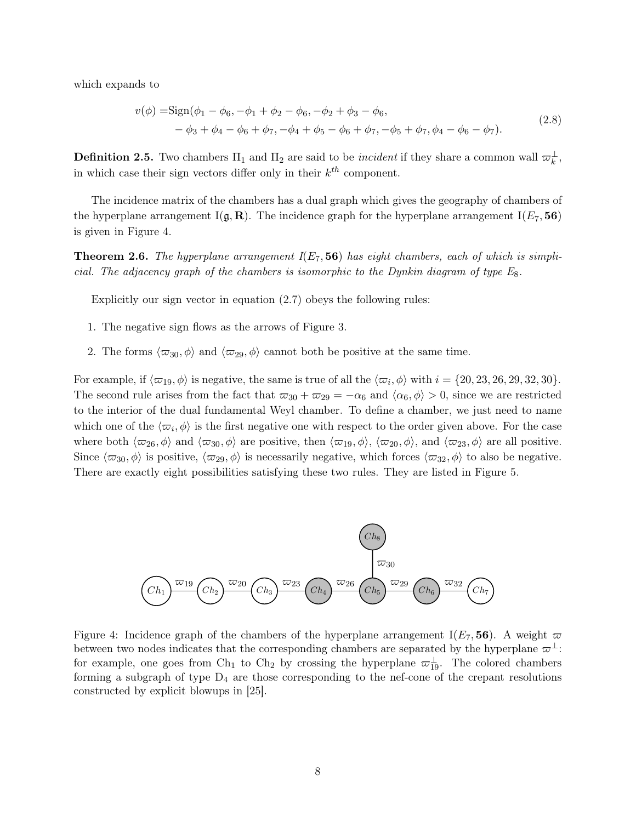which expands to

$$
v(\phi) = \text{Sign}(\phi_1 - \phi_6, -\phi_1 + \phi_2 - \phi_6, -\phi_2 + \phi_3 - \phi_6, -\phi_4 + \phi_5 - \phi_6 + \phi_7, -\phi_5 + \phi_7, \phi_4 - \phi_6 - \phi_7).
$$
\n(2.8)

**Definition 2.5.** Two chambers  $\Pi_1$  and  $\Pi_2$  are said to be *incident* if they share a common wall  $\varpi_k^{\perp}$ , in which case their sign vectors differ only in their  $k^{th}$  component.

The incidence matrix of the chambers has a dual graph which gives the geography of chambers of the hyperplane arrangement I( $\mathfrak{g}, \mathbf{R}$ ). The incidence graph for the hyperplane arrangement I( $E_7$ , 56) is given in Figure [4.](#page-8-0)

**Theorem 2.6.** The hyperplane arrangement  $I(E_7, 56)$  has eight chambers, each of which is simplicial. The adjacency graph of the chambers is isomorphic to the Dynkin diagram of type  $E_8$ .

Explicitly our sign vector in equation [\(2.7\)](#page-7-1) obeys the following rules:

- 1. The negative sign flows as the arrows of Figure [3.](#page-6-0)
- 2. The forms  $\langle \varpi_{30}, \phi \rangle$  and  $\langle \varpi_{29}, \phi \rangle$  cannot both be positive at the same time.

For example, if  $\langle \varpi_{19}, \phi \rangle$  is negative, the same is true of all the  $\langle \varpi_i, \phi \rangle$  with  $i = \{20, 23, 26, 29, 32, 30\}.$ The second rule arises from the fact that  $\overline{\omega}_{30} + \overline{\omega}_{29} = -\alpha_6$  and  $\langle \alpha_6, \phi \rangle > 0$ , since we are restricted to the interior of the dual fundamental Weyl chamber. To define a chamber, we just need to name which one of the  $\langle \varpi_i, \phi \rangle$  is the first negative one with respect to the order given above. For the case where both  $\langle \varpi_{26}, \phi \rangle$  and  $\langle \varpi_{30}, \phi \rangle$  are positive, then  $\langle \varpi_{19}, \phi \rangle$ ,  $\langle \varpi_{20}, \phi \rangle$ , and  $\langle \varpi_{23}, \phi \rangle$  are all positive. Since  $\langle \varpi_{30}, \phi \rangle$  is positive,  $\langle \varpi_{29}, \phi \rangle$  is necessarily negative, which forces  $\langle \varpi_{32}, \phi \rangle$  to also be negative. There are exactly eight possibilities satisfying these two rules. They are listed in Figure [5.](#page-9-0)

<span id="page-8-0"></span>

Figure 4: Incidence graph of the chambers of the hyperplane arrangement  $I(E_7, 56)$ . A weight  $\varpi$ between two nodes indicates that the corresponding chambers are separated by the hyperplane  $\varpi^{\perp}$ : for example, one goes from Ch<sub>1</sub> to Ch<sub>2</sub> by crossing the hyperplane  $\varpi_{19}^{\perp}$ . The colored chambers forming a subgraph of type  $D_4$  are those corresponding to the nef-cone of the crepant resolutions constructed by explicit blowups in [\[25\]](#page-50-1).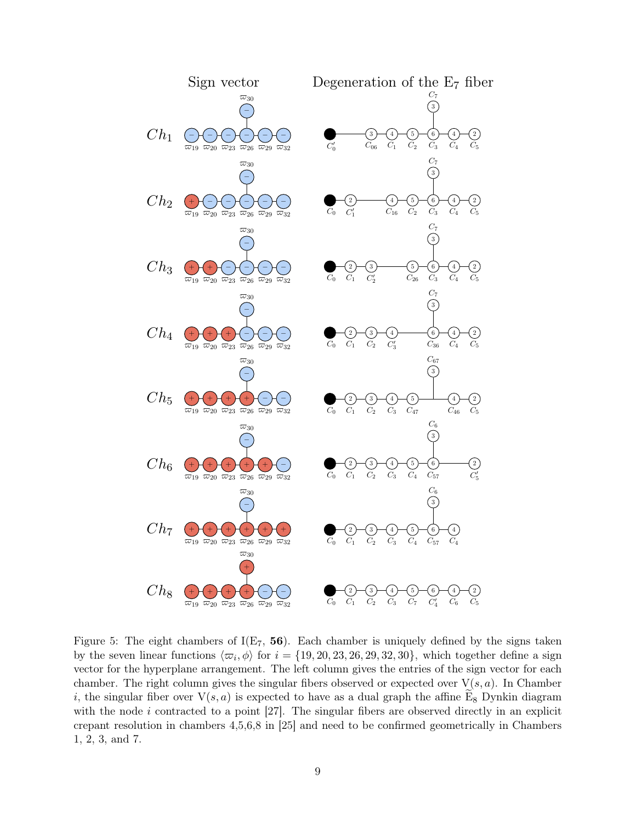<span id="page-9-0"></span>

Figure 5: The eight chambers of  $I(E_7, 56)$ . Each chamber is uniquely defined by the signs taken by the seven linear functions  $\langle \varpi_i, \phi \rangle$  for  $i = \{19, 20, 23, 26, 29, 32, 30\}$ , which together define a sign vector for the hyperplane arrangement. The left column gives the entries of the sign vector for each chamber. The right column gives the singular fibers observed or expected over  $V(s, a)$ . In Chamber i, the singular fiber over  $V(s, a)$  is expected to have as a dual graph the affine E<sub>8</sub> Dynkin diagram with the node  $i$  contracted to a point [\[27\]](#page-50-0). The singular fibers are observed directly in an explicit crepant resolution in chambers 4,5,6,8 in [\[25\]](#page-50-1) and need to be confirmed geometrically in Chambers 1, 2, 3, and 7.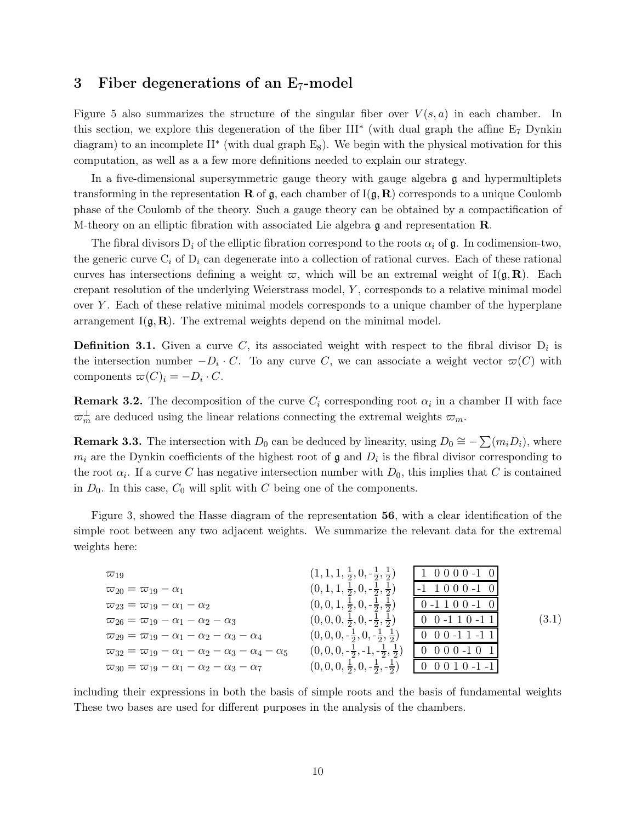## <span id="page-10-0"></span>3 Fiber degenerations of an  $E_7$ -model

Figure [5](#page-9-0) also summarizes the structure of the singular fiber over  $V(s, a)$  in each chamber. In this section, we explore this degeneration of the fiber III<sup>∗</sup> (with dual graph the affine E<sup>7</sup> Dynkin diagram) to an incomplete  $II^*$  (with dual graph  $E_8$ ). We begin with the physical motivation for this computation, as well as a a few more definitions needed to explain our strategy.

In a five-dimensional supersymmetric gauge theory with gauge algebra  $\mathfrak g$  and hypermultiplets transforming in the representation **R** of  $\mathfrak{g}$ , each chamber of  $I(\mathfrak{g}, \mathbf{R})$  corresponds to a unique Coulomb phase of the Coulomb of the theory. Such a gauge theory can be obtained by a compactification of M-theory on an elliptic fibration with associated Lie algebra  $\mathfrak g$  and representation  $\mathbb R$ .

The fibral divisors  $D_i$  of the elliptic fibration correspond to the roots  $\alpha_i$  of g. In codimension-two, the generic curve  $C_i$  of  $D_i$  can degenerate into a collection of rational curves. Each of these rational curves has intersections defining a weight  $\varpi$ , which will be an extremal weight of I( $\mathfrak{g}, \mathbf{R}$ ). Each crepant resolution of the underlying Weierstrass model, Y , corresponds to a relative minimal model over Y. Each of these relative minimal models corresponds to a unique chamber of the hyperplane arrangement  $I(\mathfrak{g}, \mathbf{R})$ . The extremal weights depend on the minimal model.

**Definition 3.1.** Given a curve C, its associated weight with respect to the fibral divisor  $D_i$  is the intersection number  $-D_i \cdot C$ . To any curve C, we can associate a weight vector  $\varpi(C)$  with components  $\varpi(C)_i = -D_i \cdot C$ .

**Remark 3.2.** The decomposition of the curve  $C_i$  corresponding root  $\alpha_i$  in a chamber  $\Pi$  with face  $\varpi_m^{\perp}$  are deduced using the linear relations connecting the extremal weights  $\varpi_m$ .

<span id="page-10-2"></span>**Remark 3.3.** The intersection with  $D_0$  can be deduced by linearity, using  $D_0 \cong -\sum (m_i D_i)$ , where  $m_i$  are the Dynkin coefficients of the highest root of  $\mathfrak g$  and  $D_i$  is the fibral divisor corresponding to the root  $\alpha_i$ . If a curve C has negative intersection number with  $D_0$ , this implies that C is contained in  $D_0$ . In this case,  $C_0$  will split with C being one of the components.

Figure [3,](#page-6-0) showed the Hasse diagram of the representation 56, with a clear identification of the simple root between any two adjacent weights. We summarize the relevant data for the extremal weights here:

<span id="page-10-1"></span>

| $\varpi_{19}$                                                          | $(1, 1, 1, \frac{1}{2}, 0, -\frac{1}{2}, \frac{1}{2})$ | $1\;0\;0\;0\;0\;-1\;0$                                      |       |
|------------------------------------------------------------------------|--------------------------------------------------------|-------------------------------------------------------------|-------|
| $\overline{\omega}_{20}=\overline{\omega}_{19}-\alpha_1$               | $(0, 1, 1, \frac{1}{2}, 0, -\frac{1}{2}, \frac{1}{2})$ | $-1$ 1000 $-1$ 0                                            |       |
| $\varpi_{23}=\varpi_{19}-\alpha_1-\alpha_2$                            | $(0,0,1,\frac{1}{2},0,-\frac{1}{2},\frac{1}{2})$       | $0 - 1 1 0 0 - 1 0$                                         |       |
| $\varpi_{26}=\varpi_{19}-\alpha_1-\alpha_2-\alpha_3$                   | $(0,0,0,\frac{1}{2},0,-\frac{1}{2},\frac{1}{2})$       | $0 \t0 - 1 \t1 0 - 1 \t1$                                   | (3.1) |
| $\varpi_{29}=\varpi_{19}-\alpha_1-\alpha_2-\alpha_3-\alpha_4$          | $(0,0,0,-\frac{1}{2},0,-\frac{1}{2},\frac{1}{2})$      | $0 \t0 \t0 \t-1 \t1 \t-1 \t1$                               |       |
| $\varpi_{32}=\varpi_{19}-\alpha_1-\alpha_2-\alpha_3-\alpha_4-\alpha_5$ | $(0,0,0,-\frac{1}{2},-1,-\frac{1}{2},\frac{1}{2})$     | $0 \t0 \t0 \t0 \t-1 \t0 \t1$                                |       |
| $\varpi_{30}=\varpi_{19}-\alpha_1-\alpha_2-\alpha_3-\alpha_7$          | $(0,0,0,\frac{1}{2},0,-\frac{1}{2},-\frac{1}{2})$      | $\begin{bmatrix} 0 & 0 & 0 & 1 & 0 & -1 & -1 \end{bmatrix}$ |       |

including their expressions in both the basis of simple roots and the basis of fundamental weights These two bases are used for different purposes in the analysis of the chambers.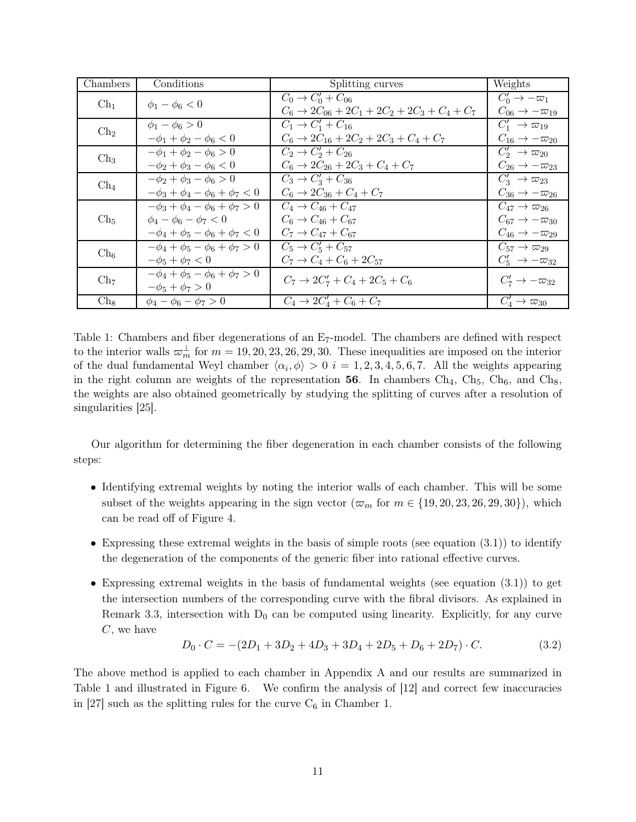<span id="page-11-0"></span>

| Chambers        | Conditions                                                         | Splitting curves                                                                      | Weights                                                           |
|-----------------|--------------------------------------------------------------------|---------------------------------------------------------------------------------------|-------------------------------------------------------------------|
| $\rm Ch_1$      | $\phi_1 - \phi_6 < 0$                                              | $C_0 \to C'_0 + C_{06}$<br>$C_6 \rightarrow 2C_{06} + 2C_1 + 2C_2 + 2C_3 + C_4 + C_7$ | $C'_0 \rightarrow -\varpi_1$<br>$C_{06} \rightarrow -\varpi_{19}$ |
| $\mathrm{Ch}_2$ | $\phi_1 - \phi_6 > 0$                                              | $C_1 \to C_1' + C_{16}$                                                               | $C'_1 \rightarrow \varpi_{19}$                                    |
|                 | $-\phi_1 + \phi_2 - \phi_6 < 0$                                    | $C_6 \rightarrow 2C_{16} + 2C_2 + 2C_3 + C_4 + C_7$                                   | $C_{16} \rightarrow -\varpi_{20}$                                 |
| $\mathrm{Ch}_3$ | $-\phi_1 + \phi_2 - \phi_6 > 0$                                    | $C_2 \to C'_2 + C_{26}$                                                               | $C_2' \rightarrow \varpi_{20}$                                    |
|                 | $-\phi_2 + \phi_3 - \phi_6 < 0$                                    | $C_6 \rightarrow 2C_{26} + 2C_3 + C_4 + C_7$                                          | $C_{26} \rightarrow -\varpi_{23}$                                 |
| $\rm Ch_4$      | $-\phi_2 + \phi_3 - \phi_6 > 0$                                    | $C_3 \to C'_3 + C_{36}$                                                               | $C'_3 \rightarrow \varpi_{23}$                                    |
|                 | $-\phi_3 + \phi_4 - \phi_6 + \phi_7 < 0$                           | $C_6 \rightarrow 2C_{36} + C_4 + C_7$                                                 | $C_{36} \rightarrow -\varpi_{26}$                                 |
| $\mathrm{Ch}_5$ | $-\phi_3 + \phi_4 - \phi_6 + \phi_7 > 0$                           | $C_4 \rightarrow C_{46} + C_{47}$                                                     | $C_{47} \rightarrow \varpi_{26}$                                  |
|                 | $\phi_4 - \phi_6 - \phi_7 < 0$                                     | $C_6 \to C_{46} + C_{67}$                                                             | $C_{67} \rightarrow -\varpi_{30}$                                 |
|                 | $-\phi_4 + \phi_5 - \phi_6 + \phi_7 < 0$                           | $C_7 \rightarrow C_{47} + C_{67}$                                                     | $C_{46} \rightarrow -\varpi_{29}$                                 |
| $\mathrm{Ch}_6$ | $-\phi_4 + \phi_5 - \phi_6 + \phi_7 > 0$                           | $C_5 \to C'_5 + C_{57}$                                                               | $C_{57} \rightarrow \varpi_{29}$                                  |
|                 | $-\phi_5 + \phi_7 < 0$                                             | $C_7 \rightarrow C_4 + C_6 + 2C_{57}$                                                 | $C'_5 \rightarrow -\varpi_{32}$                                   |
| $\mathrm{Ch}_7$ | $-\phi_4 + \phi_5 - \phi_6 + \phi_7 > 0$<br>$-\phi_5 + \phi_7 > 0$ | $C_7 \rightarrow 2C'_7 + C_4 + 2C_5 + C_6$                                            | $C'_7 \rightarrow -\varpi_{32}$                                   |
| $Ch_8$          | $\phi_4 - \phi_6 - \phi_7 > 0$                                     | $C_4 \rightarrow 2C'_4 + C_6 + C_7$                                                   | $C'_4 \rightarrow \varpi_{30}$                                    |

Table 1: Chambers and fiber degenerations of an E<sub>7</sub>-model. The chambers are defined with respect to the interior walls  $\omega_m^{\perp}$  for  $m = 19, 20, 23, 26, 29, 30$ . These inequalities are imposed on the interior of the dual fundamental Weyl chamber  $\langle \alpha_i, \phi \rangle > 0$  i = 1, 2, 3, 4, 5, 6, 7. All the weights appearing in the right column are weights of the representation 56. In chambers  $Ch_4$ ,  $Ch_5$ ,  $Ch_6$ , and  $Ch_8$ , the weights are also obtained geometrically by studying the splitting of curves after a resolution of singularities [\[25\]](#page-50-1).

Our algorithm for determining the fiber degeneration in each chamber consists of the following steps:

- Identifying extremal weights by noting the interior walls of each chamber. This will be some subset of the weights appearing in the sign vector ( $\overline{\omega}_m$  for  $m \in \{19, 20, 23, 26, 29, 30\}$ ), which can be read off of Figure [4.](#page-8-0)
- Expressing these extremal weights in the basis of simple roots (see equation  $(3.1)$ ) to identify the degeneration of the components of the generic fiber into rational effective curves.
- Expressing extremal weights in the basis of fundamental weights (see equation [\(3.1\)](#page-10-1)) to get the intersection numbers of the corresponding curve with the fibral divisors. As explained in Remark [3.3,](#page-10-2) intersection with  $D_0$  can be computed using linearity. Explicitly, for any curve C, we have

<span id="page-11-1"></span>
$$
D_0 \cdot C = -(2D_1 + 3D_2 + 4D_3 + 3D_4 + 2D_5 + D_6 + 2D_7) \cdot C.
$$
 (3.2)

The above method is applied to each chamber in Appendix [A](#page-27-0) and our results are summarized in Table [1](#page-11-0) and illustrated in Figure [6.](#page-12-0) We confirm the analysis of [\[12\]](#page-49-2) and correct few inaccuracies in [\[27\]](#page-50-0) such as the splitting rules for the curve  $C_6$  in Chamber 1.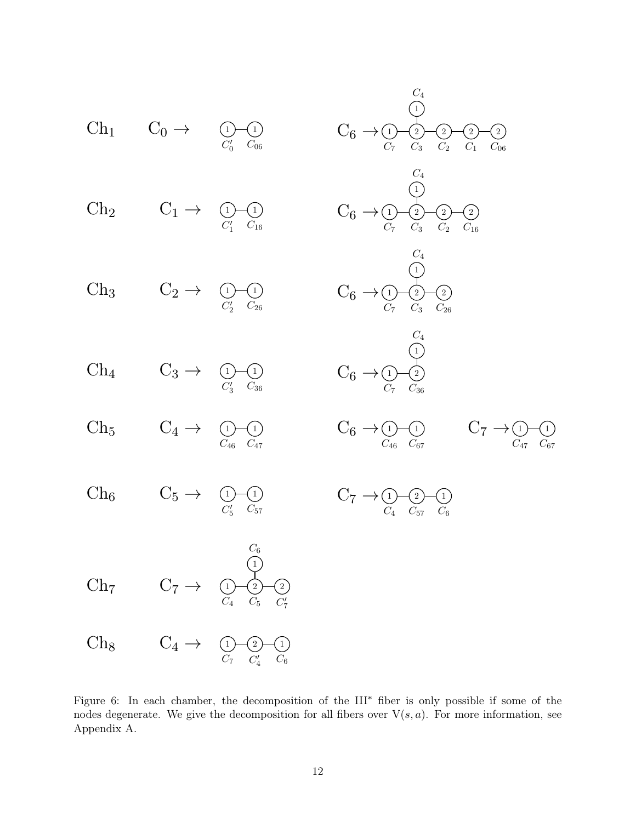<span id="page-12-0"></span>

Figure 6: In each chamber, the decomposition of the III<sup>∗</sup> fiber is only possible if some of the nodes degenerate. We give the decomposition for all fibers over  $V(s, a)$ . For more information, see Appendix [A.](#page-27-0)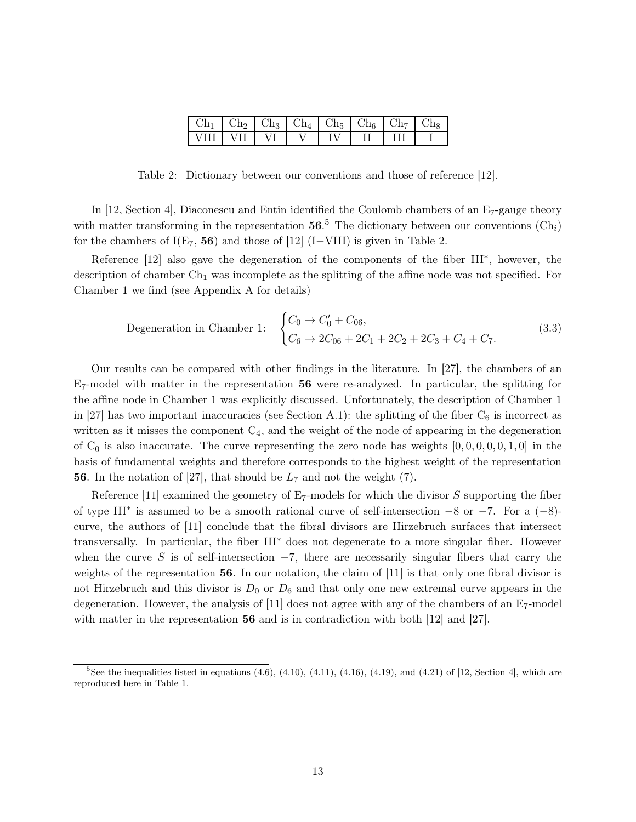| l Ch <sub>1</sub> |  |  | $Ch_2$   $Ch_3$   $Ch_4$   $Ch_5$   $Ch_6$   $Ch_7$   $Ch_8$ |  |
|-------------------|--|--|--------------------------------------------------------------|--|
| I VIII I VII      |  |  |                                                              |  |

<span id="page-13-0"></span>Table 2: Dictionary between our conventions and those of reference [\[12\]](#page-49-2).

In [\[12,](#page-49-2) Section 4], Diaconescu and Entin identified the Coulomb chambers of an E7-gauge theory with matter transforming in the representation  $56<sup>5</sup>$ . The dictionary between our conventions  $(\text{Ch}_i)$ for the chambers of  $I(E_7, 56)$  and those of [\[12\]](#page-49-2) (I–VIII) is given in Table [2.](#page-13-0)

Reference [\[12\]](#page-49-2) also gave the degeneration of the components of the fiber III<sup>\*</sup>, however, the description of chamber  $Ch<sub>1</sub>$  was incomplete as the splitting of the affine node was not specified. For Chamber 1 we find (see Appendix [A](#page-27-0) for details)

Degeneration in Chamber 1: 
$$
\begin{cases} C_0 \to C'_0 + C_{06}, \\ C_6 \to 2C_{06} + 2C_1 + 2C_2 + 2C_3 + C_4 + C_7. \end{cases}
$$
(3.3)

Our results can be compared with other findings in the literature. In [\[27\]](#page-50-0), the chambers of an  $E_7$ -model with matter in the representation 56 were re-analyzed. In particular, the splitting for the affine node in Chamber 1 was explicitly discussed. Unfortunately, the description of Chamber 1 in [\[27\]](#page-50-0) has two important inaccuracies (see Section [A.1\)](#page-27-1): the splitting of the fiber  $C_6$  is incorrect as written as it misses the component  $C_4$ , and the weight of the node of appearing in the degeneration of  $C_0$  is also inaccurate. The curve representing the zero node has weights  $[0, 0, 0, 0, 0, 1, 0]$  in the basis of fundamental weights and therefore corresponds to the highest weight of the representation **56**. In the notation of [\[27\]](#page-50-0), that should be  $L_7$  and not the weight (7).

Reference [\[11\]](#page-49-1) examined the geometry of  $E_7$ -models for which the divisor S supporting the fiber of type III<sup>\*</sup> is assumed to be a smooth rational curve of self-intersection  $-8$  or  $-7$ . For a  $(-8)$ curve, the authors of [\[11\]](#page-49-1) conclude that the fibral divisors are Hirzebruch surfaces that intersect transversally. In particular, the fiber III<sup>∗</sup> does not degenerate to a more singular fiber. However when the curve S is of self-intersection  $-7$ , there are necessarily singular fibers that carry the weights of the representation 56. In our notation, the claim of [\[11\]](#page-49-1) is that only one fibral divisor is not Hirzebruch and this divisor is  $D_0$  or  $D_6$  and that only one new extremal curve appears in the degeneration. However, the analysis of  $[11]$  does not agree with any of the chambers of an  $E_7$ -model with matter in the representation 56 and is in contradiction with both [\[12\]](#page-49-2) and [\[27\]](#page-50-0).

<sup>&</sup>lt;sup>5</sup>See the inequalities listed in equations  $(4.6)$ ,  $(4.10)$ ,  $(4.11)$ ,  $(4.16)$ ,  $(4.19)$ , and  $(4.21)$  of [\[12,](#page-49-2) Section 4], which are reproduced here in Table [1.](#page-11-0)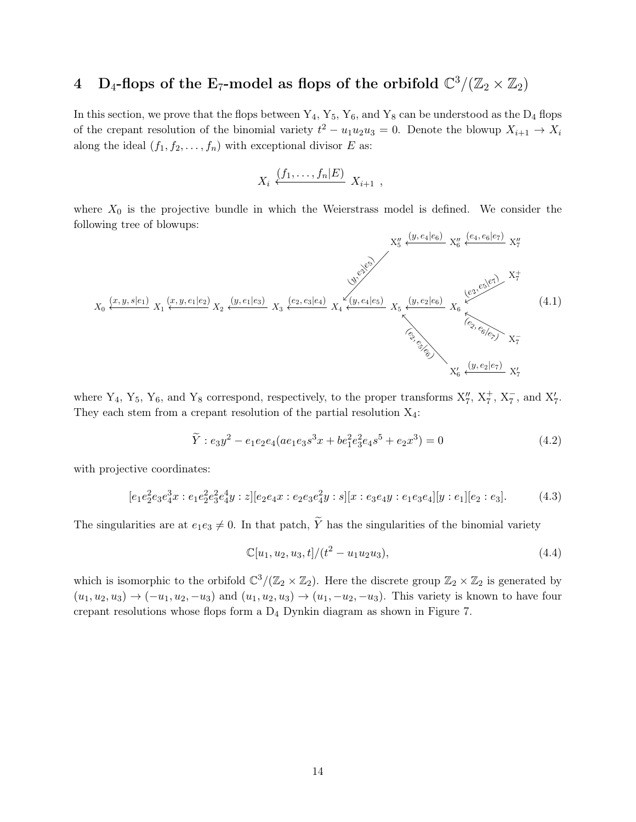## <span id="page-14-0"></span>4 D<sub>4</sub>-flops of the E<sub>7</sub>-model as flops of the orbifold  $\mathbb{C}^3/(\mathbb{Z}_2\times\mathbb{Z}_2)$

In this section, we prove that the flops between  $Y_4$ ,  $Y_5$ ,  $Y_6$ , and  $Y_8$  can be understood as the  $D_4$  flops of the crepant resolution of the binomial variety  $t^2 - u_1 u_2 u_3 = 0$ . Denote the blowup  $X_{i+1} \to X_i$ along the ideal  $(f_1, f_2, \ldots, f_n)$  with exceptional divisor E as:

$$
X_i \stackrel{(f_1,\ldots,f_n|E)}{\longleftarrow} X_{i+1} ,
$$

where  $X_0$  is the projective bundle in which the Weierstrass model is defined. We consider the following tree of blowups:

<span id="page-14-1"></span>

where  $Y_4$ ,  $Y_5$ ,  $Y_6$ , and  $Y_8$  correspond, respectively, to the proper transforms  $X''_7$ ,  $X^+_7$ ,  $X^-_7$ , and  $X'_7$ . They each stem from a crepant resolution of the partial resolution  $X_4$ :

$$
\tilde{Y}: e_3 y^2 - e_1 e_2 e_4 (a e_1 e_3 s^3 x + b e_1^2 e_3^2 e_4 s^5 + e_2 x^3) = 0
$$
\n
$$
(4.2)
$$

with projective coordinates:

$$
[e_1e_2^2e_3e_4^3x : e_1e_2^2e_3^2e_4^4y : z][e_2e_4x : e_2e_3e_4^2y : s][x : e_3e_4y : e_1e_3e_4][y : e_1][e_2 : e_3].
$$
 (4.3)

The singularities are at  $e_1e_3 \neq 0$ . In that patch,  $\widetilde{Y}$  has the singularities of the binomial variety

$$
\mathbb{C}[u_1, u_2, u_3, t]/(t^2 - u_1 u_2 u_3),\tag{4.4}
$$

which is isomorphic to the orbifold  $\mathbb{C}^3/(\mathbb{Z}_2 \times \mathbb{Z}_2)$ . Here the discrete group  $\mathbb{Z}_2 \times \mathbb{Z}_2$  is generated by  $(u_1, u_2, u_3) \to (-u_1, u_2, -u_3)$  and  $(u_1, u_2, u_3) \to (u_1, -u_2, -u_3)$ . This variety is known to have four crepant resolutions whose flops form a D<sup>4</sup> Dynkin diagram as shown in Figure [7.](#page-15-0)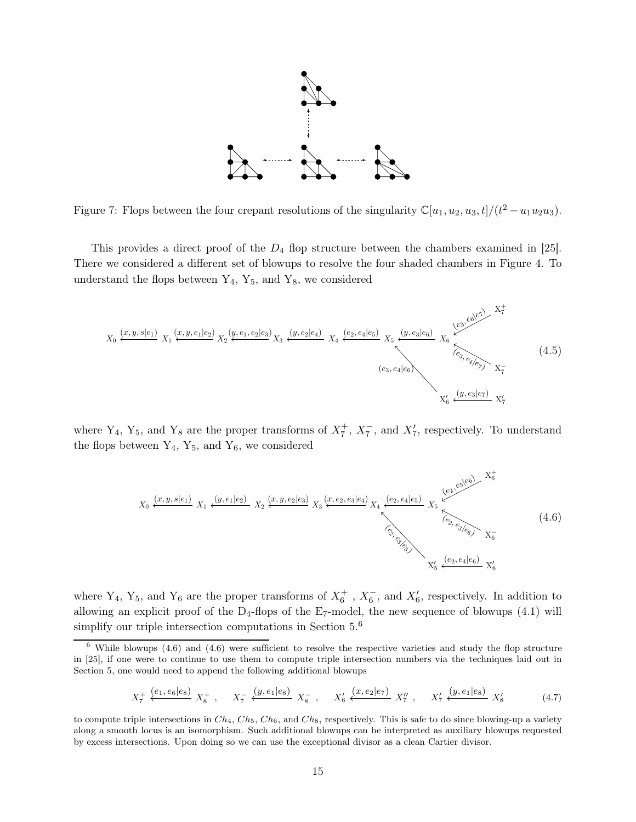<span id="page-15-0"></span>

Figure 7: Flops between the four crepant resolutions of the singularity  $\mathbb{C}[u_1, u_2, u_3, t]/(t^2 - u_1u_2u_3)$ .

This provides a direct proof of the  $D_4$  flop structure between the chambers examined in [\[25\]](#page-50-1). There we considered a different set of blowups to resolve the four shaded chambers in Figure [4.](#page-8-0) To understand the flops between  $Y_4$ ,  $Y_5$ , and  $Y_8$ , we considered

<span id="page-15-2"></span>

where Y<sub>4</sub>, Y<sub>5</sub>, and Y<sub>8</sub> are the proper transforms of  $X_7^+$ ,  $X_7^-$ , and  $X_7'$ , respectively. To understand the flops between  $Y_4$ ,  $Y_5$ , and  $Y_6$ , we considered

<span id="page-15-1"></span>
$$
X_0 \xleftarrow{(x, y, s|e_1)} X_1 \xleftarrow{(y, e_1|e_2)} X_2 \xleftarrow{(x, y, e_2|e_3)} X_3 \xleftarrow{(x, e_2, e_3|e_4)} X_4 \xleftarrow{(e_2, e_4|e_5)} X_5 \xleftarrow{(e_2, e_3|e_6)} X_6^{-}
$$
\n
$$
\xleftarrow{(e_2, e_4|e_6)} X_6^{-}
$$
\n
$$
\xleftarrow{(e_2, e_4|e_6)} X_6^{-}
$$
\n
$$
(4.6)
$$

where Y<sub>4</sub>, Y<sub>5</sub>, and Y<sub>6</sub> are the proper transforms of  $X_6^+$ ,  $X_6^-$ , and  $X'_6$ , respectively. In addition to allowing an explicit proof of the  $D_4$ -flops of the E<sub>7</sub>-model, the new sequence of blowups [\(4.1\)](#page-14-1) will simplify our triple intersection computations in Section  $5<sup>6</sup>$ 

<span id="page-15-3"></span>
$$
X_7^+ \xleftarrow{\{e_1, e_6 \mid e_8\}} X_8^+ , \quad X_7^- \xleftarrow{\{y, e_1 \mid e_8\}} X_8^- , \quad X_6' \xleftarrow{\{x, e_2 \mid e_7\}} X_7'' , \quad X_7' \xleftarrow{\{y, e_1 \mid e_8\}} X_8' \tag{4.7}
$$

 $6$  While blowups [\(4.6\)](#page-15-1) and (4.6) were sufficient to resolve the respective varieties and study the flop structure in [\[25\]](#page-50-1), if one were to continue to use them to compute triple intersection numbers via the techniques laid out in Section [5,](#page-16-0) one would need to append the following additional blowups

to compute triple intersections in  $Ch_4$ ,  $Ch_5$ ,  $Ch_6$ , and  $Ch_8$ , respectively. This is safe to do since blowing-up a variety along a smooth locus is an isomorphism. Such additional blowups can be interpreted as auxiliary blowups requested by excess intersections. Upon doing so we can use the exceptional divisor as a clean Cartier divisor.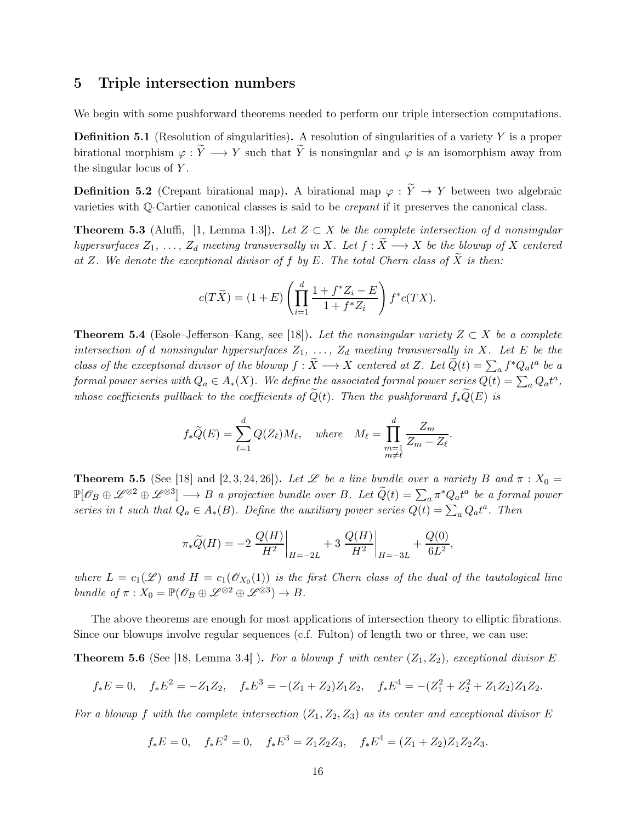## <span id="page-16-0"></span>5 Triple intersection numbers

We begin with some pushforward theorems needed to perform our triple intersection computations.

**Definition 5.1** (Resolution of singularities). A resolution of singularities of a variety  $Y$  is a proper birational morphism  $\varphi : \tilde{Y} \longrightarrow Y$  such that  $\tilde{Y}$  is nonsingular and  $\varphi$  is an isomorphism away from the singular locus of  $Y$ .

**Definition 5.2** (Crepant birational map). A birational map  $\varphi : \tilde{Y} \to Y$  between two algebraic varieties with Q-Cartier canonical classes is said to be crepant if it preserves the canonical class.

<span id="page-16-4"></span>**Theorem 5.3** (Aluffi, [\[1,](#page-49-4) Lemma 1.3]). Let  $Z \subset X$  be the complete intersection of d nonsingular hypersurfaces  $Z_1, \ldots, Z_d$  meeting transversally in X. Let  $f : \widetilde{X} \longrightarrow X$  be the blowup of X centered at Z. We denote the exceptional divisor of f by E. The total Chern class of  $\widetilde{X}$  is then:

$$
c(T\widetilde{X}) = (1+E)\left(\prod_{i=1}^d \frac{1+f^*Z_i - E}{1+f^*Z_i}\right)f^*c(TX).
$$

<span id="page-16-2"></span>**Theorem 5.4** (Esole–Jefferson–Kang, see [\[18\]](#page-50-2)). Let the nonsingular variety  $Z \subset X$  be a complete intersection of d nonsingular hypersurfaces  $Z_1, \ldots, Z_d$  meeting transversally in X. Let E be the class of the exceptional divisor of the blowup  $f : \tilde{X} \longrightarrow X$  centered at Z. Let  $\tilde{Q}(t) = \sum_a f^* Q_a t^a$  be a formal power series with  $Q_a \in A_*(X)$ . We define the associated formal power series  $Q(t) = \sum_a Q_a t^a$ , whose coefficients pullback to the coefficients of  $\widetilde{Q}(t)$ . Then the pushforward  $f_*\widetilde{Q}(E)$  is

$$
f_*\widetilde{Q}(E) = \sum_{\ell=1}^d Q(Z_\ell)M_\ell
$$
, where  $M_\ell = \prod_{\substack{m=1 \ m \neq \ell}}^d \frac{Z_m}{Z_m - Z_\ell}$ .

<span id="page-16-3"></span>**Theorem 5.5** (See [\[18\]](#page-50-2) and [\[2,](#page-49-5) [3,](#page-49-6) [24,](#page-50-4) [26\]](#page-50-5)). Let  $\mathscr L$  be a line bundle over a variety B and  $\pi : X_0 =$  $\mathbb{P}[\mathscr{O}_B \oplus \mathscr{L}^{\otimes 2} \oplus \mathscr{L}^{\otimes 3}] \longrightarrow B$  a projective bundle over B. Let  $\widetilde{Q}(t) = \sum_a \pi^* Q_a t^a$  be a formal power series in t such that  $Q_a \in A_*(B)$ . Define the auxiliary power series  $Q(t) = \sum_a Q_a t^a$ . Then

$$
\pi_*\widetilde{Q}(H) = -2 \left. \frac{Q(H)}{H^2} \right|_{H=-2L} + 3 \left. \frac{Q(H)}{H^2} \right|_{H=-3L} + \frac{Q(0)}{6L^2},
$$

where  $L = c_1(\mathscr{L})$  and  $H = c_1(\mathscr{O}_{X_0}(1))$  is the first Chern class of the dual of the tautological line bundle of  $\pi: X_0 = \mathbb{P}(\mathscr{O}_B \oplus \mathscr{L}^{\otimes 2} \oplus \mathscr{L}^{\otimes 3}) \to B$ .

The above theorems are enough for most applications of intersection theory to elliptic fibrations. Since our blowups involve regular sequences (c.f. Fulton) of length two or three, we can use:

<span id="page-16-1"></span>**Theorem 5.6** (See [\[18,](#page-50-2) Lemma 3.4]). For a blowup f with center  $(Z_1, Z_2)$ , exceptional divisor E

$$
f_*E = 0
$$
,  $f_*E^2 = -Z_1Z_2$ ,  $f_*E^3 = -(Z_1 + Z_2)Z_1Z_2$ ,  $f_*E^4 = -(Z_1^2 + Z_2^2 + Z_1Z_2)Z_1Z_2$ .

For a blowup f with the complete intersection  $(Z_1, Z_2, Z_3)$  as its center and exceptional divisor E

$$
f_*E = 0
$$
,  $f_*E^2 = 0$ ,  $f_*E^3 = Z_1Z_2Z_3$ ,  $f_*E^4 = (Z_1 + Z_2)Z_1Z_2Z_3$ .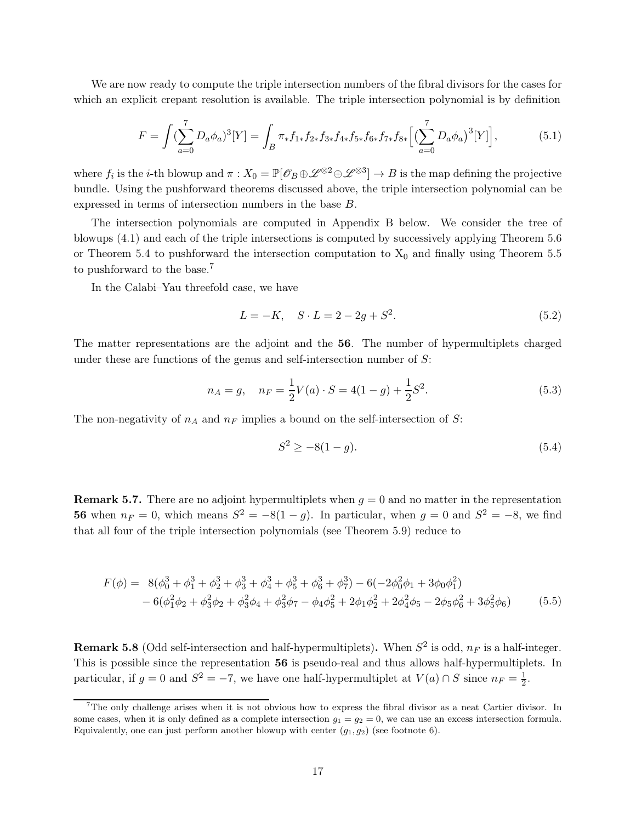We are now ready to compute the triple intersection numbers of the fibral divisors for the cases for which an explicit crepant resolution is available. The triple intersection polynomial is by definition

$$
F = \int (\sum_{a=0}^{7} D_a \phi_a)^3 [Y] = \int_B \pi_* f_{1*} f_{2*} f_{3*} f_{4*} f_{5*} f_{6*} f_{7*} f_{8*} \Big[ \big( \sum_{a=0}^{7} D_a \phi_a \big)^3 [Y] \Big], \tag{5.1}
$$

where  $f_i$  is the *i*-th blowup and  $\pi: X_0 = \mathbb{P}[\mathscr{O}_B \oplus \mathscr{L}^{\otimes 2} \oplus \mathscr{L}^{\otimes 3}] \to B$  is the map defining the projective bundle. Using the pushforward theorems discussed above, the triple intersection polynomial can be expressed in terms of intersection numbers in the base B.

The intersection polynomials are computed in Appendix [B](#page-37-0) below. We consider the tree of blowups [\(4.1\)](#page-14-1) and each of the triple intersections is computed by successively applying Theorem [5.6](#page-16-1) or Theorem [5.4](#page-16-2) to pushforward the intersection computation to  $X_0$  and finally using Theorem [5.5](#page-16-3) to pushforward to the base.<sup>7</sup>

In the Calabi–Yau threefold case, we have

$$
L = -K, \quad S \cdot L = 2 - 2g + S^2. \tag{5.2}
$$

The matter representations are the adjoint and the 56. The number of hypermultiplets charged under these are functions of the genus and self-intersection number of  $S$ :

$$
n_A = g, \quad n_F = \frac{1}{2}V(a) \cdot S = 4(1 - g) + \frac{1}{2}S^2.
$$
\n(5.3)

The non-negativity of  $n_A$  and  $n_F$  implies a bound on the self-intersection of S:

$$
S^2 \ge -8(1-g). \tag{5.4}
$$

**Remark 5.7.** There are no adjoint hypermultiplets when  $g = 0$  and no matter in the representation **56** when  $n_F = 0$ , which means  $S^2 = -8(1 - g)$ . In particular, when  $g = 0$  and  $S^2 = -8$ , we find that all four of the triple intersection polynomials (see Theorem [5.9\)](#page-18-0) reduce to

$$
F(\phi) = 8(\phi_0^3 + \phi_1^3 + \phi_2^3 + \phi_3^3 + \phi_4^3 + \phi_5^3 + \phi_6^3 + \phi_7^3) - 6(-2\phi_0^2\phi_1 + 3\phi_0\phi_1^2) - 6(\phi_1^2\phi_2 + \phi_3^2\phi_2 + \phi_3^2\phi_4 + \phi_3^2\phi_7 - \phi_4\phi_5^2 + 2\phi_1\phi_2^2 + 2\phi_4^2\phi_5 - 2\phi_5\phi_6^2 + 3\phi_5^2\phi_6)
$$
(5.5)

**Remark 5.8** (Odd self-intersection and half-hypermultiplets). When  $S^2$  is odd,  $n_F$  is a half-integer. This is possible since the representation 56 is pseudo-real and thus allows half-hypermultiplets. In particular, if  $g = 0$  and  $S^2 = -7$ , we have one half-hypermultiplet at  $V(a) \cap S$  since  $n_F = \frac{1}{2}$  $\frac{1}{2}$ .

<sup>7</sup>The only challenge arises when it is not obvious how to express the fibral divisor as a neat Cartier divisor. In some cases, when it is only defined as a complete intersection  $g_1 = g_2 = 0$ , we can use an excess intersection formula. Equivalently, one can just perform another blowup with center  $(g_1, g_2)$  (see footnote [6\)](#page-15-1).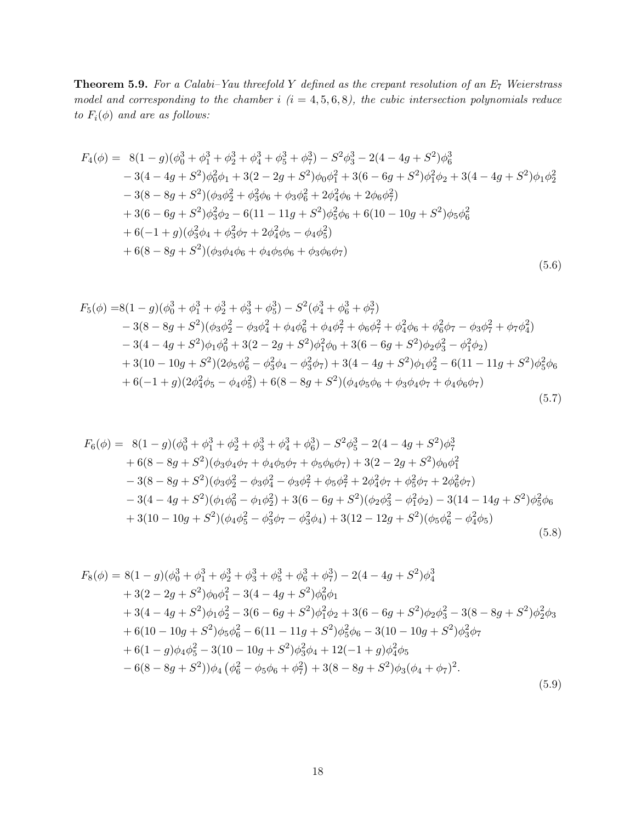<span id="page-18-0"></span>**Theorem 5.9.** For a Calabi–Yau threefold Y defined as the crepant resolution of an  $E_7$  Weierstrass model and corresponding to the chamber i  $(i = 4, 5, 6, 8)$ , the cubic intersection polynomials reduce to  $F_i(\phi)$  and are as follows:

$$
F_4(\phi) = 8(1-g)(\phi_0^3 + \phi_1^3 + \phi_2^3 + \phi_4^3 + \phi_5^3 + \phi_7^3) - S^2\phi_3^3 - 2(4 - 4g + S^2)\phi_6^3
$$
  
\n
$$
- 3(4 - 4g + S^2)\phi_0^2\phi_1 + 3(2 - 2g + S^2)\phi_0\phi_1^2 + 3(6 - 6g + S^2)\phi_1^2\phi_2 + 3(4 - 4g + S^2)\phi_1\phi_2^2
$$
  
\n
$$
- 3(8 - 8g + S^2)(\phi_3\phi_2^2 + \phi_3^2\phi_6 + \phi_3\phi_6^2 + 2\phi_4^2\phi_6 + 2\phi_6\phi_7^2)
$$
  
\n
$$
+ 3(6 - 6g + S^2)\phi_3^2\phi_2 - 6(11 - 11g + S^2)\phi_5^2\phi_6 + 6(10 - 10g + S^2)\phi_5\phi_6^2
$$
  
\n
$$
+ 6(-1 + g)(\phi_3^2\phi_4 + \phi_3^2\phi_7 + 2\phi_4^2\phi_5 - \phi_4\phi_5^2)
$$
  
\n
$$
+ 6(8 - 8g + S^2)(\phi_3\phi_4\phi_6 + \phi_4\phi_5\phi_6 + \phi_3\phi_6\phi_7)
$$
  
\n(5.6)

$$
F_5(\phi) = 8(1 - g)(\phi_0^3 + \phi_1^3 + \phi_2^3 + \phi_3^3 + \phi_5^3) - S^2(\phi_4^3 + \phi_6^3 + \phi_7^3)
$$
  
\n
$$
- 3(8 - 8g + S^2)(\phi_3\phi_2^2 - \phi_3\phi_4^2 + \phi_4\phi_6^2 + \phi_4\phi_7^2 + \phi_6\phi_7^2 + \phi_4^2\phi_6 + \phi_6^2\phi_7 - \phi_3\phi_7^2 + \phi_7\phi_4^2)
$$
  
\n
$$
- 3(4 - 4g + S^2)\phi_1\phi_0^2 + 3(2 - 2g + S^2)\phi_1^2\phi_0 + 3(6 - 6g + S^2)\phi_2\phi_3^2 - \phi_1^2\phi_2)
$$
  
\n
$$
+ 3(10 - 10g + S^2)(2\phi_5\phi_6^2 - \phi_3^2\phi_4 - \phi_3^2\phi_7) + 3(4 - 4g + S^2)\phi_1\phi_2^2 - 6(11 - 11g + S^2)\phi_5^2\phi_6
$$
  
\n
$$
+ 6(-1 + g)(2\phi_4^2\phi_5 - \phi_4\phi_5^2) + 6(8 - 8g + S^2)(\phi_4\phi_5\phi_6 + \phi_3\phi_4\phi_7 + \phi_4\phi_6\phi_7)
$$
  
\n(5.7)

$$
F_6(\phi) = 8(1-g)(\phi_0^3 + \phi_1^3 + \phi_2^3 + \phi_3^3 + \phi_4^3 + \phi_6^3) - S^2 \phi_5^3 - 2(4 - 4g + S^2)\phi_7^3
$$
  
+ 6(8 - 8g + S^2)(\phi\_3\phi\_4\phi\_7 + \phi\_4\phi\_5\phi\_7 + \phi\_5\phi\_6\phi\_7) + 3(2 - 2g + S^2)\phi\_0\phi\_1^2  
- 3(8 - 8g + S^2)(\phi\_3\phi\_2^2 - \phi\_3\phi\_4^2 - \phi\_3\phi\_7^2 + \phi\_5\phi\_7^2 + 2\phi\_4^2\phi\_7 + \phi\_5^2\phi\_7 + 2\phi\_6^2\phi\_7)  
- 3(4 - 4g + S^2)(\phi\_1\phi\_0^2 - \phi\_1\phi\_2^2) + 3(6 - 6g + S^2)(\phi\_2\phi\_3^2 - \phi\_1^2\phi\_2) - 3(14 - 14g + S^2)\phi\_5^2\phi\_6  
+ 3(10 - 10g + S^2)(\phi\_4\phi\_5^2 - \phi\_3^2\phi\_7 - \phi\_3^2\phi\_4) + 3(12 - 12g + S^2)(\phi\_5\phi\_6^2 - \phi\_4^2\phi\_5) (5.8)

$$
F_8(\phi) = 8(1 - g)(\phi_0^3 + \phi_1^3 + \phi_2^3 + \phi_3^3 + \phi_5^3 + \phi_6^3 + \phi_7^3) - 2(4 - 4g + S^2)\phi_4^3
$$
  
+ 3(2 - 2g + S^2)\phi\_0\phi\_1^2 - 3(4 - 4g + S^2)\phi\_0^2\phi\_1  
+ 3(4 - 4g + S^2)\phi\_1\phi\_2^2 - 3(6 - 6g + S^2)\phi\_1^2\phi\_2 + 3(6 - 6g + S^2)\phi\_2\phi\_3^2 - 3(8 - 8g + S^2)\phi\_2^2\phi\_3  
+ 6(10 - 10g + S^2)\phi\_5\phi\_6^2 - 6(11 - 11g + S^2)\phi\_5^2\phi\_6 - 3(10 - 10g + S^2)\phi\_3^2\phi\_7  
+ 6(1 - g)\phi\_4\phi\_5^2 - 3(10 - 10g + S^2)\phi\_3^2\phi\_4 + 12(-1 + g)\phi\_4^2\phi\_5  
- 6(8 - 8g + S^2))\phi\_4(\phi\_6^2 - \phi\_5\phi\_6 + \phi\_7^2) + 3(8 - 8g + S^2)\phi\_3(\phi\_4 + \phi\_7)^2. (5.9)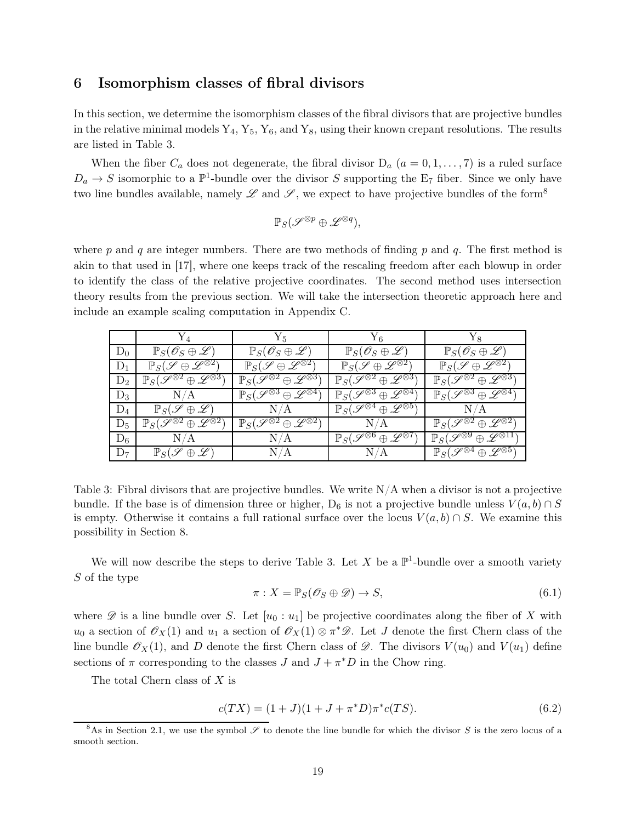## <span id="page-19-0"></span>6 Isomorphism classes of fibral divisors

In this section, we determine the isomorphism classes of the fibral divisors that are projective bundles in the relative minimal models  $Y_4, Y_5, Y_6$ , and  $Y_8$ , using their known crepant resolutions. The results are listed in Table [3.](#page-19-1)

When the fiber  $C_a$  does not degenerate, the fibral divisor  $D_a$   $(a = 0, 1, \ldots, 7)$  is a ruled surface  $D_a \to S$  isomorphic to a  $\mathbb{P}^1$ -bundle over the divisor S supporting the E<sub>7</sub> fiber. Since we only have two line bundles available, namely  $\mathscr L$  and  $\mathscr S$ , we expect to have projective bundles of the form<sup>8</sup>

$$
\mathbb{P}_S(\mathscr{S}^{\otimes p}\oplus\mathscr{L}^{\otimes q}),
$$

where p and q are integer numbers. There are two methods of finding p and q. The first method is akin to that used in [\[17\]](#page-50-6), where one keeps track of the rescaling freedom after each blowup in order to identify the class of the relative projective coordinates. The second method uses intersection theory results from the previous section. We will take the intersection theoretic approach here and include an example scaling computation in Appendix [C.](#page-44-0)

<span id="page-19-1"></span>

|       | $Y_4$                                                                    | $Y_{5}$                                                                | $Y_6$                                                                      | $Y_8$                                                                    |
|-------|--------------------------------------------------------------------------|------------------------------------------------------------------------|----------------------------------------------------------------------------|--------------------------------------------------------------------------|
| $D_0$ | $\mathbb{P}_S(\mathscr{O}_S \oplus \mathscr{L})$                         | $\mathbb{P}_S(\mathscr{O}_S \oplus \mathscr{L})$                       | $\mathbb{P}_S(\mathscr{O}_S \oplus \mathscr{L})$                           | $\mathbb{P}_S(\mathscr{O}_S \oplus \mathscr{L})$                         |
| $D_1$ | $\mathbb{P}_S(\mathscr{S}\oplus\mathscr{L}^{\otimes 2})$                 | $\mathbb{P}_S(\mathscr{S}\oplus\mathscr{L}^{\otimes 2})$               | $\mathbb{P}_S(\mathscr{S}\oplus\mathscr{L}^{\otimes 2})$                   | $\mathbb{P}_S(\mathscr{S}\oplus\mathscr{L}^{\otimes 2})$                 |
| $D_2$ | $\mathbb{P}_{S}(\mathscr{S}^{\otimes 2} \oplus \mathscr{L}^{\otimes 3})$ | $\mathbb{P}_S(\mathscr{S}^{\otimes 2} \oplus \mathscr{L}^{\otimes 3})$ | $\mathbb{P}_{S}(\mathscr{S}^{\otimes 2} \oplus \mathscr{L}^{\otimes 3})$   | $\mathbb{P}_S(\mathscr{S}^{\otimes 2} \oplus \mathscr{L}^{\otimes 3})$   |
| $D_3$ | N/A                                                                      | $\mathbb{P}_S(\mathscr{S}^{\otimes 3} \oplus \mathscr{L}^{\otimes 4})$ | $\n  \mathbb{P}_S(\mathscr{S}^{\otimes 3} \oplus \mathscr{L}^{\otimes 4})$ | $\mathbb{P}_{S}(\mathscr{S}^{\otimes 3} \oplus \mathscr{L}^{\otimes 4})$ |
| $D_4$ | $\mathbb{P}_S(\mathscr{S}\oplus\mathscr{L})$                             | N/A                                                                    | $\mathbb{P}_S(\mathscr{S}^{\otimes 4} \oplus \mathscr{L}^{\otimes 5})$     | N/A                                                                      |
| $D_5$ | $\mathbb{P}_S(\mathscr{S}^{\otimes 2} \oplus \mathscr{L}^{\otimes 2})$   | $\mathbb{P}_S(\mathscr{S}^{\otimes 2} \oplus \mathscr{L}^{\otimes 2})$ | N/A                                                                        | $\n  PS(\mathscr{S}^{\otimes 2} \oplus \mathscr{L}^{\otimes 2})\n$       |
| $D_6$ | N/A                                                                      | N/A                                                                    | $\mathbb{P}_S(\mathscr{S}^{\otimes 6} \oplus \mathscr{L}^{\otimes 7})$     | $\mathbb{P}_S(\mathscr{S}^{\otimes 9} \oplus \mathscr{L}^{\otimes 11})$  |
| $D_7$ | $\mathbb{P}_S(\mathscr{S}\oplus\mathscr{L})$                             | N/A                                                                    | N/A                                                                        | $\mathbb{P}_S(\mathscr{S}^{\otimes 4} \oplus \mathscr{L}^{\otimes 5})$   |

Table 3: Fibral divisors that are projective bundles. We write  $N/A$  when a divisor is not a projective bundle. If the base is of dimension three or higher, D<sub>6</sub> is not a projective bundle unless  $V(a, b) \cap S$ is empty. Otherwise it contains a full rational surface over the locus  $V(a, b) \cap S$ . We examine this possibility in Section [8.](#page-24-0)

We will now describe the steps to derive Table [3.](#page-19-1) Let X be a  $\mathbb{P}^1$ -bundle over a smooth variety S of the type

<span id="page-19-2"></span>
$$
\pi: X = \mathbb{P}_S(\mathscr{O}_S \oplus \mathscr{D}) \to S,\tag{6.1}
$$

where  $\mathscr D$  is a line bundle over S. Let  $[u_0:u_1]$  be projective coordinates along the fiber of X with  $u_0$  a section of  $\mathscr{O}_X(1)$  and  $u_1$  a section of  $\mathscr{O}_X(1) \otimes \pi^* \mathscr{D}$ . Let J denote the first Chern class of the line bundle  $\mathscr{O}_X(1)$ , and D denote the first Chern class of  $\mathscr{D}$ . The divisors  $V(u_0)$  and  $V(u_1)$  define sections of  $\pi$  corresponding to the classes  $J$  and  $J + \pi^* D$  in the Chow ring.

The total Chern class of X is

$$
c(TX) = (1+J)(1+J+\pi^*D)\pi^*c(TS).
$$
\n(6.2)

 $8$ As in Section [2.1,](#page-4-1) we use the symbol  $\mathscr S$  to denote the line bundle for which the divisor S is the zero locus of a smooth section.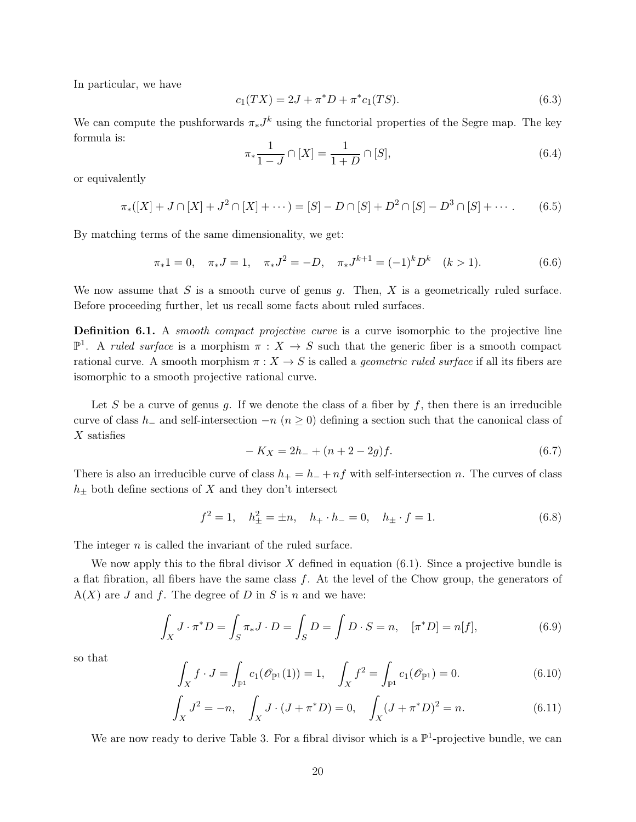In particular, we have

$$
c_1(TX) = 2J + \pi^*D + \pi^*c_1(TS). \tag{6.3}
$$

We can compute the pushforwards  $\pi_* J^k$  using the functorial properties of the Segre map. The key formula is:

$$
\pi_* \frac{1}{1 - J} \cap [X] = \frac{1}{1 + D} \cap [S],\tag{6.4}
$$

or equivalently

$$
\pi_*([X] + J \cap [X] + J^2 \cap [X] + \cdots) = [S] - D \cap [S] + D^2 \cap [S] - D^3 \cap [S] + \cdots
$$
 (6.5)

By matching terms of the same dimensionality, we get:

$$
\pi_* 1 = 0, \quad \pi_* J = 1, \quad \pi_* J^2 = -D, \quad \pi_* J^{k+1} = (-1)^k D^k \quad (k > 1). \tag{6.6}
$$

We now assume that  $S$  is a smooth curve of genus  $g$ . Then,  $X$  is a geometrically ruled surface. Before proceeding further, let us recall some facts about ruled surfaces.

Definition 6.1. A *smooth compact projective curve* is a curve isomorphic to the projective line  $\mathbb{P}^1$ . A ruled surface is a morphism  $\pi : X \to S$  such that the generic fiber is a smooth compact rational curve. A smooth morphism  $\pi : X \to S$  is called a *geometric ruled surface* if all its fibers are isomorphic to a smooth projective rational curve.

Let S be a curve of genus g. If we denote the class of a fiber by  $f$ , then there is an irreducible curve of class h<sub>−</sub> and self-intersection  $-n$  ( $n \ge 0$ ) defining a section such that the canonical class of  $X$  satisfies

$$
-K_X = 2h_- + (n+2-2g)f.
$$
\n(6.7)

There is also an irreducible curve of class  $h_+ = h_- + nf$  with self-intersection n. The curves of class  $h_{\pm}$  both define sections of X and they don't intersect

$$
f^{2} = 1, \quad h_{\pm}^{2} = \pm n, \quad h_{+} \cdot h_{-} = 0, \quad h_{\pm} \cdot f = 1.
$$
 (6.8)

The integer  $n$  is called the invariant of the ruled surface.

We now apply this to the fibral divisor  $X$  defined in equation  $(6.1)$ . Since a projective bundle is a flat fibration, all fibers have the same class  $f$ . At the level of the Chow group, the generators of  $A(X)$  are J and f. The degree of D in S is n and we have:

$$
\int_{X} J \cdot \pi^* D = \int_{S} \pi_* J \cdot D = \int_{S} D = \int D \cdot S = n, \quad [\pi^* D] = n[f],
$$
\n(6.9)

so that

$$
\int_X f \cdot J = \int_{\mathbb{P}^1} c_1(\mathscr{O}_{\mathbb{P}^1}(1)) = 1, \quad \int_X f^2 = \int_{\mathbb{P}^1} c_1(\mathscr{O}_{\mathbb{P}^1}) = 0. \tag{6.10}
$$

$$
\int_X J^2 = -n, \quad \int_X J \cdot (J + \pi^* D) = 0, \quad \int_X (J + \pi^* D)^2 = n. \tag{6.11}
$$

We are now ready to derive Table [3.](#page-19-1) For a fibral divisor which is a  $\mathbb{P}^1$ -projective bundle, we can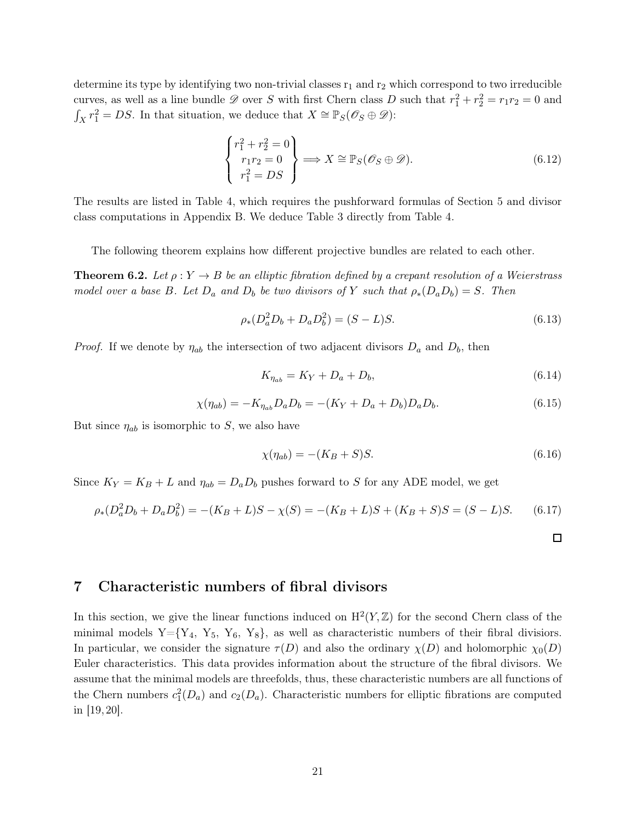determine its type by identifying two non-trivial classes  $r_1$  and  $r_2$  which correspond to two irreducible curves, as well as a line bundle  $\mathscr D$  over S with first Chern class D such that  $r_1^2 + r_2^2 = r_1 r_2 = 0$  and  $\int_X r_1^2 = DS$ . In that situation, we deduce that  $X \cong \mathbb{P}_S(\mathscr{O}_S \oplus \mathscr{D})$ :

$$
\begin{Bmatrix} r_1^2 + r_2^2 = 0 \\ r_1 r_2 = 0 \\ r_1^2 = DS \end{Bmatrix} \Longrightarrow X \cong \mathbb{P}_S(\mathscr{O}_S \oplus \mathscr{D}). \tag{6.12}
$$

The results are listed in Table [4,](#page-22-1) which requires the pushforward formulas of Section [5](#page-16-0) and divisor class computations in Appendix [B.](#page-37-0) We deduce Table [3](#page-19-1) directly from Table [4.](#page-22-1)

The following theorem explains how different projective bundles are related to each other.

**Theorem 6.2.** Let  $\rho: Y \to B$  be an elliptic fibration defined by a crepant resolution of a Weierstrass model over a base B. Let  $D_a$  and  $D_b$  be two divisors of Y such that  $\rho_*(D_a D_b) = S$ . Then

$$
\rho_*(D_a^2 D_b + D_a D_b^2) = (S - L)S. \tag{6.13}
$$

*Proof.* If we denote by  $\eta_{ab}$  the intersection of two adjacent divisors  $D_a$  and  $D_b$ , then

$$
K_{\eta_{ab}} = K_Y + D_a + D_b,\tag{6.14}
$$

$$
\chi(\eta_{ab}) = -K_{\eta_{ab}} D_a D_b = -(K_Y + D_a + D_b) D_a D_b.
$$
\n(6.15)

But since  $\eta_{ab}$  is isomorphic to S, we also have

$$
\chi(\eta_{ab}) = -(K_B + S)S.
$$
\n(6.16)

Since  $K_Y = K_B + L$  and  $\eta_{ab} = D_a D_b$  pushes forward to S for any ADE model, we get

$$
\rho_*(D_a^2 D_b + D_a D_b^2) = -(K_B + L)S - \chi(S) = -(K_B + L)S + (K_B + S)S = (S - L)S. \tag{6.17}
$$

 $\Box$ 

## <span id="page-21-0"></span>7 Characteristic numbers of fibral divisors

In this section, we give the linear functions induced on  $H^2(Y,\mathbb{Z})$  for the second Chern class of the minimal models  $Y = \{Y_4, Y_5, Y_6, Y_8\}$ , as well as characteristic numbers of their fibral divisiors. In particular, we consider the signature  $\tau(D)$  and also the ordinary  $\chi(D)$  and holomorphic  $\chi_0(D)$ Euler characteristics. This data provides information about the structure of the fibral divisors. We assume that the minimal models are threefolds, thus, these characteristic numbers are all functions of the Chern numbers  $c_1^2(D_a)$  and  $c_2(D_a)$ . Characteristic numbers for elliptic fibrations are computed in [\[19,](#page-50-7) [20\]](#page-50-3).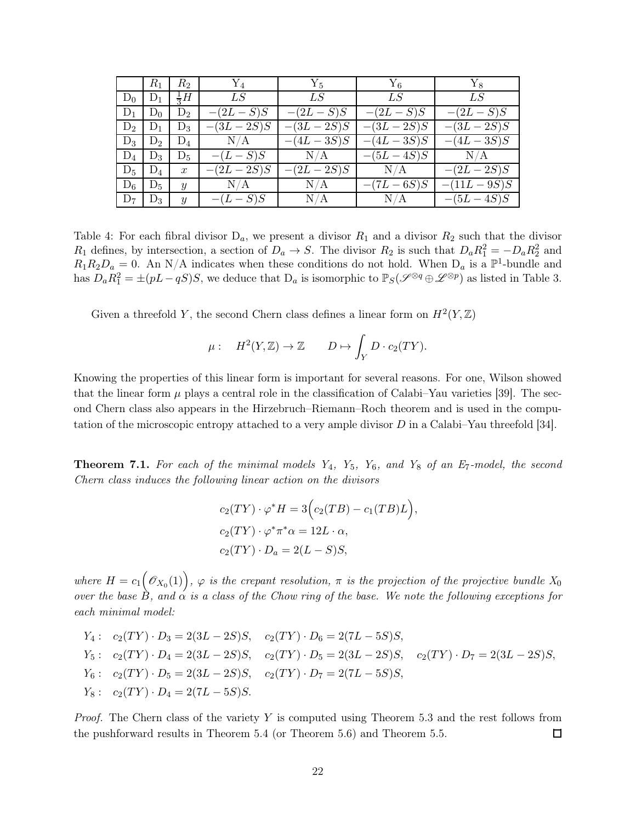<span id="page-22-1"></span>

|       | $R_1$ | $R_2$            | ${\rm Y}_4$  | $Y_5$         | $Y_6$         | $Y_8$          |
|-------|-------|------------------|--------------|---------------|---------------|----------------|
| $D_0$ | $D_1$ | $\frac{1}{2}H$   | LS           | LS            | LS            | LS             |
| $D_1$ | $D_0$ | $D_2$            | $-(2L - S)S$ | $-(2L-S)S$    | $-(2L - S)S$  | $-(2L - S)S$   |
| $D_2$ | $D_1$ | $D_3$            | $-(3L-2S)S$  | $-(3L-2S)S$   | $-(3L-2S)S$   | $-(3L-2S)S$    |
| $D_3$ | $D_2$ | $D_4$            | N/A          | $-(4L - 3S)S$ | $-(4L - 3S)S$ | $-(4L - 3S)S$  |
| $D_4$ | $D_3$ | $D_5$            | $-(L-S)S$    | $\rm N/A$     | $-(5L-4S)S$   | N/A            |
| $D_5$ | $D_4$ | $\boldsymbol{x}$ | $-(2L-2S)S$  | $-(2L-2S)S$   | $\rm N/A$     | $-(2L-2S)S$    |
| $D_6$ | $D_5$ | $\boldsymbol{y}$ | $\rm N/A$    | $\rm N/A$     | $-(7L - 6S)S$ | $-(11L - 9S)S$ |
| $D_7$ | $D_3$ | $\boldsymbol{y}$ | $-(L-S)S$    | N/A           | N/A           | $-(5L-4S)S$    |

Table 4: For each fibral divisor  $D_a$ , we present a divisor  $R_1$  and a divisor  $R_2$  such that the divisor  $R_1$  defines, by intersection, a section of  $D_a \to S$ . The divisor  $R_2$  is such that  $D_a R_1^2 = -D_a R_2^2$  and  $R_1R_2D_a = 0$ . An N/A indicates when these conditions do not hold. When  $D_a$  is a  $\mathbb{P}^1$ -bundle and has  $D_a R_1^2 = \pm (pL - qS)S$ , we deduce that  $D_a$  is isomorphic to  $\mathbb{P}_S(\mathscr{S}^{\otimes q} \oplus \mathscr{L}^{\otimes p})$  as listed in Table [3.](#page-19-1)

Given a threefold Y, the second Chern class defines a linear form on  $H^2(Y,\mathbb{Z})$ 

$$
\mu: \quad H^2(Y,\mathbb{Z}) \to \mathbb{Z} \qquad D \mapsto \int_Y D \cdot c_2(TY).
$$

Knowing the properties of this linear form is important for several reasons. For one, Wilson showed that the linear form  $\mu$  plays a central role in the classification of Calabi–Yau varieties [\[39\]](#page-51-1). The second Chern class also appears in the Hirzebruch–Riemann–Roch theorem and is used in the computation of the microscopic entropy attached to a very ample divisor  $D$  in a Calabi–Yau threefold [\[34\]](#page-51-2).

<span id="page-22-0"></span>**Theorem 7.1.** For each of the minimal models  $Y_4$ ,  $Y_5$ ,  $Y_6$ , and  $Y_8$  of an  $E_7$ -model, the second Chern class induces the following linear action on the divisors

$$
c_2(TY) \cdot \varphi^* H = 3\Big(c_2(TB) - c_1(TB)L\Big),
$$
  
\n
$$
c_2(TY) \cdot \varphi^* \pi^* \alpha = 12L \cdot \alpha,
$$
  
\n
$$
c_2(TY) \cdot D_a = 2(L - S)S,
$$

where  $H = c_1(\mathscr{O}_{X_0}(1)), \varphi$  is the crepant resolution,  $\pi$  is the projection of the projective bundle  $X_0$ over the base  $\hat{B}$ , and  $\hat{\alpha}$  is a class of the Chow ring of the base. We note the following exceptions for each minimal model:

$$
Y_4: c_2(TY) \cdot D_3 = 2(3L - 2S)S, c_2(TY) \cdot D_6 = 2(7L - 5S)S,
$$
  
\n
$$
Y_5: c_2(TY) \cdot D_4 = 2(3L - 2S)S, c_2(TY) \cdot D_5 = 2(3L - 2S)S, c_2(TY) \cdot D_7 = 2(3L - 2S)S,
$$
  
\n
$$
Y_6: c_2(TY) \cdot D_5 = 2(3L - 2S)S, c_2(TY) \cdot D_7 = 2(7L - 5S)S,
$$
  
\n
$$
Y_8: c_2(TY) \cdot D_4 = 2(7L - 5S)S.
$$

*Proof.* The Chern class of the variety  $Y$  is computed using Theorem [5.3](#page-16-4) and the rest follows from the pushforward results in Theorem [5.4](#page-16-2) (or Theorem [5.6\)](#page-16-1) and Theorem [5.5.](#page-16-3) 口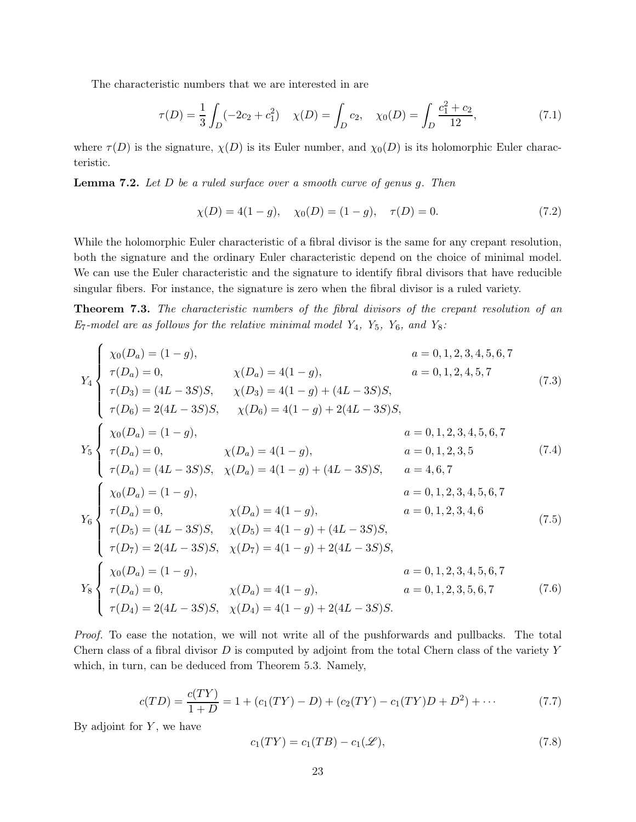The characteristic numbers that we are interested in are

$$
\tau(D) = \frac{1}{3} \int_D (-2c_2 + c_1^2) \quad \chi(D) = \int_D c_2, \quad \chi_0(D) = \int_D \frac{c_1^2 + c_2}{12}, \tag{7.1}
$$

where  $\tau(D)$  is the signature,  $\chi(D)$  is its Euler number, and  $\chi_0(D)$  is its holomorphic Euler characteristic.

**Lemma 7.2.** Let  $D$  be a ruled surface over a smooth curve of genus  $g$ . Then

$$
\chi(D) = 4(1 - g), \quad \chi_0(D) = (1 - g), \quad \tau(D) = 0.
$$
\n(7.2)

While the holomorphic Euler characteristic of a fibral divisor is the same for any crepant resolution, both the signature and the ordinary Euler characteristic depend on the choice of minimal model. We can use the Euler characteristic and the signature to identify fibral divisors that have reducible singular fibers. For instance, the signature is zero when the fibral divisor is a ruled variety.

<span id="page-23-0"></span>Theorem 7.3. The characteristic numbers of the fibral divisors of the crepant resolution of an  $E_7$ -model are as follows for the relative minimal model  $Y_4$ ,  $Y_5$ ,  $Y_6$ , and  $Y_8$ :

$$
Y_4\begin{cases}\n\chi_0(D_a) = (1-g), & a = 0, 1, 2, 3, 4, 5, 6, 7 \\
\tau(D_a) = 0, & \chi(D_a) = 4(1-g), & a = 0, 1, 2, 4, 5, 7 \\
\tau(D_6) = 2(4L - 3S)S, & \chi(D_6) = 4(1-g) + (4L - 3S)S, \\
\tau(D_6) = 2(4L - 3S)S, & \chi(D_6) = 4(1-g) + 2(4L - 3S)S,\n\end{cases}\n\chi_5\begin{cases}\n\chi_0(D_a) = (1-g), & a = 0, 1, 2, 3, 4, 5, 6, 7 \\
\tau(D_a) = 0, & \chi(D_a) = 4(1-g), & a = 0, 1, 2, 3, 5 \\
\tau(D_a) = (4L - 3S)S, & \chi(D_a) = 4(1-g) + (4L - 3S)S, & a = 4, 6, 7 \\
\chi_0(D_a) = (1-g), & a = 0, 1, 2, 3, 4, 5, 6, 7 \\
\tau(D_b) = 0, & \chi(D_a) = 4(1-g), & a = 0, 1, 2, 3, 4, 6 \\
\tau(D_5) = (4L - 3S)S, & \chi(D_5) = 4(1-g) + (4L - 3S)S, \\
\tau(D_7) = 2(4L - 3S)S, & \chi(D_7) = 4(1-g) + 2(4L - 3S)S, & a = 0, 1, 2, 3, 4, 5, 6, 7 \\
\chi_6\begin{cases}\n\chi_0(D_a) = (1-g), & a = 0, 1, 2, 3, 4, 5, 6, 7 \\
\chi(D_a) = 0, & \chi(D_a) = 4(1-g), & a = 0, 1, 2, 3, 4, 5, 6, 7 \\
\tau(D_a) = 0, & \chi(D_a) = 4(1-g), & a = 0, 1, 2, 3, 5, 6, 7 \\
\tau(D_a) = 0, & \chi(D_a) = 4(1-g), & a = 0, 1, 2, 3, 5, 6, 7 \\
\tau(D_a) = 2(4L - 3S)S, & \chi(D_4) = 4(1-g) + 2(4L - 3
$$

Proof. To ease the notation, we will not write all of the pushforwards and pullbacks. The total Chern class of a fibral divisor  $D$  is computed by adjoint from the total Chern class of the variety  $Y$ which, in turn, can be deduced from Theorem [5.3.](#page-16-4) Namely,

$$
c(TD) = \frac{c(TY)}{1+D} = 1 + (c_1(TY) - D) + (c_2(TY) - c_1(TY)D + D^2) + \cdots
$$
\n(7.7)

By adjoint for  $Y$ , we have

$$
c_1(TY) = c_1(TB) - c_1(\mathcal{L}),\tag{7.8}
$$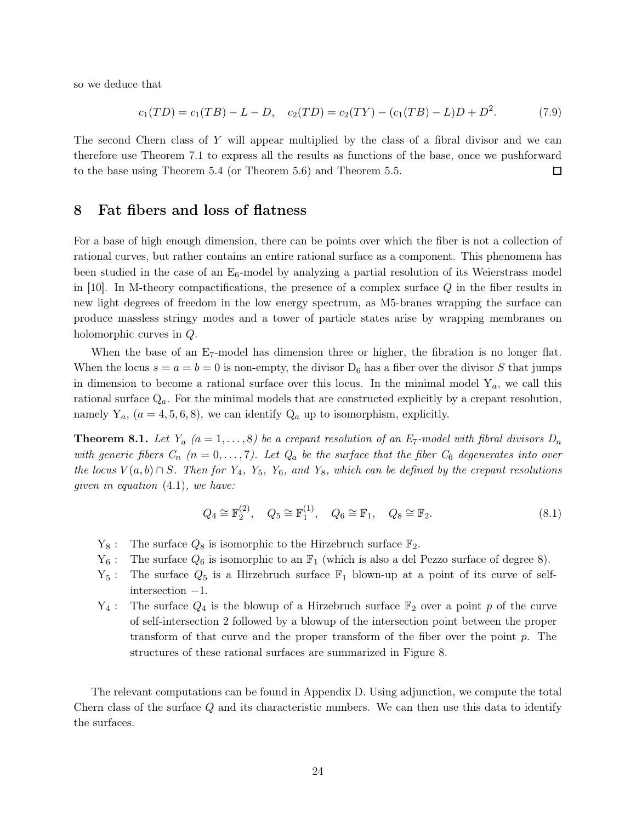so we deduce that

$$
c_1(TD) = c_1(TB) - L - D, \quad c_2(TD) = c_2(TY) - (c_1(TB) - L)D + D^2. \tag{7.9}
$$

The second Chern class of Y will appear multiplied by the class of a fibral divisor and we can therefore use Theorem [7.1](#page-22-0) to express all the results as functions of the base, once we pushforward to the base using Theorem [5.4](#page-16-2) (or Theorem [5.6\)](#page-16-1) and Theorem [5.5.](#page-16-3) □

## <span id="page-24-0"></span>8 Fat fibers and loss of flatness

For a base of high enough dimension, there can be points over which the fiber is not a collection of rational curves, but rather contains an entire rational surface as a component. This phenomena has been studied in the case of an  $E_6$ -model by analyzing a partial resolution of its Weierstrass model in [\[10\]](#page-49-7). In M-theory compactifications, the presence of a complex surface  $Q$  in the fiber results in new light degrees of freedom in the low energy spectrum, as M5-branes wrapping the surface can produce massless stringy modes and a tower of particle states arise by wrapping membranes on holomorphic curves in Q.

When the base of an E<sub>7</sub>-model has dimension three or higher, the fibration is no longer flat. When the locus  $s = a = b = 0$  is non-empty, the divisor  $D_6$  has a fiber over the divisor S that jumps in dimension to become a rational surface over this locus. In the minimal model  $Y_a$ , we call this rational surface  $Q_a$ . For the minimal models that are constructed explicitly by a crepant resolution, namely  $Y_a$ ,  $(a = 4, 5, 6, 8)$ , we can identify  $Q_a$  up to isomorphism, explicitly.

<span id="page-24-1"></span>**Theorem 8.1.** Let  $Y_a$   $(a = 1, ..., 8)$  be a crepant resolution of an  $E_7$ -model with fibral divisors  $D_n$ with generic fibers  $C_n$   $(n = 0, \ldots, 7)$ . Let  $Q_a$  be the surface that the fiber  $C_6$  degenerates into over the locus  $V(a, b) \cap S$ . Then for  $Y_4$ ,  $Y_5$ ,  $Y_6$ , and  $Y_8$ , which can be defined by the crepant resolutions given in equation [\(4.1\)](#page-14-1), we have:

$$
Q_4 \cong \mathbb{F}_2^{(2)}, \quad Q_5 \cong \mathbb{F}_1^{(1)}, \quad Q_6 \cong \mathbb{F}_1, \quad Q_8 \cong \mathbb{F}_2. \tag{8.1}
$$

- $Y_8$ : The surface  $Q_8$  is isomorphic to the Hirzebruch surface  $\mathbb{F}_2$ .
- $Y_6$ : The surface  $Q_6$  is isomorphic to an  $\mathbb{F}_1$  (which is also a del Pezzo surface of degree 8).
- $Y_5$ : The surface  $Q_5$  is a Hirzebruch surface  $\mathbb{F}_1$  blown-up at a point of its curve of selfintersection −1.
- $Y_4$ : The surface  $Q_4$  is the blowup of a Hirzebruch surface  $\mathbb{F}_2$  over a point p of the curve of self-intersection 2 followed by a blowup of the intersection point between the proper transform of that curve and the proper transform of the fiber over the point  $p$ . The structures of these rational surfaces are summarized in Figure [8.](#page-25-0)

The relevant computations can be found in Appendix [D.](#page-44-1) Using adjunction, we compute the total Chern class of the surface  $Q$  and its characteristic numbers. We can then use this data to identify the surfaces.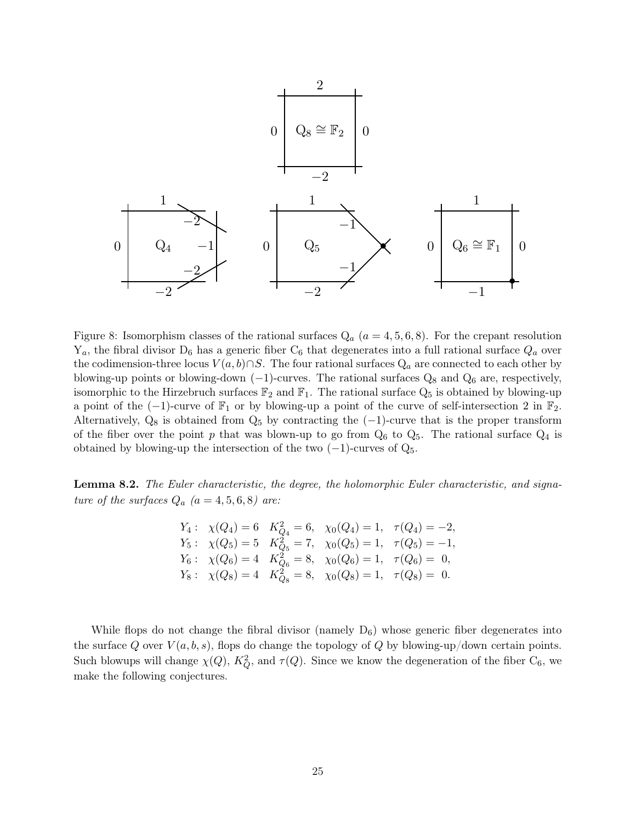<span id="page-25-0"></span>

Figure 8: Isomorphism classes of the rational surfaces  $Q_a$   $(a = 4, 5, 6, 8)$ . For the crepant resolution  $Y_a$ , the fibral divisor  $D_6$  has a generic fiber  $C_6$  that degenerates into a full rational surface  $Q_a$  over the codimension-three locus  $V(a, b) \cap S$ . The four rational surfaces  $Q_a$  are connected to each other by blowing-up points or blowing-down  $(-1)$ -curves. The rational surfaces  $Q_8$  and  $Q_6$  are, respectively, isomorphic to the Hirzebruch surfaces  $\mathbb{F}_2$  and  $\mathbb{F}_1$ . The rational surface  $Q_5$  is obtained by blowing-up a point of the  $(-1)$ -curve of  $\mathbb{F}_1$  or by blowing-up a point of the curve of self-intersection 2 in  $\mathbb{F}_2$ . Alternatively,  $Q_8$  is obtained from  $Q_5$  by contracting the  $(-1)$ -curve that is the proper transform of the fiber over the point p that was blown-up to go from  $Q_6$  to  $Q_5$ . The rational surface  $Q_4$  is obtained by blowing-up the intersection of the two  $(-1)$ -curves of  $Q_5$ .

Lemma 8.2. The Euler characteristic, the degree, the holomorphic Euler characteristic, and signature of the surfaces  $Q_a$   $(a = 4, 5, 6, 8)$  are:

$$
Y_4: \chi(Q_4) = 6 \quad K_{Q_4}^2 = 6, \quad \chi_0(Q_4) = 1, \quad \tau(Q_4) = -2,
$$
  
\n
$$
Y_5: \chi(Q_5) = 5 \quad K_{Q_5}^2 = 7, \quad \chi_0(Q_5) = 1, \quad \tau(Q_5) = -1,
$$
  
\n
$$
Y_6: \chi(Q_6) = 4 \quad K_{Q_6}^2 = 8, \quad \chi_0(Q_6) = 1, \quad \tau(Q_6) = 0,
$$
  
\n
$$
Y_8: \chi(Q_8) = 4 \quad K_{Q_8}^2 = 8, \quad \chi_0(Q_8) = 1, \quad \tau(Q_8) = 0.
$$

While flops do not change the fibral divisor (namely  $D_6$ ) whose generic fiber degenerates into the surface Q over  $V(a, b, s)$ , flops do change the topology of Q by blowing-up/down certain points. Such blowups will change  $\chi(Q)$ ,  $K_Q^2$ , and  $\tau(Q)$ . Since we know the degeneration of the fiber  $C_6$ , we make the following conjectures.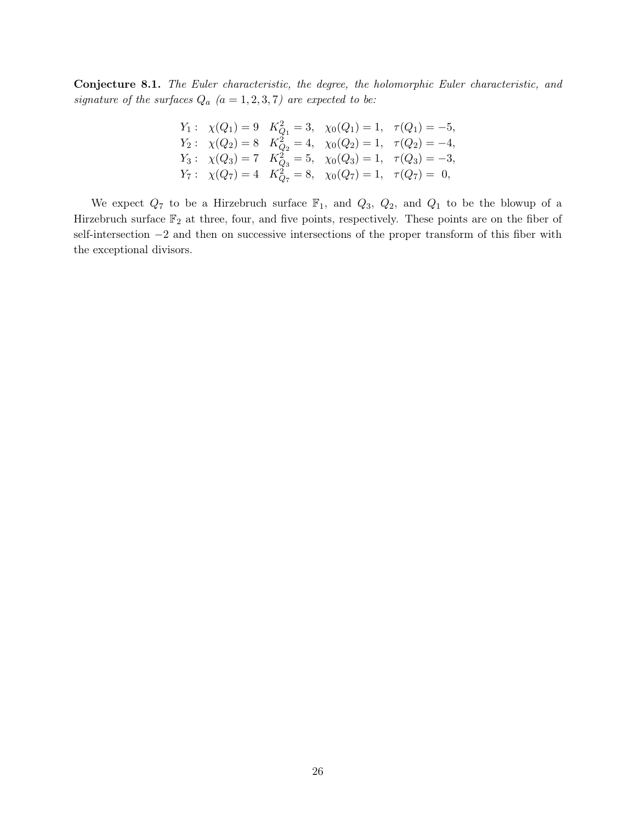Conjecture 8.1. The Euler characteristic, the degree, the holomorphic Euler characteristic, and signature of the surfaces  $Q_a$   $(a = 1, 2, 3, 7)$  are expected to be:

$$
Y_1: \ \chi(Q_1) = 9 \quad K_{Q_1}^2 = 3, \ \chi_0(Q_1) = 1, \ \tau(Q_1) = -5,
$$
  
\n
$$
Y_2: \ \chi(Q_2) = 8 \quad K_{Q_2}^2 = 4, \ \chi_0(Q_2) = 1, \ \tau(Q_2) = -4,
$$
  
\n
$$
Y_3: \ \chi(Q_3) = 7 \quad K_{Q_3}^2 = 5, \ \chi_0(Q_3) = 1, \ \tau(Q_3) = -3,
$$
  
\n
$$
Y_7: \ \chi(Q_7) = 4 \quad K_{Q_7}^2 = 8, \ \chi_0(Q_7) = 1, \ \tau(Q_7) = 0,
$$

We expect  $Q_7$  to be a Hirzebruch surface  $\mathbb{F}_1$ , and  $Q_3$ ,  $Q_2$ , and  $Q_1$  to be the blowup of a Hirzebruch surface  $\mathbb{F}_2$  at three, four, and five points, respectively. These points are on the fiber of self-intersection  $-2$  and then on successive intersections of the proper transform of this fiber with the exceptional divisors.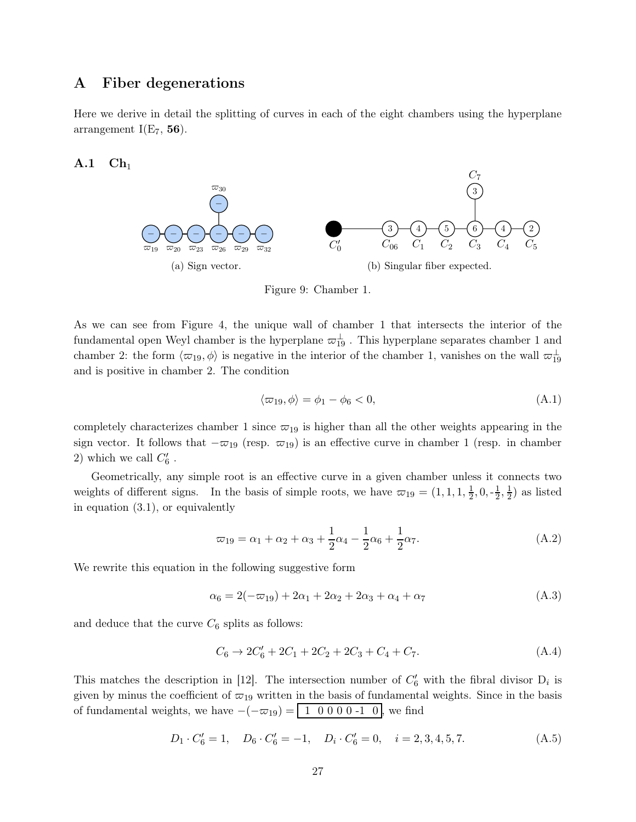## <span id="page-27-0"></span>A Fiber degenerations

Here we derive in detail the splitting of curves in each of the eight chambers using the hyperplane arrangement  $I(E_7, 56)$ .

<span id="page-27-1"></span> $A.1$   $Ch<sub>1</sub>$ 



Figure 9: Chamber 1.

As we can see from Figure [4,](#page-8-0) the unique wall of chamber 1 that intersects the interior of the fundamental open Weyl chamber is the hyperplane  $\varpi_{19}^{\perp}$ . This hyperplane separates chamber 1 and chamber 2: the form  $\langle \varpi_{19}, \phi \rangle$  is negative in the interior of the chamber 1, vanishes on the wall  $\varpi_{19}^{\perp}$ and is positive in chamber 2. The condition

$$
\langle \varpi_{19}, \phi \rangle = \phi_1 - \phi_6 < 0,\tag{A.1}
$$

completely characterizes chamber 1 since  $\varpi_{19}$  is higher than all the other weights appearing in the sign vector. It follows that  $-\varpi_{19}$  (resp.  $\varpi_{19}$ ) is an effective curve in chamber 1 (resp. in chamber 2) which we call  $C'_6$ .

Geometrically, any simple root is an effective curve in a given chamber unless it connects two weights of different signs. In the basis of simple roots, we have  $\varpi_{19} = (1, 1, 1, \frac{1}{2})$  $\frac{1}{2}, 0, -\frac{1}{2}$  $\frac{1}{2}, \frac{1}{2}$  $(\frac{1}{2})$  as listed in equation [\(3.1\)](#page-10-1), or equivalently

$$
\varpi_{19} = \alpha_1 + \alpha_2 + \alpha_3 + \frac{1}{2}\alpha_4 - \frac{1}{2}\alpha_6 + \frac{1}{2}\alpha_7. \tag{A.2}
$$

We rewrite this equation in the following suggestive form

$$
\alpha_6 = 2(-\varpi_{19}) + 2\alpha_1 + 2\alpha_2 + 2\alpha_3 + \alpha_4 + \alpha_7 \tag{A.3}
$$

and deduce that the curve  $C_6$  splits as follows:

$$
C_6 \to 2C'_6 + 2C_1 + 2C_2 + 2C_3 + C_4 + C_7. \tag{A.4}
$$

This matches the description in [\[12\]](#page-49-2). The intersection number of  $C'_6$  with the fibral divisor  $D_i$  is given by minus the coefficient of  $\varpi_{19}$  written in the basis of fundamental weights. Since in the basis of fundamental weights, we have  $-(-\varpi_{19}) = \begin{bmatrix} 1 & 0 & 0 & 0 & -1 & 0 \end{bmatrix}$ , we find

$$
D_1 \cdot C'_6 = 1, \quad D_6 \cdot C'_6 = -1, \quad D_i \cdot C'_6 = 0, \quad i = 2, 3, 4, 5, 7. \tag{A.5}
$$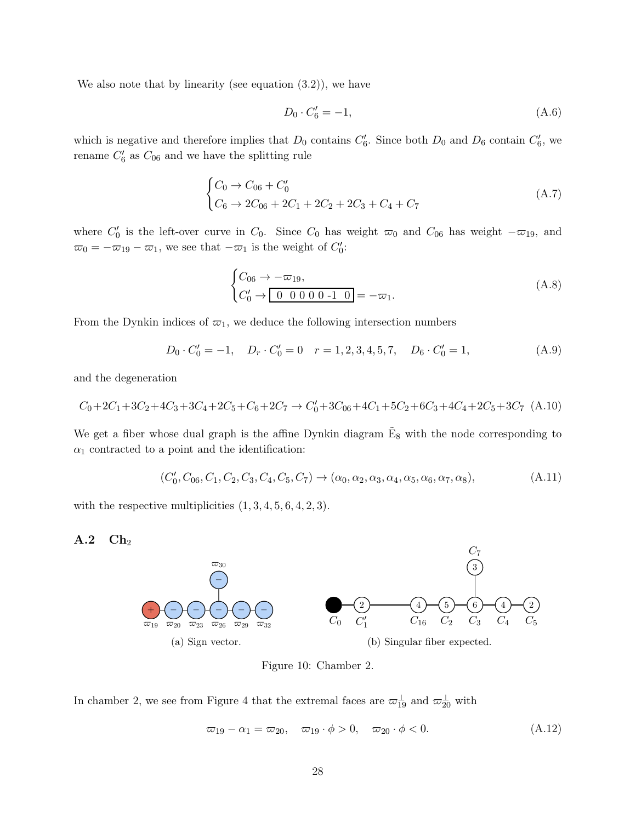We also note that by linearity (see equation  $(3.2)$ ), we have

$$
D_0 \cdot C'_6 = -1,\tag{A.6}
$$

which is negative and therefore implies that  $D_0$  contains  $C'_6$ . Since both  $D_0$  and  $D_6$  contain  $C'_6$ , we rename  $C'_6$  as  $C_{06}$  and we have the splitting rule

$$
\begin{cases}\nC_0 \to C_{06} + C'_0 \\
C_6 \to 2C_{06} + 2C_1 + 2C_2 + 2C_3 + C_4 + C_7\n\end{cases}
$$
\n(A.7)

where  $C'_0$  is the left-over curve in  $C_0$ . Since  $C_0$  has weight  $\varpi_0$  and  $C_{06}$  has weight  $-\varpi_{19}$ , and  $\overline{\omega}_0 = -\overline{\omega}_{19} - \overline{\omega}_1$ , we see that  $-\overline{\omega}_1$  is the weight of  $C'_0$ :

$$
\begin{cases}\nC_{06} \to -\varpi_{19}, \\
C_0' \to \boxed{0 \ 0 \ 0 \ 0 \ 0 \ -1 \ 0} = -\varpi_1.\n\end{cases}
$$
\n(A.8)

From the Dynkin indices of  $\varpi_1$ , we deduce the following intersection numbers

$$
D_0 \cdot C'_0 = -1, \quad D_r \cdot C'_0 = 0 \quad r = 1, 2, 3, 4, 5, 7, \quad D_6 \cdot C'_0 = 1,\tag{A.9}
$$

and the degeneration

$$
C_0 + 2C_1 + 3C_2 + 4C_3 + 3C_4 + 2C_5 + C_6 + 2C_7 \rightarrow C'_0 + 3C_{06} + 4C_1 + 5C_2 + 6C_3 + 4C_4 + 2C_5 + 3C_7
$$
 (A.10)

We get a fiber whose dual graph is the affine Dynkin diagram  $\tilde{E}_8$  with the node corresponding to  $\alpha_1$  contracted to a point and the identification:

$$
(C'_0, C_{06}, C_1, C_2, C_3, C_4, C_5, C_7) \rightarrow (\alpha_0, \alpha_2, \alpha_3, \alpha_4, \alpha_5, \alpha_6, \alpha_7, \alpha_8),
$$
\n(A.11)

<span id="page-28-0"></span>with the respective multiplicities  $(1, 3, 4, 5, 6, 4, 2, 3)$ .

#### $\mathbf{A.2} \quad \mathbf{Ch}_2$



Figure 10: Chamber 2.

In chamber 2, we see from Figure [4](#page-8-0) that the extremal faces are  $\varpi_{19}^{\perp}$  and  $\varpi_{20}^{\perp}$  with

$$
\varpi_{19} - \alpha_1 = \varpi_{20}, \quad \varpi_{19} \cdot \phi > 0, \quad \varpi_{20} \cdot \phi < 0. \tag{A.12}
$$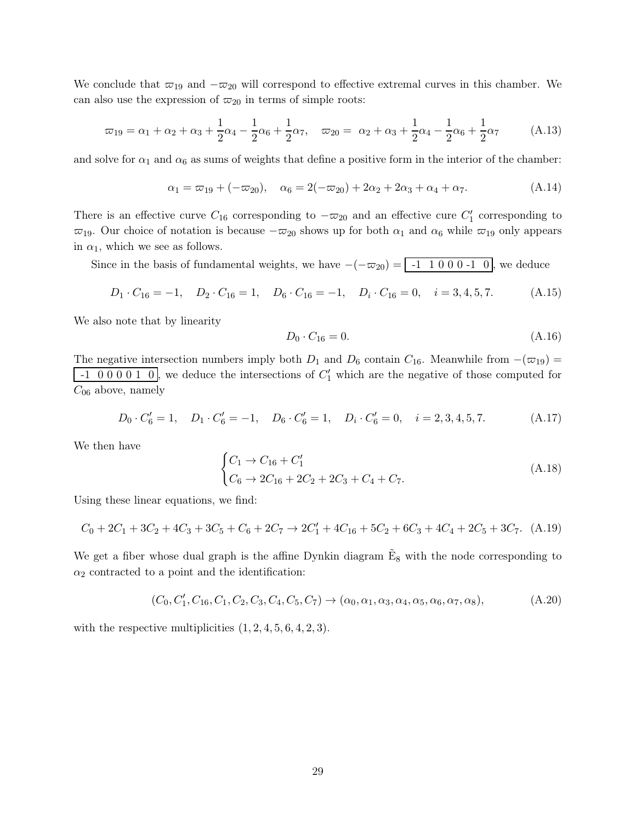We conclude that  $\overline{\omega}_{19}$  and  $-\overline{\omega}_{20}$  will correspond to effective extremal curves in this chamber. We can also use the expression of  $\varpi_{20}$  in terms of simple roots:

$$
\varpi_{19} = \alpha_1 + \alpha_2 + \alpha_3 + \frac{1}{2}\alpha_4 - \frac{1}{2}\alpha_6 + \frac{1}{2}\alpha_7, \quad \varpi_{20} = \alpha_2 + \alpha_3 + \frac{1}{2}\alpha_4 - \frac{1}{2}\alpha_6 + \frac{1}{2}\alpha_7 \tag{A.13}
$$

and solve for  $\alpha_1$  and  $\alpha_6$  as sums of weights that define a positive form in the interior of the chamber:

$$
\alpha_1 = \varpi_{19} + (-\varpi_{20}), \quad \alpha_6 = 2(-\varpi_{20}) + 2\alpha_2 + 2\alpha_3 + \alpha_4 + \alpha_7. \tag{A.14}
$$

There is an effective curve  $C_{16}$  corresponding to  $-\varpi_{20}$  and an effective cure  $C'_{1}$  corresponding to  $\overline{\omega}_{19}$ . Our choice of notation is because  $-\overline{\omega}_{20}$  shows up for both  $\alpha_1$  and  $\alpha_6$  while  $\overline{\omega}_{19}$  only appears in  $\alpha_1$ , which we see as follows.

Since in the basis of fundamental weights, we have  $-(-\infty_{20}) = -1 \quad 1 \quad 0 \quad 0 \quad 0 \quad -1 \quad 0$ , we deduce

$$
D_1 \cdot C_{16} = -1, \quad D_2 \cdot C_{16} = 1, \quad D_6 \cdot C_{16} = -1, \quad D_i \cdot C_{16} = 0, \quad i = 3, 4, 5, 7. \tag{A.15}
$$

We also note that by linearity

$$
D_0 \cdot C_{16} = 0. \tag{A.16}
$$

The negative intersection numbers imply both  $D_1$  and  $D_6$  contain  $C_{16}$ . Meanwhile from  $-(\varpi_{19})$  =  $-1$  0 0 0 0 1 0, we deduce the intersections of  $C_1'$  which are the negative of those computed for  $C_{06}$  above, namely

$$
D_0 \cdot C'_6 = 1, \quad D_1 \cdot C'_6 = -1, \quad D_6 \cdot C'_6 = 1, \quad D_i \cdot C'_6 = 0, \quad i = 2, 3, 4, 5, 7. \tag{A.17}
$$

We then have

$$
\begin{cases}\nC_1 \to C_{16} + C'_1 \\
C_6 \to 2C_{16} + 2C_2 + 2C_3 + C_4 + C_7.\n\end{cases}
$$
\n(A.18)

Using these linear equations, we find:

$$
C_0 + 2C_1 + 3C_2 + 4C_3 + 3C_5 + C_6 + 2C_7 \rightarrow 2C_1' + 4C_{16} + 5C_2 + 6C_3 + 4C_4 + 2C_5 + 3C_7. \tag{A.19}
$$

We get a fiber whose dual graph is the affine Dynkin diagram  $\tilde{E}_8$  with the node corresponding to  $\alpha_2$  contracted to a point and the identification:

$$
(C_0, C'_1, C_{16}, C_1, C_2, C_3, C_4, C_5, C_7) \to (\alpha_0, \alpha_1, \alpha_3, \alpha_4, \alpha_5, \alpha_6, \alpha_7, \alpha_8),
$$
 (A.20)

with the respective multiplicities  $(1, 2, 4, 5, 6, 4, 2, 3)$ .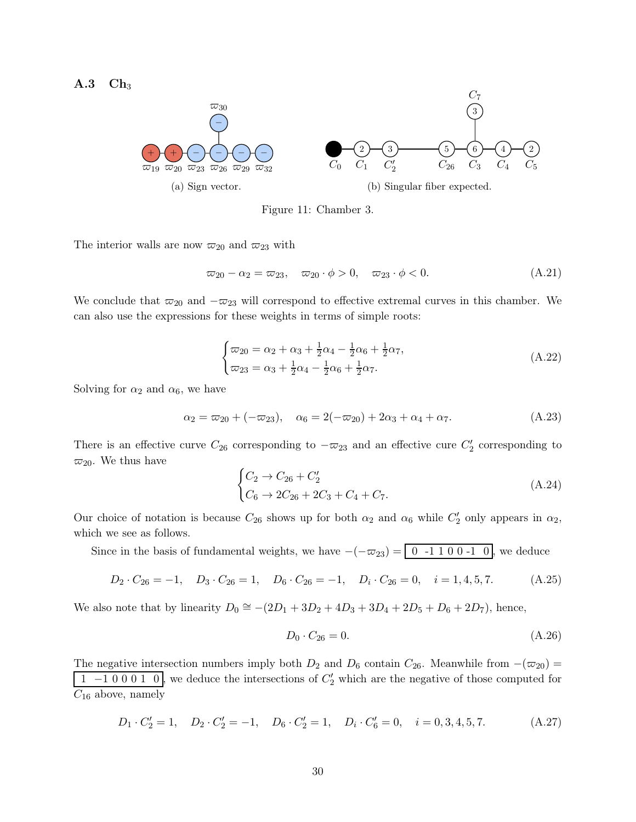<span id="page-30-0"></span> $A.3$   $Ch<sub>3</sub>$ 



Figure 11: Chamber 3.

The interior walls are now  $\varpi_{20}$  and  $\varpi_{23}$  with

$$
\varpi_{20} - \alpha_2 = \varpi_{23}, \quad \varpi_{20} \cdot \phi > 0, \quad \varpi_{23} \cdot \phi < 0.
$$
\n(A.21)

We conclude that  $\varpi_{20}$  and  $-\varpi_{23}$  will correspond to effective extremal curves in this chamber. We can also use the expressions for these weights in terms of simple roots:

$$
\begin{cases} \n\varpi_{20} = \alpha_2 + \alpha_3 + \frac{1}{2}\alpha_4 - \frac{1}{2}\alpha_6 + \frac{1}{2}\alpha_7, \\ \n\varpi_{23} = \alpha_3 + \frac{1}{2}\alpha_4 - \frac{1}{2}\alpha_6 + \frac{1}{2}\alpha_7. \n\end{cases} \tag{A.22}
$$

Solving for  $\alpha_2$  and  $\alpha_6$ , we have

$$
\alpha_2 = \omega_{20} + (-\omega_{23}), \quad \alpha_6 = 2(-\omega_{20}) + 2\alpha_3 + \alpha_4 + \alpha_7. \tag{A.23}
$$

There is an effective curve  $C_{26}$  corresponding to  $-\overline{\omega}_{23}$  and an effective cure  $C'_{2}$  corresponding to  $\varpi_{20}$ . We thus have

$$
\begin{cases}\nC_2 \to C_{26} + C'_2 \\
C_6 \to 2C_{26} + 2C_3 + C_4 + C_7.\n\end{cases}
$$
\n(A.24)

Our choice of notation is because  $C_{26}$  shows up for both  $\alpha_2$  and  $\alpha_6$  while  $C'_2$  only appears in  $\alpha_2$ , which we see as follows.

Since in the basis of fundamental weights, we have  $-(-\varpi_{23}) = \boxed{0 -1, 1, 0, 0, -1, 0}$ , we deduce

$$
D_2 \cdot C_{26} = -1, \quad D_3 \cdot C_{26} = 1, \quad D_6 \cdot C_{26} = -1, \quad D_i \cdot C_{26} = 0, \quad i = 1, 4, 5, 7. \tag{A.25}
$$

We also note that by linearity  $D_0 \cong -(2D_1 + 3D_2 + 4D_3 + 3D_4 + 2D_5 + D_6 + 2D_7)$ , hence,

$$
D_0 \cdot C_{26} = 0. \tag{A.26}
$$

The negative intersection numbers imply both  $D_2$  and  $D_6$  contain  $C_{26}$ . Meanwhile from  $-(\varpi_{20})$  = 1 –1 0 0 0 1 0, we deduce the intersections of  $C_2'$  which are the negative of those computed for  $C_{16}$  above, namely

$$
D_1 \cdot C_2' = 1, \quad D_2 \cdot C_2' = -1, \quad D_6 \cdot C_2' = 1, \quad D_i \cdot C_6' = 0, \quad i = 0, 3, 4, 5, 7. \tag{A.27}
$$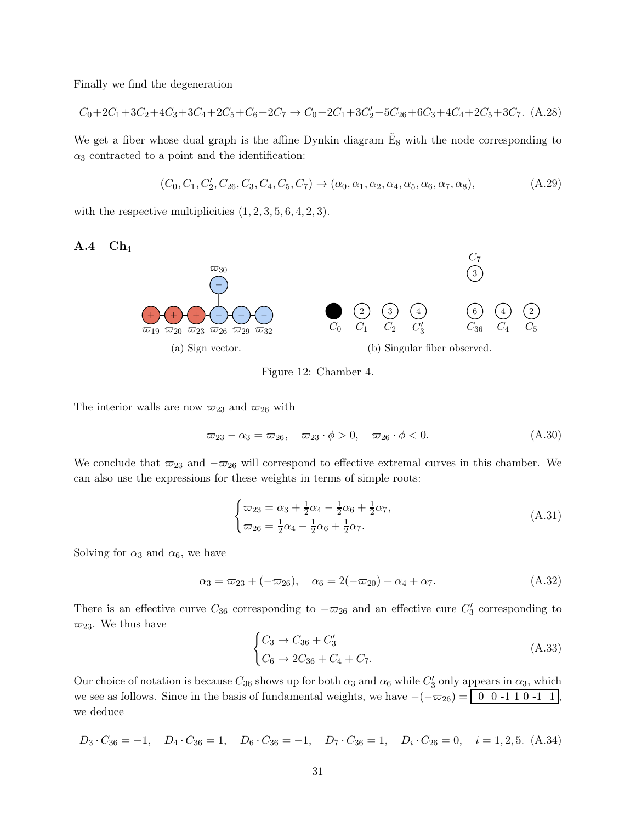Finally we find the degeneration

$$
C_0 + 2C_1 + 3C_2 + 4C_3 + 3C_4 + 2C_5 + C_6 + 2C_7 \rightarrow C_0 + 2C_1 + 3C_2' + 5C_2 + 6C_3 + 4C_4 + 2C_5 + 3C_7. \tag{A.28}
$$

We get a fiber whose dual graph is the affine Dynkin diagram  $\tilde{E}_8$  with the node corresponding to  $\alpha_3$  contracted to a point and the identification:

$$
(C_0, C_1, C'_2, C_{26}, C_3, C_4, C_5, C_7) \to (\alpha_0, \alpha_1, \alpha_2, \alpha_4, \alpha_5, \alpha_6, \alpha_7, \alpha_8),
$$
\n(A.29)

<span id="page-31-0"></span>with the respective multiplicities  $(1, 2, 3, 5, 6, 4, 2, 3)$ .

 $A.4 \text{ Ch}_4$ 



Figure 12: Chamber 4.

The interior walls are now  $\varpi_{23}$  and  $\varpi_{26}$  with

$$
\varpi_{23} - \alpha_3 = \varpi_{26}, \quad \varpi_{23} \cdot \phi > 0, \quad \varpi_{26} \cdot \phi < 0. \tag{A.30}
$$

We conclude that  $\overline{\omega}_{23}$  and  $-\overline{\omega}_{26}$  will correspond to effective extremal curves in this chamber. We can also use the expressions for these weights in terms of simple roots:

$$
\begin{cases} \n\varpi_{23} = \alpha_3 + \frac{1}{2}\alpha_4 - \frac{1}{2}\alpha_6 + \frac{1}{2}\alpha_7, \\ \n\varpi_{26} = \frac{1}{2}\alpha_4 - \frac{1}{2}\alpha_6 + \frac{1}{2}\alpha_7. \n\end{cases} \tag{A.31}
$$

Solving for  $\alpha_3$  and  $\alpha_6$ , we have

$$
\alpha_3 = \varpi_{23} + (-\varpi_{26}), \quad \alpha_6 = 2(-\varpi_{20}) + \alpha_4 + \alpha_7. \tag{A.32}
$$

There is an effective curve  $C_{36}$  corresponding to  $-\overline{\omega}_{26}$  and an effective cure  $C'_{3}$  corresponding to  $\varpi_{23}$ . We thus have

$$
\begin{cases}\nC_3 \to C_{36} + C'_3 \\
C_6 \to 2C_{36} + C_4 + C_7.\n\end{cases}
$$
\n(A.33)

Our choice of notation is because  $C_{36}$  shows up for both  $\alpha_3$  and  $\alpha_6$  while  $C'_3$  only appears in  $\alpha_3$ , which we see as follows. Since in the basis of fundamental weights, we have  $-(-\omega_{26}) = \begin{bmatrix} 0 & 0 & -1 & 1 & 0 & -1 & 1 \\ 0 & 0 & -1 & 1 & 0 & -1 & 1 \end{bmatrix}$ we deduce

$$
D_3 \cdot C_{36} = -1, \quad D_4 \cdot C_{36} = 1, \quad D_6 \cdot C_{36} = -1, \quad D_7 \cdot C_{36} = 1, \quad D_i \cdot C_{26} = 0, \quad i = 1, 2, 5. \tag{A.34}
$$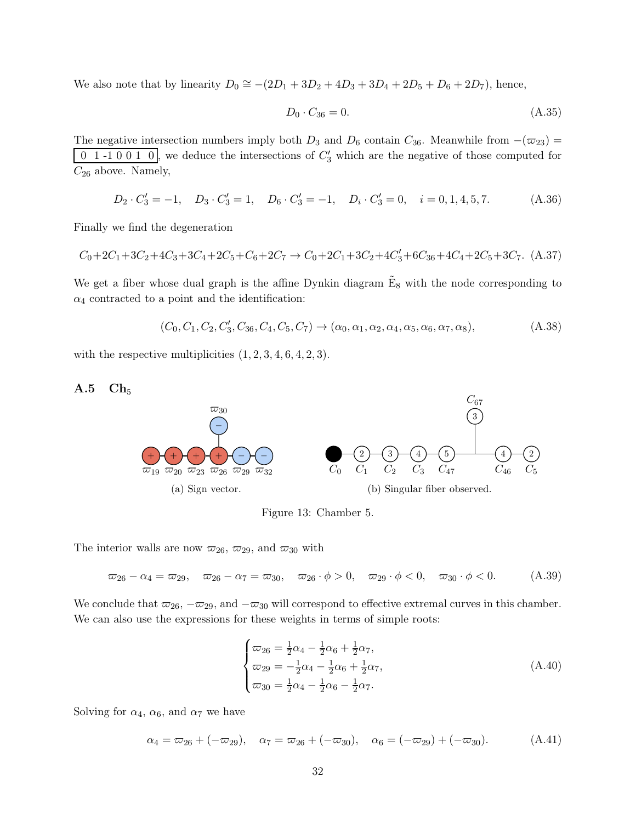We also note that by linearity  $D_0 \cong -(2D_1 + 3D_2 + 4D_3 + 3D_4 + 2D_5 + D_6 + 2D_7)$ , hence,

$$
D_0 \cdot C_{36} = 0. \tag{A.35}
$$

The negative intersection numbers imply both  $D_3$  and  $D_6$  contain  $C_{36}$ . Meanwhile from  $-(\varpi_{23})$  =  $\overline{0}$  1 -1 0 0 1 0, we deduce the intersections of  $C_3'$  which are the negative of those computed for  $C_{26}$  above. Namely,

$$
D_2 \cdot C_3' = -1, \quad D_3 \cdot C_3' = 1, \quad D_6 \cdot C_3' = -1, \quad D_i \cdot C_3' = 0, \quad i = 0, 1, 4, 5, 7. \tag{A.36}
$$

Finally we find the degeneration

$$
C_0 + 2C_1 + 3C_2 + 4C_3 + 3C_4 + 2C_5 + C_6 + 2C_7 \rightarrow C_0 + 2C_1 + 3C_2 + 4C_3' + 6C_{36} + 4C_4 + 2C_5 + 3C_7. \tag{A.37}
$$

We get a fiber whose dual graph is the affine Dynkin diagram  $\tilde{E}_8$  with the node corresponding to  $\alpha_4$  contracted to a point and the identification:

$$
(C_0, C_1, C_2, C'_3, C_{36}, C_4, C_5, C_7) \rightarrow (\alpha_0, \alpha_1, \alpha_2, \alpha_4, \alpha_5, \alpha_6, \alpha_7, \alpha_8),
$$
 (A.38)

<span id="page-32-0"></span>with the respective multiplicities  $(1, 2, 3, 4, 6, 4, 2, 3)$ .

#### $A.5$   $Ch_5$



Figure 13: Chamber 5.

The interior walls are now  $\varpi_{26}$ ,  $\varpi_{29}$ , and  $\varpi_{30}$  with

 $\overline{\omega}_{26} - \alpha_4 = \overline{\omega}_{29}, \quad \overline{\omega}_{26} - \alpha_7 = \overline{\omega}_{30}, \quad \overline{\omega}_{26} \cdot \phi > 0, \quad \overline{\omega}_{29} \cdot \phi < 0, \quad \overline{\omega}_{30} \cdot \phi < 0.$ (A.39)

We conclude that  $\overline{\omega}_{26}$ ,  $-\overline{\omega}_{29}$ , and  $-\overline{\omega}_{30}$  will correspond to effective extremal curves in this chamber. We can also use the expressions for these weights in terms of simple roots:

$$
\begin{cases}\n\varpi_{26} = \frac{1}{2}\alpha_4 - \frac{1}{2}\alpha_6 + \frac{1}{2}\alpha_7, \\
\varpi_{29} = -\frac{1}{2}\alpha_4 - \frac{1}{2}\alpha_6 + \frac{1}{2}\alpha_7, \\
\varpi_{30} = \frac{1}{2}\alpha_4 - \frac{1}{2}\alpha_6 - \frac{1}{2}\alpha_7.\n\end{cases} (A.40)
$$

Solving for  $\alpha_4$ ,  $\alpha_6$ , and  $\alpha_7$  we have

$$
\alpha_4 = \varpi_{26} + (-\varpi_{29}), \quad \alpha_7 = \varpi_{26} + (-\varpi_{30}), \quad \alpha_6 = (-\varpi_{29}) + (-\varpi_{30}). \tag{A.41}
$$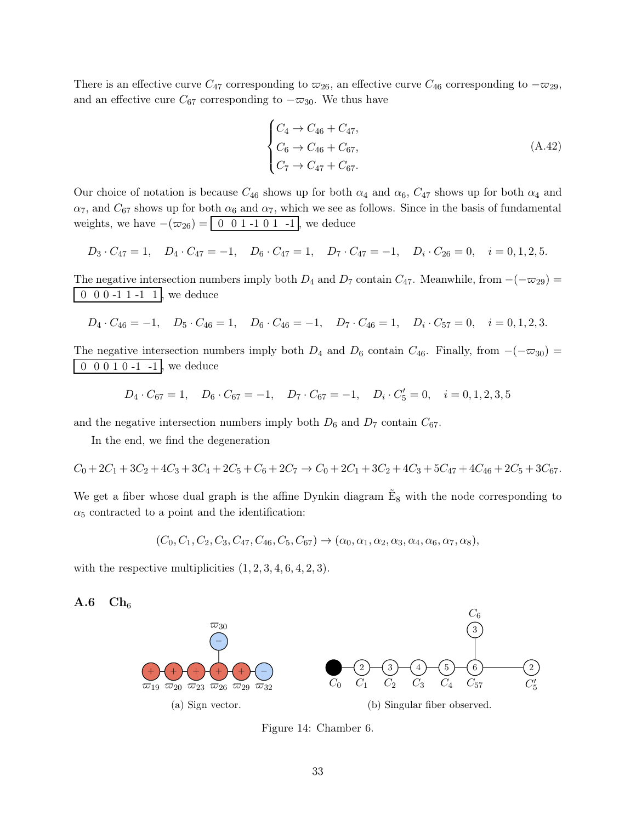There is an effective curve  $C_{47}$  corresponding to  $\varpi_{26}$ , an effective curve  $C_{46}$  corresponding to  $-\varpi_{29}$ , and an effective cure  $C_{67}$  corresponding to  $-\varpi_{30}$ . We thus have

$$
\begin{cases}\nC_4 \to C_{46} + C_{47}, \nC_6 \to C_{46} + C_{67}, \nC_7 \to C_{47} + C_{67}.\n\end{cases}
$$
\n(A.42)

Our choice of notation is because  $C_{46}$  shows up for both  $\alpha_4$  and  $\alpha_6$ ,  $C_{47}$  shows up for both  $\alpha_4$  and  $\alpha_7$ , and  $C_{67}$  shows up for both  $\alpha_6$  and  $\alpha_7$ , which we see as follows. Since in the basis of fundamental weights, we have  $-(\varpi_{26}) = \begin{bmatrix} 0 & 0 & 1 & -1 & 0 & 1 & -1 \end{bmatrix}$ , we deduce

$$
D_3 \cdot C_{47} = 1, \quad D_4 \cdot C_{47} = -1, \quad D_6 \cdot C_{47} = 1, \quad D_7 \cdot C_{47} = -1, \quad D_i \cdot C_{26} = 0, \quad i = 0, 1, 2, 5.
$$

The negative intersection numbers imply both  $D_4$  and  $D_7$  contain  $C_{47}$ . Meanwhile, from  $-(-\varpi_{29})$  = 0 0 0 -1 1 -1 1, we deduce

$$
D_4 \cdot C_{46} = -1, \quad D_5 \cdot C_{46} = 1, \quad D_6 \cdot C_{46} = -1, \quad D_7 \cdot C_{46} = 1, \quad D_i \cdot C_{57} = 0, \quad i = 0, 1, 2, 3.
$$

The negative intersection numbers imply both  $D_4$  and  $D_6$  contain  $C_{46}$ . Finally, from  $-(-\infty_{30})$  = 0 0 0 1 0 -1 -1 , we deduce

$$
D_4 \cdot C_{67} = 1, \quad D_6 \cdot C_{67} = -1, \quad D_7 \cdot C_{67} = -1, \quad D_i \cdot C'_5 = 0, \quad i = 0, 1, 2, 3, 5
$$

and the negative intersection numbers imply both  $D_6$  and  $D_7$  contain  $C_{67}$ .

In the end, we find the degeneration

$$
C_0 + 2C_1 + 3C_2 + 4C_3 + 3C_4 + 2C_5 + C_6 + 2C_7 \rightarrow C_0 + 2C_1 + 3C_2 + 4C_3 + 5C_4 + 4C_4 + 2C_5 + 3C_6 + 2C_7.
$$

We get a fiber whose dual graph is the affine Dynkin diagram  $\tilde{E}_8$  with the node corresponding to  $\alpha_5$  contracted to a point and the identification:

$$
(C_0, C_1, C_2, C_3, C_{47}, C_{46}, C_5, C_{67}) \rightarrow (\alpha_0, \alpha_1, \alpha_2, \alpha_3, \alpha_4, \alpha_6, \alpha_7, \alpha_8),
$$

<span id="page-33-0"></span>with the respective multiplicities  $(1, 2, 3, 4, 6, 4, 2, 3)$ .





Figure 14: Chamber 6.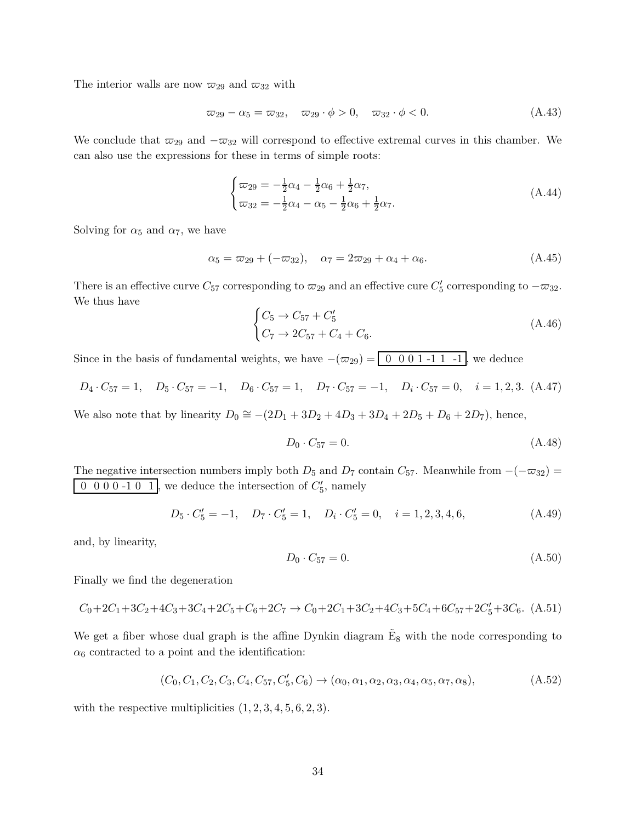The interior walls are now  $\varpi_{29}$  and  $\varpi_{32}$  with

$$
\varpi_{29} - \alpha_5 = \varpi_{32}, \quad \varpi_{29} \cdot \phi > 0, \quad \varpi_{32} \cdot \phi < 0. \tag{A.43}
$$

We conclude that  $\varpi_{29}$  and  $-\varpi_{32}$  will correspond to effective extremal curves in this chamber. We can also use the expressions for these in terms of simple roots:

$$
\begin{cases} \n\varpi_{29} = -\frac{1}{2}\alpha_4 - \frac{1}{2}\alpha_6 + \frac{1}{2}\alpha_7, \\ \n\varpi_{32} = -\frac{1}{2}\alpha_4 - \alpha_5 - \frac{1}{2}\alpha_6 + \frac{1}{2}\alpha_7. \n\end{cases} \tag{A.44}
$$

Solving for  $\alpha_5$  and  $\alpha_7$ , we have

$$
\alpha_5 = \omega_{29} + (-\omega_{32}), \quad \alpha_7 = 2\omega_{29} + \alpha_4 + \alpha_6. \tag{A.45}
$$

There is an effective curve  $C_{57}$  corresponding to  $\varpi_{29}$  and an effective cure  $C'_{5}$  corresponding to  $-\varpi_{32}$ . We thus have

$$
\begin{cases}\nC_5 \to C_{57} + C'_5 \\
C_7 \to 2C_{57} + C_4 + C_6.\n\end{cases} (A.46)
$$

Since in the basis of fundamental weights, we have  $-(\varpi_{29}) = \boxed{0 \ 0 \ 0 \ 1 \ -1 \ 1 \ -1}$ , we deduce

$$
D_4 \cdot C_{57} = 1, \quad D_5 \cdot C_{57} = -1, \quad D_6 \cdot C_{57} = 1, \quad D_7 \cdot C_{57} = -1, \quad D_i \cdot C_{57} = 0, \quad i = 1, 2, 3. \tag{A.47}
$$

We also note that by linearity  $D_0 \cong -(2D_1 + 3D_2 + 4D_3 + 3D_4 + 2D_5 + D_6 + 2D_7)$ , hence,

$$
D_0 \cdot C_{57} = 0. \tag{A.48}
$$

The negative intersection numbers imply both  $D_5$  and  $D_7$  contain  $C_{57}$ . Meanwhile from  $-(-\varpi_{32})$  =  $\overline{0}$  0 0 0 -1 0  $\overline{1}$ , we deduce the intersection of  $C'_{5}$ , namely

$$
D_5 \cdot C_5' = -1, \quad D_7 \cdot C_5' = 1, \quad D_i \cdot C_5' = 0, \quad i = 1, 2, 3, 4, 6,
$$
\n(A.49)

and, by linearity,

$$
D_0 \cdot C_{57} = 0. \tag{A.50}
$$

Finally we find the degeneration

$$
C_0 + 2C_1 + 3C_2 + 4C_3 + 3C_4 + 2C_5 + C_6 + 2C_7 \rightarrow C_0 + 2C_1 + 3C_2 + 4C_3 + 5C_4 + 6C_5 + 2C_5' + 3C_6. \tag{A.51}
$$

We get a fiber whose dual graph is the affine Dynkin diagram  $\tilde{E}_8$  with the node corresponding to  $\alpha_6$  contracted to a point and the identification:

$$
(C_0, C_1, C_2, C_3, C_4, C_{57}, C'_5, C_6) \to (\alpha_0, \alpha_1, \alpha_2, \alpha_3, \alpha_4, \alpha_5, \alpha_7, \alpha_8),
$$
\n(A.52)

with the respective multiplicities  $(1, 2, 3, 4, 5, 6, 2, 3)$ .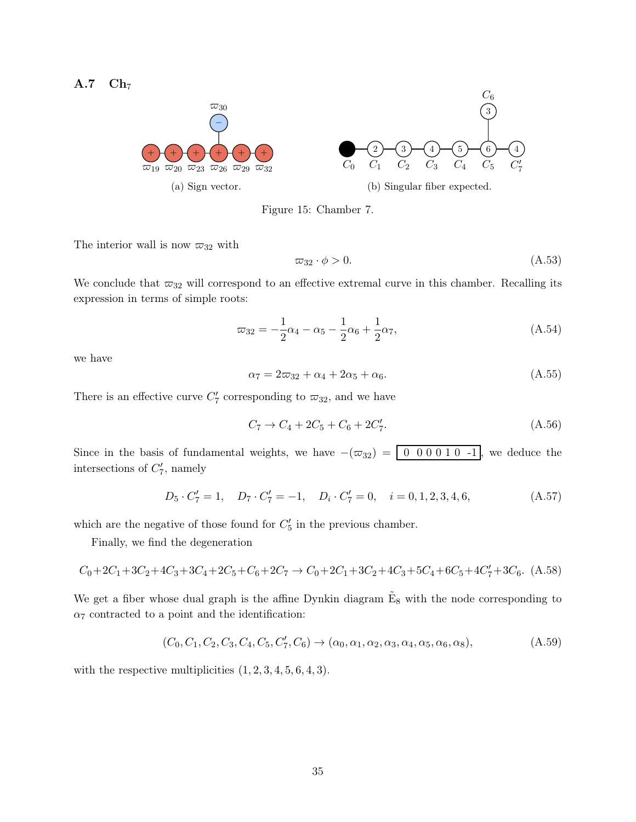<span id="page-35-0"></span>
$$
A.7\quad Ch_7
$$



Figure 15: Chamber 7.

The interior wall is now  $\varpi_{32}$  with

$$
\varpi_{32} \cdot \phi > 0. \tag{A.53}
$$

We conclude that  $\varpi_{32}$  will correspond to an effective extremal curve in this chamber. Recalling its expression in terms of simple roots:

$$
\varpi_{32} = -\frac{1}{2}\alpha_4 - \alpha_5 - \frac{1}{2}\alpha_6 + \frac{1}{2}\alpha_7,\tag{A.54}
$$

we have

$$
\alpha_7 = 2\varpi_{32} + \alpha_4 + 2\alpha_5 + \alpha_6. \tag{A.55}
$$

There is an effective curve  $C_7'$  corresponding to  $\varpi_{32}$ , and we have

$$
C_7 \to C_4 + 2C_5 + C_6 + 2C_7'.
$$
\n(A.56)

Since in the basis of fundamental weights, we have  $-(\varpi_{32}) = \begin{bmatrix} 0 & 0 & 0 & 0 & 1 & 0 & -1 \end{bmatrix}$ , we deduce the intersections of  $C_7'$ , namely

$$
D_5 \cdot C_7' = 1, \quad D_7 \cdot C_7' = -1, \quad D_i \cdot C_7' = 0, \quad i = 0, 1, 2, 3, 4, 6,
$$
 (A.57)

which are the negative of those found for  $C'_{5}$  in the previous chamber.

Finally, we find the degeneration

$$
C_0 + 2C_1 + 3C_2 + 4C_3 + 3C_4 + 2C_5 + C_6 + 2C_7 \rightarrow C_0 + 2C_1 + 3C_2 + 4C_3 + 5C_4 + 6C_5 + 4C_7' + 3C_6. \tag{A.58}
$$

We get a fiber whose dual graph is the affine Dynkin diagram  $\tilde{E}_8$  with the node corresponding to  $\alpha_7$  contracted to a point and the identification:

$$
(C_0, C_1, C_2, C_3, C_4, C_5, C_7', C_6) \to (\alpha_0, \alpha_1, \alpha_2, \alpha_3, \alpha_4, \alpha_5, \alpha_6, \alpha_8),
$$
\n(A.59)

with the respective multiplicities  $(1, 2, 3, 4, 5, 6, 4, 3)$ .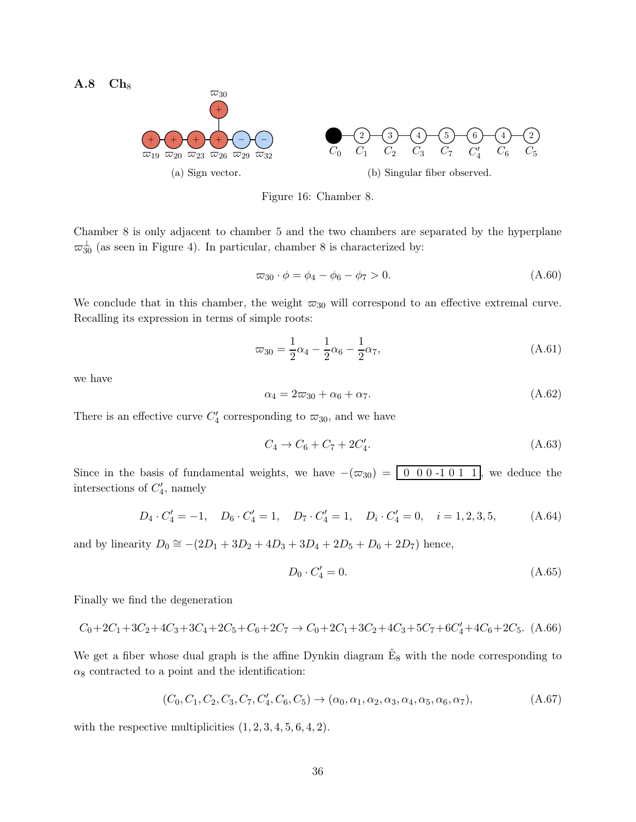<span id="page-36-0"></span> $A.8$   $Ch_8$ 



Figure 16: Chamber 8.

Chamber 8 is only adjacent to chamber 5 and the two chambers are separated by the hyperplane  $\varpi_{30}^{\perp}$  (as seen in Figure [4\)](#page-8-0). In particular, chamber 8 is characterized by:

$$
\varpi_{30} \cdot \phi = \phi_4 - \phi_6 - \phi_7 > 0. \tag{A.60}
$$

We conclude that in this chamber, the weight  $\varpi_{30}$  will correspond to an effective extremal curve. Recalling its expression in terms of simple roots:

$$
\varpi_{30} = \frac{1}{2}\alpha_4 - \frac{1}{2}\alpha_6 - \frac{1}{2}\alpha_7,\tag{A.61}
$$

we have

$$
\alpha_4 = 2\varpi_{30} + \alpha_6 + \alpha_7. \tag{A.62}
$$

There is an effective curve  $C_4'$  corresponding to  $\varpi_{30}$ , and we have

$$
C_4 \to C_6 + C_7 + 2C'_4. \tag{A.63}
$$

Since in the basis of fundamental weights, we have  $-(\varpi_{30}) = \begin{bmatrix} 0 & 0 & 0 & -1 & 0 & 1 & 1 \end{bmatrix}$ , we deduce the intersections of  $C_4'$ , namely

$$
D_4 \cdot C_4' = -1, \quad D_6 \cdot C_4' = 1, \quad D_7 \cdot C_4' = 1, \quad D_i \cdot C_4' = 0, \quad i = 1, 2, 3, 5,
$$
 (A.64)

and by linearity  $D_0 \cong -(2D_1 + 3D_2 + 4D_3 + 3D_4 + 2D_5 + D_6 + 2D_7)$  hence,

$$
D_0 \cdot C_4' = 0. \tag{A.65}
$$

Finally we find the degeneration

$$
C_0 + 2C_1 + 3C_2 + 4C_3 + 3C_4 + 2C_5 + C_6 + 2C_7 \rightarrow C_0 + 2C_1 + 3C_2 + 4C_3 + 5C_7 + 6C_4' + 4C_6 + 2C_5. \tag{A.66}
$$

We get a fiber whose dual graph is the affine Dynkin diagram  $\tilde{E}_8$  with the node corresponding to  $\alpha_8$  contracted to a point and the identification:

$$
(C_0, C_1, C_2, C_3, C_7, C'_4, C_6, C_5) \to (\alpha_0, \alpha_1, \alpha_2, \alpha_3, \alpha_4, \alpha_5, \alpha_6, \alpha_7),
$$
\n(A.67)

with the respective multiplicities  $(1, 2, 3, 4, 5, 6, 4, 2)$ .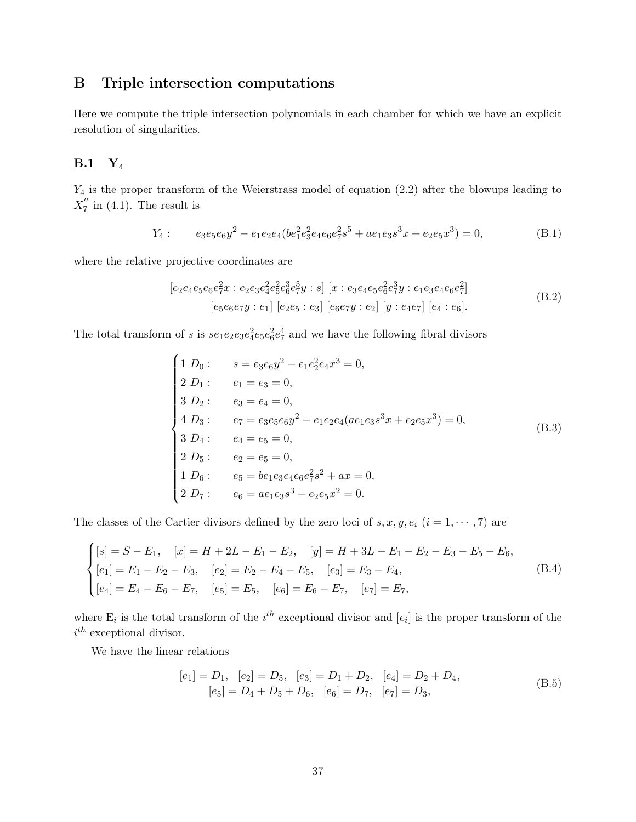## <span id="page-37-0"></span>B Triple intersection computations

Here we compute the triple intersection polynomials in each chamber for which we have an explicit resolution of singularities.

#### <span id="page-37-1"></span> $B.1 Y_4$

 $Y_4$  is the proper transform of the Weierstrass model of equation  $(2.2)$  after the blowups leading to  $X''_7$  $\frac{\pi}{7}$  in [\(4.1\)](#page-14-1). The result is

$$
Y_4: \qquad e_3e_5e_6y^2 - e_1e_2e_4(be_1^2e_3^2e_4e_6e_7^2s^5 + ae_1e_3s^3x + e_2e_5x^3) = 0,\tag{B.1}
$$

where the relative projective coordinates are

$$
[e_2e_4e_5e_6e_7^2x : e_2e_3e_4^2e_5^2e_6^3e_7^5y : s] [x : e_3e_4e_5e_6^2e_7^3y : e_1e_3e_4e_6e_7^2]
$$
  
\n
$$
[e_5e_6e_7y : e_1] [e_2e_5 : e_3] [e_6e_7y : e_2] [y : e_4e_7] [e_4 : e_6].
$$
  
\n(B.2)

The total transform of s is  $se_1e_2e_3e_4^2e_5e_6^2e_7^4$  and we have the following fibral divisors

$$
\begin{cases}\n1 D_0: \quad s = e_3 e_6 y^2 - e_1 e_2^2 e_4 x^3 = 0, \\
2 D_1: \quad e_1 = e_3 = 0, \\
3 D_2: \quad e_3 = e_4 = 0, \\
4 D_3: \quad e_7 = e_3 e_5 e_6 y^2 - e_1 e_2 e_4 (a e_1 e_3 s^3 x + e_2 e_5 x^3) = 0, \\
3 D_4: \quad e_4 = e_5 = 0, \\
2 D_5: \quad e_2 = e_5 = 0, \\
1 D_6: \quad e_5 = be_1 e_3 e_4 e_6 e_7^2 s^2 + ax = 0, \\
2 D_7: \quad e_6 = a e_1 e_3 s^3 + e_2 e_5 x^2 = 0.\n\end{cases} (B.3)
$$

The classes of the Cartier divisors defined by the zero loci of  $s, x, y, e_i$   $(i = 1, \dots, 7)$  are

$$
\begin{cases}\n[s] = S - E_1, & [x] = H + 2L - E_1 - E_2, & [y] = H + 3L - E_1 - E_2 - E_3 - E_5 - E_6, \\
[e_1] = E_1 - E_2 - E_3, & [e_2] = E_2 - E_4 - E_5, & [e_3] = E_3 - E_4, \\
[e_4] = E_4 - E_6 - E_7, & [e_5] = E_5, & [e_6] = E_6 - E_7, & [e_7] = E_7,\n\end{cases}\n\tag{B.4}
$$

where  $E_i$  is the total transform of the  $i^{th}$  exceptional divisor and  $[e_i]$  is the proper transform of the  $i^{th}$  exceptional divisor.

We have the linear relations

$$
[e_1] = D_1, \quad [e_2] = D_5, \quad [e_3] = D_1 + D_2, \quad [e_4] = D_2 + D_4, [e_5] = D_4 + D_5 + D_6, \quad [e_6] = D_7, \quad [e_7] = D_3,
$$
 (B.5)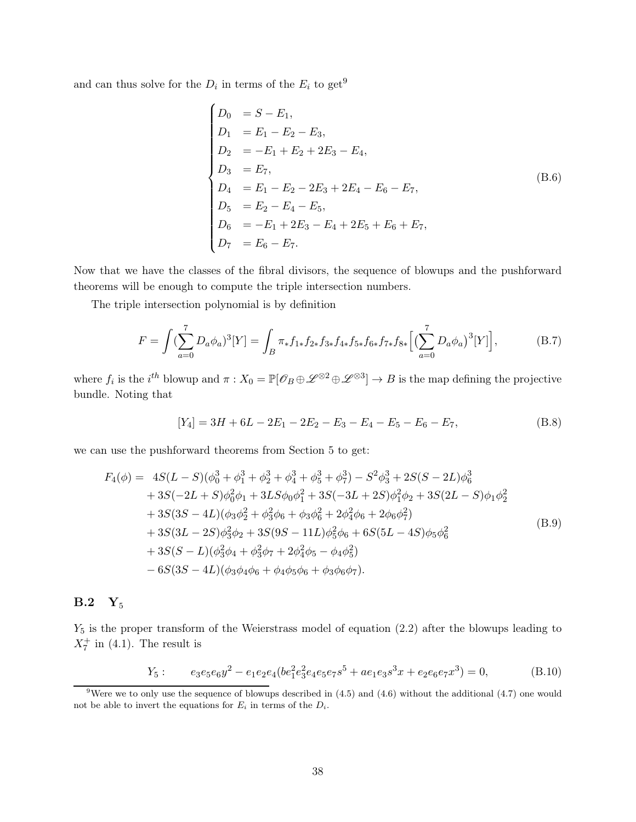and can thus solve for the  $D_i$  in terms of the  $E_i$  to get<sup>9</sup>

$$
\begin{cases}\nD_0 &= S - E_1, \\
D_1 &= E_1 - E_2 - E_3, \\
D_2 &= -E_1 + E_2 + 2E_3 - E_4, \\
D_3 &= E_7, \\
D_4 &= E_1 - E_2 - 2E_3 + 2E_4 - E_6 - E_7, \\
D_5 &= E_2 - E_4 - E_5, \\
D_6 &= -E_1 + 2E_3 - E_4 + 2E_5 + E_6 + E_7, \\
D_7 &= E_6 - E_7.\n\end{cases}
$$
\n(8.6)

Now that we have the classes of the fibral divisors, the sequence of blowups and the pushforward theorems will be enough to compute the triple intersection numbers.

The triple intersection polynomial is by definition

$$
F = \int (\sum_{a=0}^{7} D_a \phi_a)^3 [Y] = \int_B \pi_* f_{1*} f_{2*} f_{3*} f_{4*} f_{5*} f_{6*} f_{7*} f_{8*} \Big[ \big( \sum_{a=0}^{7} D_a \phi_a \big)^3 [Y] \Big], \tag{B.7}
$$

where  $f_i$  is the  $i^{th}$  blowup and  $\pi: X_0 = \mathbb{P}[\mathscr{O}_B \oplus \mathscr{L}^{\otimes 2} \oplus \mathscr{L}^{\otimes 3}] \to B$  is the map defining the projective bundle. Noting that

$$
[Y_4] = 3H + 6L - 2E_1 - 2E_2 - E_3 - E_4 - E_5 - E_6 - E_7,
$$
\n(B.8)

we can use the pushforward theorems from Section [5](#page-16-0) to get:

$$
F_4(\phi) = 4S(L - S)(\phi_0^3 + \phi_1^3 + \phi_2^3 + \phi_3^3 + \phi_5^3 + \phi_7^3) - S^2 \phi_3^3 + 2S(S - 2L)\phi_6^3
$$
  
+ 3S(-2L + S)\phi\_0^2 \phi\_1 + 3LS\phi\_0 \phi\_1^2 + 3S(-3L + 2S)\phi\_1^2 \phi\_2 + 3S(2L - S)\phi\_1 \phi\_2^2  
+ 3S(3S - 4L)(\phi\_3 \phi\_2^2 + \phi\_3^2 \phi\_6 + \phi\_3 \phi\_6^2 + 2\phi\_4^2 \phi\_6 + 2\phi\_6 \phi\_7^2)  
+ 3S(3L - 2S)\phi\_3^2 \phi\_2 + 3S(9S - 11L)\phi\_5^2 \phi\_6 + 6S(5L - 4S)\phi\_5 \phi\_6^2  
+ 3S(S - L)(\phi\_3^2 \phi\_4 + \phi\_3^2 \phi\_7 + 2\phi\_4^2 \phi\_5 - \phi\_4 \phi\_5^2)  
- 6S(3S - 4L)(\phi\_3 \phi\_4 \phi\_6 + \phi\_4 \phi\_5 \phi\_6 + \phi\_3 \phi\_6 \phi\_7). (B.9)

## <span id="page-38-0"></span> $B.2 Y_5$

 $Y_5$  is the proper transform of the Weierstrass model of equation [\(2.2\)](#page-4-2) after the blowups leading to  $X_7^+$  in [\(4.1\)](#page-14-1). The result is

$$
Y_5: \qquad e_3e_5e_6y^2 - e_1e_2e_4(e_1^2e_3^2e_4e_5e_7s^5 + ae_1e_3s^3x + e_2e_6e_7x^3) = 0,\tag{B.10}
$$

<sup>&</sup>lt;sup>9</sup>Were we to only use the sequence of blowups described in  $(4.5)$  and  $(4.6)$  without the additional  $(4.7)$  one would not be able to invert the equations for  $E_i$  in terms of the  $D_i$ .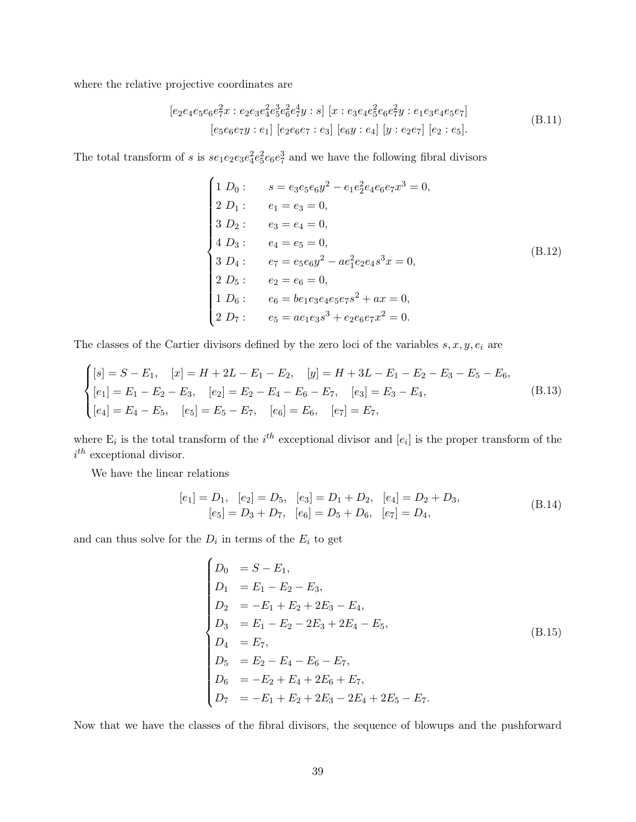where the relative projective coordinates are

$$
[e_2e_4e_5e_6e_7^2x : e_2e_3e_4^2e_5^3e_6^2e_7^4y : s] [x : e_3e_4e_5^2e_6e_7^2y : e_1e_3e_4e_5e_7]
$$
  
\n
$$
[e_5e_6e_7y : e_1] [e_2e_6e_7 : e_3] [e_6y : e_4] [y : e_2e_7] [e_2 : e_5].
$$
\n(B.11)

The total transform of s is  $se_1e_2e_3e_4^2e_5^2e_6e_7^3$  and we have the following fibral divisors

$$
\begin{cases}\n1 D_0: \quad s = e_3 e_5 e_6 y^2 - e_1 e_2^2 e_4 e_6 e_7 x^3 = 0, \\
2 D_1: \quad e_1 = e_3 = 0, \\
3 D_2: \quad e_3 = e_4 = 0, \\
4 D_3: \quad e_4 = e_5 = 0, \\
3 D_4: \quad e_7 = e_5 e_6 y^2 - a e_1^2 e_2 e_4 s^3 x = 0, \\
2 D_5: \quad e_2 = e_6 = 0, \\
1 D_6: \quad e_6 = be_1 e_3 e_4 e_5 e_7 s^2 + a x = 0, \\
2 D_7: \quad e_5 = a e_1 e_3 s^3 + e_2 e_6 e_7 x^2 = 0.\n\end{cases} (B.12)
$$

The classes of the Cartier divisors defined by the zero loci of the variables  $s, x, y, e_i$  are

$$
\begin{cases}\n[s] = S - E_1, & [x] = H + 2L - E_1 - E_2, & [y] = H + 3L - E_1 - E_2 - E_3 - E_5 - E_6, \\
[e_1] = E_1 - E_2 - E_3, & [e_2] = E_2 - E_4 - E_6 - E_7, & [e_3] = E_3 - E_4, \\
[e_4] = E_4 - E_5, & [e_5] = E_5 - E_7, & [e_6] = E_6, & [e_7] = E_7,\n\end{cases}\n\tag{B.13}
$$

where  $E_i$  is the total transform of the  $i^{th}$  exceptional divisor and  $[e_i]$  is the proper transform of the  $i^{th}$  exceptional divisor.

We have the linear relations

$$
[e_1] = D_1, \quad [e_2] = D_5, \quad [e_3] = D_1 + D_2, \quad [e_4] = D_2 + D_3,
$$
  
\n
$$
[e_5] = D_3 + D_7, \quad [e_6] = D_5 + D_6, \quad [e_7] = D_4,
$$
\n(B.14)

and can thus solve for the  $D_i$  in terms of the  $E_i$  to get

$$
\begin{cases}\nD_0 &= S - E_1, \\
D_1 &= E_1 - E_2 - E_3, \\
D_2 &= -E_1 + E_2 + 2E_3 - E_4, \\
D_3 &= E_1 - E_2 - 2E_3 + 2E_4 - E_5, \\
D_4 &= E_7, \\
D_5 &= E_2 - E_4 - E_6 - E_7, \\
D_6 &= -E_2 + E_4 + 2E_6 + E_7, \\
D_7 &= -E_1 + E_2 + 2E_3 - 2E_4 + 2E_5 - E_7.\n\end{cases} (B.15)
$$

Now that we have the classes of the fibral divisors, the sequence of blowups and the pushforward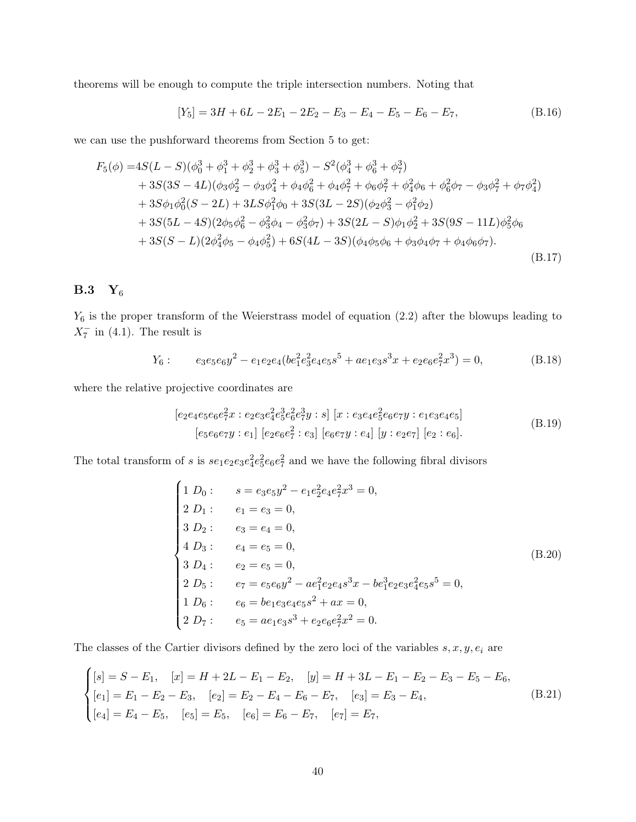theorems will be enough to compute the triple intersection numbers. Noting that

$$
[Y_5] = 3H + 6L - 2E_1 - 2E_2 - E_3 - E_4 - E_5 - E_6 - E_7,
$$
\n(B.16)

we can use the pushforward theorems from Section [5](#page-16-0) to get:

$$
F_5(\phi) = 4S(L - S)(\phi_0^3 + \phi_1^3 + \phi_2^3 + \phi_3^3 + \phi_5^3) - S^2(\phi_4^3 + \phi_6^3 + \phi_7^3)
$$
  
+ 3S(3S – 4L)(\phi\_3\phi\_2^2 - \phi\_3\phi\_4^2 + \phi\_4\phi\_6^2 + \phi\_4\phi\_7^2 + \phi\_6\phi\_7^2 + \phi\_4^2\phi\_6 + \phi\_6^2\phi\_7 - \phi\_3\phi\_7^2 + \phi\_7\phi\_4^2)  
+ 3S\phi\_1\phi\_0^2(S - 2L) + 3LS\phi\_1^2\phi\_0 + 3S(3L - 2S)(\phi\_2\phi\_3^2 - \phi\_1^2\phi\_2)  
+ 3S(5L - 4S)(2\phi\_5\phi\_6^2 - \phi\_3^2\phi\_4 - \phi\_3^2\phi\_7) + 3S(2L - S)\phi\_1\phi\_2^2 + 3S(9S - 11L)\phi\_5^2\phi\_6  
+ 3S(S - L)(2\phi\_4^2\phi\_5 - \phi\_4\phi\_5^2) + 6S(4L - 3S)(\phi\_4\phi\_5\phi\_6 + \phi\_3\phi\_4\phi\_7 + \phi\_4\phi\_6\phi\_7). (B.17)

## <span id="page-40-0"></span> $B.3 Y_6$

 $Y_6$  is the proper transform of the Weierstrass model of equation [\(2.2\)](#page-4-2) after the blowups leading to  $X_7^-$  in [\(4.1\)](#page-14-1). The result is

$$
Y_6: \qquad e_3e_5e_6y^2 - e_1e_2e_4(be_1^2e_3^2e_4e_5s^5 + ae_1e_3s^3x + e_2e_6e_7^2x^3) = 0,\tag{B.18}
$$

where the relative projective coordinates are

$$
[e_2e_4e_5e_6e_7^2x : e_2e_3e_4^2e_5^3e_6^2e_7^3y : s] [x : e_3e_4e_5^2e_6e_7y : e_1e_3e_4e_5]
$$
  
\n
$$
[e_5e_6e_7y : e_1] [e_2e_6e_7^2 : e_3] [e_6e_7y : e_4] [y : e_2e_7] [e_2 : e_6].
$$
  
\n(B.19)

The total transform of s is  $se_1e_2e_3e_4^2e_5^2e_6e_7^2$  and we have the following fibral divisors

$$
\begin{cases}\n1 D_0: \quad s = e_3 e_5 y^2 - e_1 e_2^2 e_4 e_7^2 x^3 = 0, \\
2 D_1: \quad e_1 = e_3 = 0, \\
3 D_2: \quad e_3 = e_4 = 0, \\
4 D_3: \quad e_4 = e_5 = 0, \\
3 D_4: \quad e_2 = e_5 = 0, \\
2 D_5: \quad e_7 = e_5 e_6 y^2 - a e_1^2 e_2 e_4 s^3 x - b e_1^3 e_2 e_3 e_4^2 e_5 s^5 = 0, \\
1 D_6: \quad e_6 = b e_1 e_3 e_4 e_5 s^2 + a x = 0, \\
2 D_7: \quad e_5 = a e_1 e_3 s^3 + e_2 e_6 e_7^2 x^2 = 0.\n\end{cases} (B.20)
$$

The classes of the Cartier divisors defined by the zero loci of the variables  $s, x, y, e_i$  are

$$
\begin{cases}\n[s] = S - E_1, & [x] = H + 2L - E_1 - E_2, & [y] = H + 3L - E_1 - E_2 - E_3 - E_5 - E_6, \\
[e_1] = E_1 - E_2 - E_3, & [e_2] = E_2 - E_4 - E_6 - E_7, & [e_3] = E_3 - E_4, \\
[e_4] = E_4 - E_5, & [e_5] = E_5, & [e_6] = E_6 - E_7, & [e_7] = E_7,\n\end{cases}\n\tag{B.21}
$$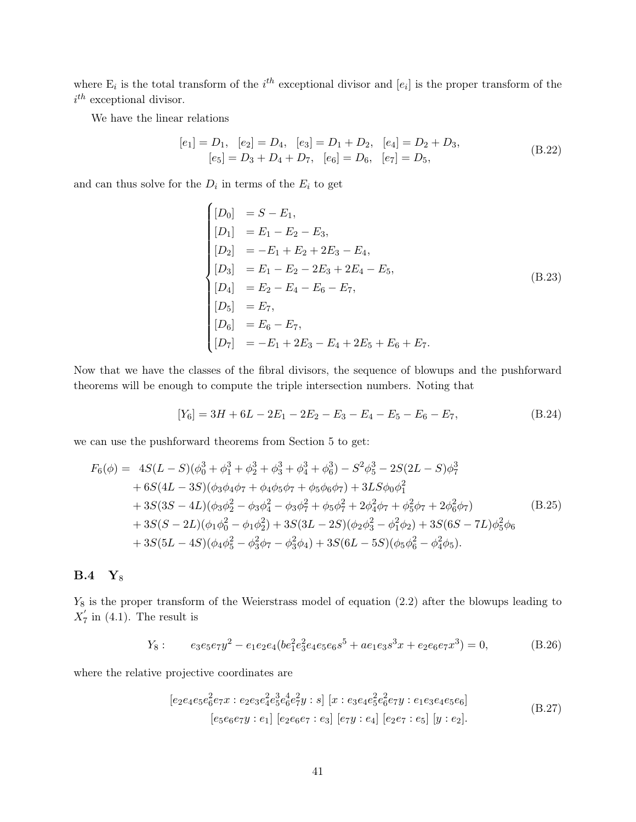where  $E_i$  is the total transform of the  $i^{th}$  exceptional divisor and  $[e_i]$  is the proper transform of the  $i^{th}$  exceptional divisor.

We have the linear relations

$$
[e_1] = D_1, \quad [e_2] = D_4, \quad [e_3] = D_1 + D_2, \quad [e_4] = D_2 + D_3,
$$
  

$$
[e_5] = D_3 + D_4 + D_7, \quad [e_6] = D_6, \quad [e_7] = D_5,
$$
 (B.22)

and can thus solve for the  $D_i$  in terms of the  $E_i$  to get  $\overline{\phantom{a}}$ 

$$
\begin{cases}\n[D_0] &= S - E_1, \\
[D_1] &= E_1 - E_2 - E_3, \\
[D_2] &= -E_1 + E_2 + 2E_3 - E_4, \\
[D_3] &= E_1 - E_2 - 2E_3 + 2E_4 - E_5, \\
[D_4] &= E_2 - E_4 - E_6 - E_7, \\
[D_5] &= E_7, \\
[D_6] &= E_6 - E_7, \\
[D_7] &= -E_1 + 2E_3 - E_4 + 2E_5 + E_6 + E_7.\n\end{cases} (B.23)
$$

Now that we have the classes of the fibral divisors, the sequence of blowups and the pushforward theorems will be enough to compute the triple intersection numbers. Noting that

$$
[Y_6] = 3H + 6L - 2E_1 - 2E_2 - E_3 - E_4 - E_5 - E_6 - E_7,
$$
\n(B.24)

we can use the pushforward theorems from Section [5](#page-16-0) to get:

$$
F_6(\phi) = 4S(L - S)(\phi_0^3 + \phi_1^3 + \phi_2^3 + \phi_3^3 + \phi_4^3 + \phi_6^3) - S^2 \phi_5^3 - 2S(2L - S)\phi_7^3
$$
  
+ 6S(4L - 3S)(\phi\_3\phi\_4\phi\_7 + \phi\_4\phi\_5\phi\_7 + \phi\_5\phi\_6\phi\_7) + 3LS\phi\_0\phi\_1^2  
+ 3S(3S - 4L)(\phi\_3\phi\_2^2 - \phi\_3\phi\_4^2 - \phi\_3\phi\_7^2 + \phi\_5\phi\_7^2 + 2\phi\_4^2\phi\_7 + \phi\_5^2\phi\_7 + 2\phi\_6^2\phi\_7)  
+ 3S(S - 2L)(\phi\_1\phi\_0^2 - \phi\_1\phi\_2^2) + 3S(3L - 2S)(\phi\_2\phi\_3^2 - \phi\_1^2\phi\_2) + 3S(6S - 7L)\phi\_5^2\phi\_6  
+ 3S(5L - 4S)(\phi\_4\phi\_5^2 - \phi\_3^2\phi\_7 - \phi\_3^2\phi\_4) + 3S(6L - 5S)(\phi\_5\phi\_6^2 - \phi\_4^2\phi\_5).

#### <span id="page-41-0"></span>**B.4** Y<sub>8</sub>

 $Y_8$  is the proper transform of the Weierstrass model of equation  $(2.2)$  after the blowups leading to  $X'_7$  $\frac{7}{7}$  in [\(4.1\)](#page-14-1). The result is

$$
Y_8: \qquad e_3e_5e_7y^2 - e_1e_2e_4(be_1^2e_3^2e_4e_5e_6s^5 + ae_1e_3s^3x + e_2e_6e_7x^3) = 0,\tag{B.26}
$$

where the relative projective coordinates are

$$
[e_2e_4e_5e_6^2e_7x : e_2e_3e_4^2e_5^3e_6^4e_7^2y : s] [x : e_3e_4e_5^2e_6^2e_7y : e_1e_3e_4e_5e_6]
$$
  
\n
$$
[e_5e_6e_7y : e_1] [e_2e_6e_7 : e_3] [e_7y : e_4] [e_2e_7 : e_5] [y : e_2].
$$
  
\n(B.27)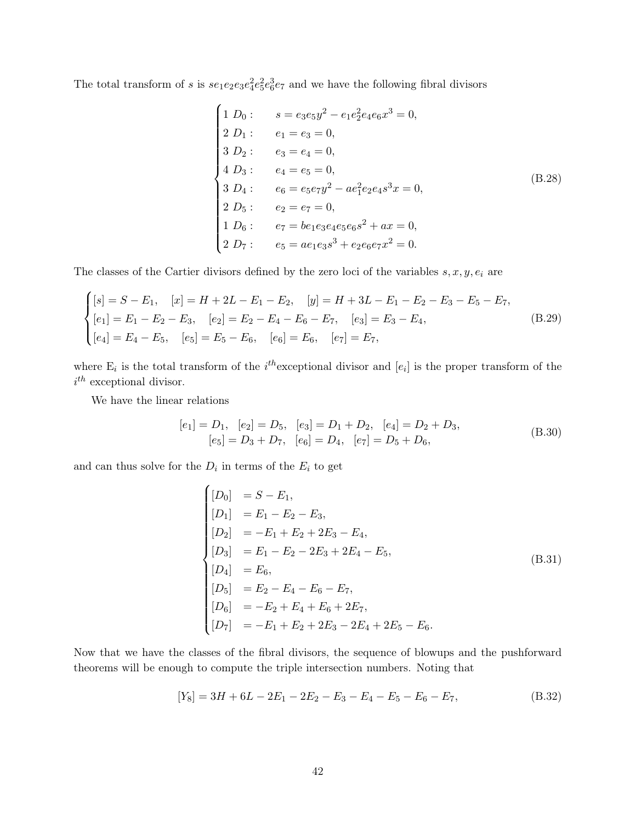The total transform of s is  $se_1e_2e_3e_4^2e_5^2e_6^3e_7$  and we have the following fibral divisors

$$
\begin{cases}\n1 D_0: \quad s = e_3 e_5 y^2 - e_1 e_2^2 e_4 e_6 x^3 = 0, \\
2 D_1: \quad e_1 = e_3 = 0, \\
3 D_2: \quad e_3 = e_4 = 0, \\
4 D_3: \quad e_4 = e_5 = 0, \\
3 D_4: \quad e_6 = e_5 e_7 y^2 - a e_1^2 e_2 e_4 s^3 x = 0, \\
2 D_5: \quad e_2 = e_7 = 0, \\
1 D_6: \quad e_7 = be_1 e_3 e_4 e_5 e_6 s^2 + ax = 0, \\
2 D_7: \quad e_5 = a e_1 e_3 s^3 + e_2 e_6 e_7 x^2 = 0.\n\end{cases} (B.28)
$$

The classes of the Cartier divisors defined by the zero loci of the variables  $s, x, y, e_i$  are

$$
\begin{cases}\n[s] = S - E_1, & [x] = H + 2L - E_1 - E_2, \quad [y] = H + 3L - E_1 - E_2 - E_3 - E_5 - E_7, \\
[e_1] = E_1 - E_2 - E_3, & [e_2] = E_2 - E_4 - E_6 - E_7, \quad [e_3] = E_3 - E_4, \\
[e_4] = E_4 - E_5, & [e_5] = E_5 - E_6, \quad [e_6] = E_6, \quad [e_7] = E_7,\n\end{cases}\n\tag{B.29}
$$

where  $E_i$  is the total transform of the *i*<sup>th</sup> exceptional divisor and  $[e_i]$  is the proper transform of the  $i^{th}$  exceptional divisor.

We have the linear relations

$$
[e_1] = D_1, \quad [e_2] = D_5, \quad [e_3] = D_1 + D_2, \quad [e_4] = D_2 + D_3,
$$
  

$$
[e_5] = D_3 + D_7, \quad [e_6] = D_4, \quad [e_7] = D_5 + D_6,
$$
 (B.30)

and can thus solve for the  $D_i$  in terms of the  $E_i$  to get

$$
\begin{cases}\n[D_0] &= S - E_1, \\
[D_1] &= E_1 - E_2 - E_3, \\
[D_2] &= -E_1 + E_2 + 2E_3 - E_4, \\
[D_3] &= E_1 - E_2 - 2E_3 + 2E_4 - E_5, \\
[D_4] &= E_6, \\
[D_5] &= E_2 - E_4 - E_6 - E_7, \\
[D_6] &= -E_2 + E_4 + E_6 + 2E_7, \\
[D_7] &= -E_1 + E_2 + 2E_3 - 2E_4 + 2E_5 - E_6.\n\end{cases}
$$
\n(8.31)

Now that we have the classes of the fibral divisors, the sequence of blowups and the pushforward theorems will be enough to compute the triple intersection numbers. Noting that

$$
[Y_8] = 3H + 6L - 2E_1 - 2E_2 - E_3 - E_4 - E_5 - E_6 - E_7,
$$
\n(B.32)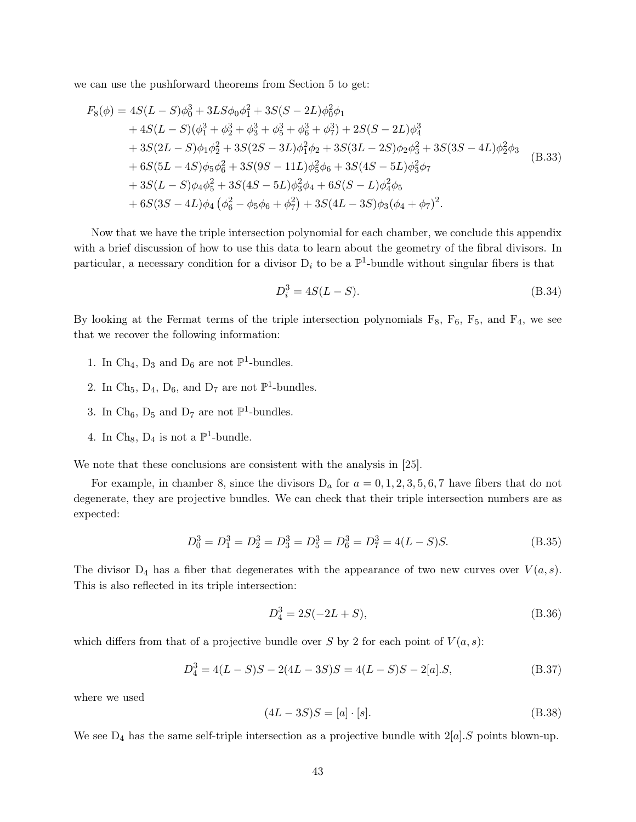we can use the pushforward theorems from Section [5](#page-16-0) to get:

$$
F_8(\phi) = 4S(L - S)\phi_0^3 + 3LS\phi_0\phi_1^2 + 3S(S - 2L)\phi_0^2\phi_1
$$
  
+4S(L - S)(\phi\_1^3 + \phi\_2^3 + \phi\_3^3 + \phi\_5^3 + \phi\_6^3 + \phi\_7^3) + 2S(S - 2L)\phi\_4^3  
+3S(2L - S)\phi\_1\phi\_2^2 + 3S(2S - 3L)\phi\_1^2\phi\_2 + 3S(3L - 2S)\phi\_2\phi\_3^2 + 3S(3S - 4L)\phi\_2^2\phi\_3  
+6S(5L - 4S)\phi\_5\phi\_6^2 + 3S(9S - 11L)\phi\_5^2\phi\_6 + 3S(4S - 5L)\phi\_3^2\phi\_7  
+3S(L - S)\phi\_4\phi\_5^2 + 3S(4S - 5L)\phi\_3^2\phi\_4 + 6S(S - L)\phi\_4^2\phi\_5  
+6S(3S - 4L)\phi\_4(\phi\_6^2 - \phi\_5\phi\_6 + \phi\_7^2) + 3S(4L - 3S)\phi\_3(\phi\_4 + \phi\_7)^2.

Now that we have the triple intersection polynomial for each chamber, we conclude this appendix with a brief discussion of how to use this data to learn about the geometry of the fibral divisors. In particular, a necessary condition for a divisor  $D_i$  to be a  $\mathbb{P}^1$ -bundle without singular fibers is that

$$
D_i^3 = 4S(L - S). \tag{B.34}
$$

By looking at the Fermat terms of the triple intersection polynomials  $F_8$ ,  $F_6$ ,  $F_5$ , and  $F_4$ , we see that we recover the following information:

- 1. In Ch<sub>4</sub>,  $D_3$  and  $D_6$  are not  $\mathbb{P}^1$ -bundles.
- 2. In Ch<sub>5</sub>, D<sub>4</sub>, D<sub>6</sub>, and D<sub>7</sub> are not  $\mathbb{P}^1$ -bundles.
- 3. In Ch<sub>6</sub>,  $D_5$  and  $D_7$  are not  $\mathbb{P}^1$ -bundles.
- 4. In Ch<sub>8</sub>,  $D_4$  is not a  $\mathbb{P}^1$ -bundle.

We note that these conclusions are consistent with the analysis in [\[25\]](#page-50-1).

For example, in chamber 8, since the divisors  $D_a$  for  $a = 0, 1, 2, 3, 5, 6, 7$  have fibers that do not degenerate, they are projective bundles. We can check that their triple intersection numbers are as expected:

$$
D_0^3 = D_1^3 = D_2^3 = D_3^3 = D_5^3 = D_6^3 = D_7^3 = 4(L - S)S.
$$
 (B.35)

The divisor  $D_4$  has a fiber that degenerates with the appearance of two new curves over  $V(a, s)$ . This is also reflected in its triple intersection:

$$
D_4^3 = 2S(-2L + S),\tag{B.36}
$$

which differs from that of a projective bundle over S by 2 for each point of  $V(a,s)$ :

$$
D_4^3 = 4(L - S)S - 2(4L - 3S)S = 4(L - S)S - 2[a].S,
$$
\n(B.37)

where we used

$$
(4L - 3S)S = [a] \cdot [s].
$$
\n(B.38)

We see  $D_4$  has the same self-triple intersection as a projective bundle with  $2[a].S$  points blown-up.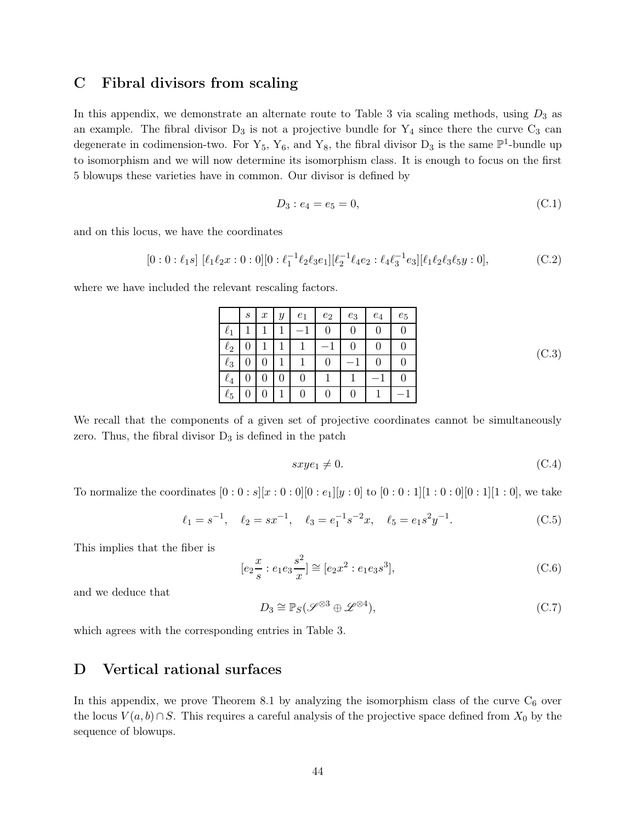## <span id="page-44-0"></span>C Fibral divisors from scaling

In this appendix, we demonstrate an alternate route to Table [3](#page-19-1) via scaling methods, using  $D_3$  as an example. The fibral divisor  $D_3$  is not a projective bundle for  $Y_4$  since there the curve  $C_3$  can degenerate in codimension-two. For  $Y_5$ ,  $Y_6$ , and  $Y_8$ , the fibral divisor  $D_3$  is the same  $\mathbb{P}^1$ -bundle up to isomorphism and we will now determine its isomorphism class. It is enough to focus on the first 5 blowups these varieties have in common. Our divisor is defined by

$$
D_3: e_4 = e_5 = 0,
$$
\n(C.1)

and on this locus, we have the coordinates

$$
[0:0:\ell_1 s] [\ell_1 \ell_2 x:0:0][0:\ell_1^{-1} \ell_2 \ell_3 e_1][\ell_2^{-1} \ell_4 e_2:\ell_4 \ell_3^{-1} e_3][\ell_1 \ell_2 \ell_3 \ell_5 y:0], \tag{C.2}
$$

where we have included the relevant rescaling factors.

|          | $\boldsymbol{s}$ | $\boldsymbol{x}$ | $\boldsymbol{y}$ | $e_1$ | $\mathfrak{e}_2$ | $\mathfrak{e}_3$ | $e_4$ | $e_5$ |
|----------|------------------|------------------|------------------|-------|------------------|------------------|-------|-------|
| $\ell_1$ |                  |                  |                  |       |                  | 0                | 0     |       |
| $\ell_2$ |                  |                  |                  |       |                  | 0                | 0     |       |
| $\ell_3$ |                  | 0                |                  |       |                  |                  | 0     |       |
| $\ell_4$ |                  | 0                | 0                | 0     |                  |                  |       |       |
| $\ell_5$ |                  |                  |                  | 0     |                  | 0                |       |       |

(C.3)

We recall that the components of a given set of projective coordinates cannot be simultaneously zero. Thus, the fibral divisor  $D_3$  is defined in the patch

$$
sxye_1 \neq 0. \tag{C.4}
$$

To normalize the coordinates  $[0:0:s][x:0:0][0:e_1][y:0]$  to  $[0:0:1][1:0:0][0:1][1:0]$ , we take

$$
\ell_1 = s^{-1}, \quad \ell_2 = sx^{-1}, \quad \ell_3 = e_1^{-1} s^{-2} x, \quad \ell_5 = e_1 s^2 y^{-1}.
$$
 (C.5)

This implies that the fiber is

$$
[e_2 \frac{x}{s} : e_1 e_3 \frac{s^2}{x}] \cong [e_2 x^2 : e_1 e_3 s^3], \tag{C.6}
$$

and we deduce that

$$
D_3 \cong \mathbb{P}_S(\mathscr{S}^{\otimes 3} \oplus \mathscr{L}^{\otimes 4}),\tag{C.7}
$$

<span id="page-44-1"></span>which agrees with the corresponding entries in Table [3.](#page-19-1)

## D Vertical rational surfaces

In this appendix, we prove Theorem [8.1](#page-24-1) by analyzing the isomorphism class of the curve  $C_6$  over the locus  $V(a, b) \cap S$ . This requires a careful analysis of the projective space defined from  $X_0$  by the sequence of blowups.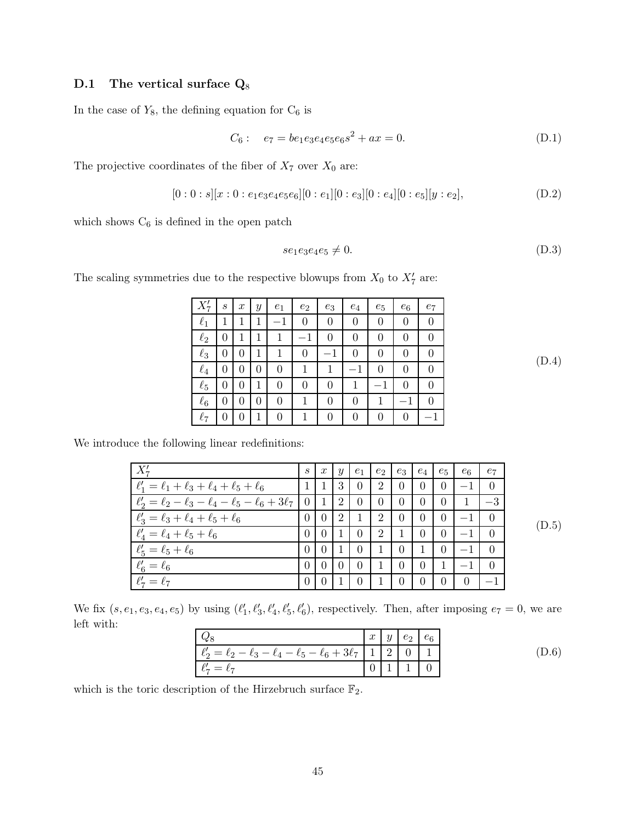## <span id="page-45-0"></span>D.1 The vertical surface  $Q_8$

In the case of  $Y_8,$  the defining equation for  $\mathrm{C}_6$  is

$$
C_6: \quad e_7 = be_1 e_3 e_4 e_5 e_6 s^2 + ax = 0. \tag{D.1}
$$

The projective coordinates of the fiber of  $X_7$  over  $X_0$  are:

$$
[0:0:s][x:0:e_1e_3e_4e_5e_6][0:e_1][0:e_3][0:e_4][0:e_5][y:e_2],
$$
 (D.2)

which shows  $\mathrm{C}_6$  is defined in the open patch

$$
se_1e_3e_4e_5 \neq 0. \tag{D.3}
$$

The scaling symmetries due to the respective blowups from  $X_0$  to  $X'_7$  are:

|          | S        | $\boldsymbol{x}$ | $\boldsymbol{y}$ | $e_1$ | $e_2$    | $e_3$ | $e_4$ | $e_5$            | $e_6$            | $e_7$            |
|----------|----------|------------------|------------------|-------|----------|-------|-------|------------------|------------------|------------------|
| $\ell_1$ |          |                  |                  |       | $^{(1)}$ | 0     | 0     | $\left( \right)$ | 0                |                  |
| $\ell_2$ | 0        | 1                |                  | 1     |          |       | 0     |                  |                  |                  |
| $\ell_3$ | 0        | $\theta$         |                  |       | 0        |       | 0     | ∩                | $\mathbf{0}$     | $\left( \right)$ |
| $\ell_4$ | 0        | 0                | 0                | 0     | 1        |       |       |                  | 0                |                  |
| $\ell_5$ | $\theta$ | $\mathcal{O}$    |                  |       | 0        | 0     |       |                  | $\left( \right)$ |                  |
| $\ell_6$ | 0        | $\theta$         | 0                | 0     |          | 0     | 0     |                  |                  |                  |
| $\ell_7$ | 0        | 0                |                  | 0     |          | 0     | 0     | $\Omega$         | 0                |                  |

We introduce the following linear redefinitions:

| $X'_7$                                                                  | S        | x               | y              | $e_1$    | $e_2$          | $e_3$            | $e_4$    | $e_5$          | $e_6$          | $e_7$    |       |
|-------------------------------------------------------------------------|----------|-----------------|----------------|----------|----------------|------------------|----------|----------------|----------------|----------|-------|
| $\ell'_1 = \ell_1 + \ell_3 + \ell_4 + \ell_5 + \ell_6$                  |          |                 | 3              | $\Omega$ | $\overline{2}$ | $\overline{0}$   | $\Omega$ | $\overline{0}$ |                | $\Omega$ |       |
| $\ell_2' = \ell_2 - \ell_3 - \ell_4 - \ell_5 - \ell_6 + 3\ell_7 \mid 0$ |          | -1              | 2              | $\theta$ | $\theta$       | $\overline{0}$   | $\theta$ | $\theta$       |                | $-3$     |       |
| $\ell'_3 = \ell_3 + \ell_4 + \ell_5 + \ell_6$                           | $\theta$ | $\vert 0 \vert$ | 2              |          | 2              | $\left( \right)$ | $\theta$ | $\theta$       | $-1$           | -0       | (D.5) |
| $\ell'_4 = \ell_4 + \ell_5 + \ell_6$                                    | $\Omega$ | $\Omega$        | $\overline{1}$ | $\theta$ | 2              |                  | $\Omega$ | $\overline{0}$ | $-1$           | $\Omega$ |       |
| $\ell'_5 = \ell_5 + \ell_6$                                             | $\Omega$ | $+0+$           | $\overline{1}$ | $\theta$ |                | $\theta$         |          | $\overline{0}$ |                | $\Omega$ |       |
| $\ell'_6 = \ell_6$                                                      | $\Omega$ | $\theta$        | $\theta$       | $\Omega$ |                | $\theta$         | $\Omega$ |                |                | $\Omega$ |       |
| $\ell'_7=\ell_7$                                                        | $\Omega$ | $\Omega$        |                | $\Omega$ |                | $\Omega$         | $\theta$ | $\overline{0}$ | $\overline{0}$ | $-1$     |       |

We fix  $(s, e_1, e_3, e_4, e_5)$  by using  $(\ell'_1, \ell'_3, \ell'_4, \ell'_5, \ell'_6)$ , respectively. Then, after imposing  $e_7 = 0$ , we are left with:

|                                                                                     | $\boldsymbol{x}$ | y | $e_2$ $e_6$ |  |
|-------------------------------------------------------------------------------------|------------------|---|-------------|--|
| $\ell_2' = \ell_2 - \ell_3 - \ell_4 - \ell_5 - \ell_6 + 3\ell_7 \mid 1 \mid 2 \mid$ |                  |   |             |  |
| $\ell_7'=\ell_7$                                                                    |                  |   |             |  |

(D.6)

(D.4)

which is the toric description of the Hirzebruch surface  $\mathbb{F}_2.$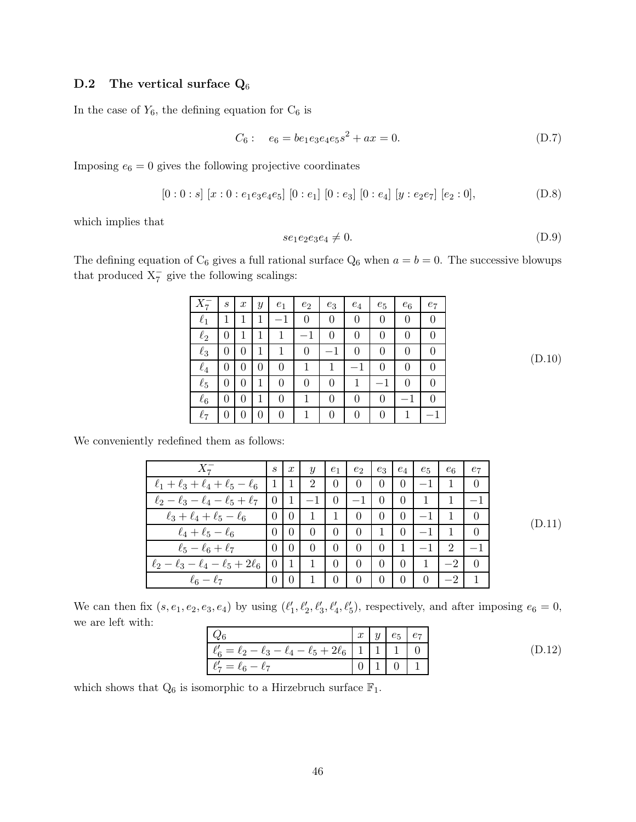## <span id="page-46-0"></span>D.2 The vertical surface  $Q_6$

In the case of  $Y_6$ , the defining equation for  $C_6$  is

$$
C_6: \quad e_6 = be_1 e_3 e_4 e_5 s^2 + ax = 0. \tag{D.7}
$$

Imposing  $e_6 = 0$  gives the following projective coordinates

$$
[0:0:s] [x:0:e_1e_3e_4e_5] [0:e_1] [0:e_3] [0:e_4] [y:e_2e_7] [e_2:0], \qquad (D.8)
$$

which implies that

$$
se_1e_2e_3e_4 \neq 0. \tag{D.9}
$$

The defining equation of  $C_6$  gives a full rational surface  $Q_6$  when  $a = b = 0$ . The successive blowups that produced  $X_7^-$  give the following scalings:

|          | $\boldsymbol{s}$ | $\boldsymbol{x}$ | Y            | $e_1$    | $e_2$    | $e_3$ | $e_4$    | $e_5$    | $e_6$ | $e_7$ |
|----------|------------------|------------------|--------------|----------|----------|-------|----------|----------|-------|-------|
| $\ell_1$ |                  |                  | 1            |          | $\theta$ | 0     | $\Omega$ | $\theta$ | 0     |       |
| $\ell_2$ |                  |                  |              |          | $^{-1}$  |       | 0        |          | 0     |       |
| $\ell_3$ | $\mathcal{O}$    | $\theta$         | 1            |          | 0        |       | 0        |          | 0     |       |
| $\ell_4$ | 0                | $\theta$         | $\mathbf{0}$ | $\theta$ | 1        |       |          | 0        | 0     |       |
| $\ell_5$ |                  | 0                |              | 0        | 0        | 0     |          |          | 0     |       |
| $\ell_6$ | 0                | 0                |              | 0        |          | 0     | 0        | 0        |       |       |
| $\ell_7$ |                  | 0                | 0            | 0        |          | 0     | 0        | 0        |       |       |

(D.10)

We conveniently redefined them as follows:

| $X_{\tau}^-$                                          | S                 | $\boldsymbol{x}$ | $\boldsymbol{y}$ | $e_1$                            | $e_2$          | $e_3$          | $e_4$          | $e_5$    | $e_6$ | $e_7$    |        |
|-------------------------------------------------------|-------------------|------------------|------------------|----------------------------------|----------------|----------------|----------------|----------|-------|----------|--------|
| $\ell_1 + \ell_3 + \ell_4 + \ell_5 - \ell_6$          | $\vert 1 \vert 1$ |                  | $\overline{2}$   | $\overline{0}$                   | $\theta$       | $\overline{0}$ | $\overline{0}$ | $-1$ .   |       | $\Omega$ |        |
| $\ell_2 - \ell_3 - \ell_4 - \ell_5 + \ell_7$   0   1  |                   |                  | $-1$             | $\begin{array}{c} \n\end{array}$ | $-1$ 0         |                | $\overline{0}$ |          |       |          |        |
| $\ell_3 + \ell_4 + \ell_5 - \ell_6$                   | 0 <sub>0</sub>    |                  | $\overline{1}$   | $\cdot$ 1                        | $\overline{0}$ | $\overline{0}$ | $\overline{0}$ | $-1$     |       | $\Omega$ | (D.11) |
| $\ell_4+\ell_5-\ell_6$                                |                   | 0 <sup>1</sup>   | $\overline{0}$   | $\overline{0}$                   | $\Omega$       | $\overline{1}$ | $\overline{0}$ | $-1$     |       | $\Omega$ |        |
| $\ell_5-\ell_6+\ell_7$                                | $\overline{0}$    | $\overline{0}$   | $\overline{0}$   | $\overline{0}$                   | $\Omega$       | $\overline{0}$ | 1              | $-1$     | 2     |          |        |
| $\ell_2 - \ell_3 - \ell_4 - \ell_5 + 2\ell_6$   0   1 |                   |                  | $\overline{1}$   | $\theta$                         | $\theta$       | $\overline{0}$ | $\overline{0}$ | 1        | $-2$  | $\Omega$ |        |
| $\ell_6-\ell_7$                                       |                   | 0 <sub>1</sub>   |                  | $\theta$                         | $\theta$       | $\overline{0}$ | $\theta$       | $\Omega$ |       |          |        |

We can then fix  $(s, e_1, e_2, e_3, e_4)$  by using  $(\ell'_1, \ell'_2, \ell'_3, \ell'_4, \ell'_5)$ , respectively, and after imposing  $e_6 = 0$ , we are left with:

| $Q_6$                                                                   | $x \mid y$ | $e_5$ $e_7$ |        |
|-------------------------------------------------------------------------|------------|-------------|--------|
| $\ell_6' = \ell_2 - \ell_3 - \ell_4 - \ell_5 + 2\ell_6$   1   1   1   0 |            |             | (D.12) |
| $\ell'_7 = \ell_6 - \ell_7$                                             |            |             |        |

which shows that  $Q_6$  is isomorphic to a Hirzebruch surface  $\mathbb{F}_1$ .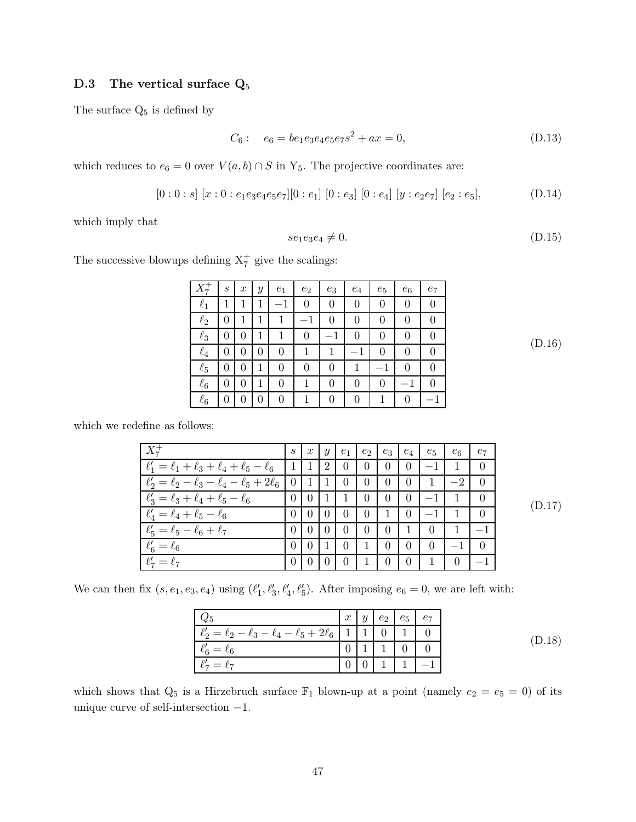## <span id="page-47-0"></span>D.3 The vertical surface  $Q_5$

The surface  $\mathrm{Q}_{5}$  is defined by

$$
C_6: \quad e_6 = be_1 e_3 e_4 e_5 e_7 s^2 + ax = 0,\tag{D.13}
$$

which reduces to  $e_6 = 0$  over  $V(a, b) \cap S$  in Y<sub>5</sub>. The projective coordinates are:

$$
[0:0:s] [x:0:e_1e_3e_4e_5e_7][0:e_1] [0:e_3] [0:e_4] [y:e_2e_7] [e_2:e_5], \qquad (D.14)
$$

which imply that

$$
se_1e_3e_4 \neq 0. \tag{D.15}
$$

The successive blowups defining  $X_7^+$  give the scalings:

|          | $\boldsymbol{s}$ | $\boldsymbol{x}$ | Y | $e_1$    | $e_2$    | $e_3$ | $e_4$        | $e_5$    | $e_6$    | $e_7$ |
|----------|------------------|------------------|---|----------|----------|-------|--------------|----------|----------|-------|
| $\ell_1$ |                  |                  |   | $-1$     | 0        | 0     | 0            | $\theta$ | 0        |       |
| $\ell_2$ | 0                |                  |   |          |          | 0     | 0            | $\theta$ | $\theta$ | 0     |
| $\ell_3$ | 0                | $\theta$         |   |          | $\theta$ |       | $\theta$     | $\theta$ | $\theta$ | 0     |
| $\ell_4$ | 0                | 0                | 0 | 0        | 1        |       |              | $\theta$ | 0        |       |
| $\ell_5$ | 0                | $\theta$         |   | 0        | 0        | 0     |              |          | 0        | 0     |
| $\ell_6$ | $\theta$         | 0                |   | $\theta$ |          | 0     | $\mathbf{0}$ | $\theta$ |          |       |
| $\ell_6$ | 0                | $\mathcal{O}$    | 0 | 0        |          | 0     | 0            |          | 0        |       |

(D.16)

(D.18)

which we redefine as follows:

| $X_7^+$                                                                 | S |  | $\lfloor x \rfloor$ y $\lfloor e_1 \rfloor$ | $+e_2$            | $e_3$          | $e_4$          | $e_5$                            | $e_6$        | $e_7$    |        |
|-------------------------------------------------------------------------|---|--|---------------------------------------------|-------------------|----------------|----------------|----------------------------------|--------------|----------|--------|
| $\ell'_1 = \ell_1 + \ell_3 + \ell_4 + \ell_5 - \ell_6$   1   1   2   0  |   |  |                                             |                   |                |                | $0 \mid 0 \mid -1 \mid$          |              |          |        |
| $\ell_2' = \ell_2 - \ell_3 - \ell_4 - \ell_5 + 2\ell_6$   0   1   1   0 |   |  |                                             | $\overline{0}$    | $\overline{0}$ | $\overline{0}$ | $\begin{array}{cc} \end{array}$  | $-2$         | $\theta$ |        |
| $\ell'_3 = \ell_3 + \ell_4 + \ell_5 - \ell_6$                           |   |  |                                             | 0   0   1   1   0 |                |                | $0 \mid 0 \mid -1 \mid$          |              | -0       | (D.17) |
| $\ell'_4 = \ell_4 + \ell_5 - \ell_6$                                    |   |  | $0 \mid 0 \mid 0 \mid 0$                    | $\overline{0}$    |                | $1 \quad 0$    |                                  |              | $\theta$ |        |
| $\ell'_5 = \ell_5 - \ell_6 + \ell_7$                                    |   |  |                                             | 0   0   0   0   0 |                | $0 \quad 1$    | $\begin{array}{c} 0 \end{array}$ | $\mathbf{1}$ |          |        |
| $\ell'_6=\ell_6$                                                        |   |  | $0 \t 0 \t 1 \t 0$                          | -1                | $\overline{0}$ | $\overline{0}$ | $\overline{0}$                   | $-1$         | - 0      |        |
| $\ell'_7 = \ell_7$                                                      |   |  | $0 0 0 0 0$                                 | $\Box$            | $\overline{0}$ | $\overline{0}$ | $\overline{1}$                   | $\theta$     |          |        |

We can then fix  $(s, e_1, e_3, e_4)$  using  $(\ell'_1, \ell'_3, \ell'_4, \ell'_5)$ . After imposing  $e_6 = 0$ , we are left with:

|                                                             | $x_1$ |  | $y \mid e_2 \mid e_5 \mid e_7$ |  |
|-------------------------------------------------------------|-------|--|--------------------------------|--|
| $\ell'_2 = \ell_2 - \ell_3 - \ell_4 - \ell_5 + 2\ell_6$   1 |       |  |                                |  |
| $\ell'_6=\ell_6$                                            |       |  |                                |  |
| $\ell'_7=\ell_7$                                            |       |  |                                |  |

which shows that  $Q_5$  is a Hirzebruch surface  $\mathbb{F}_1$  blown-up at a point (namely  $e_2 = e_5 = 0$ ) of its unique curve of self-intersection −1.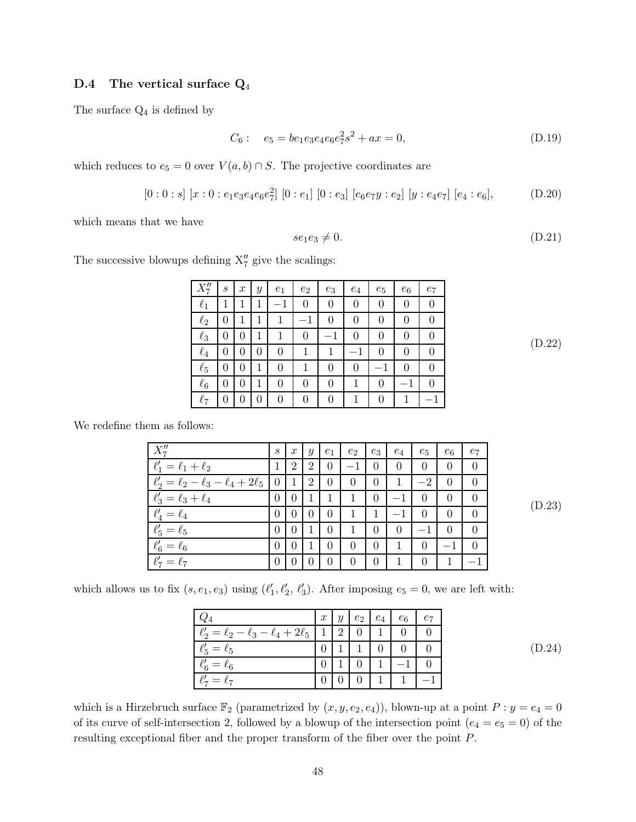#### <span id="page-48-0"></span>D.4 The vertical surface  $Q_4$

The surface  $Q_4$  is defined by

$$
C_6: \quad e_5 = be_1 e_3 e_4 e_6 e_7^2 s^2 + ax = 0,\tag{D.19}
$$

which reduces to  $e_5 = 0$  over  $V(a, b) \cap S$ . The projective coordinates are

$$
[0:0:s] [x:0:e_1e_3e_4e_6e_7^2] [0:e_1] [0:e_3] [e_6e_7y:e_2] [y:e_4e_7] [e_4:e_6], \qquad (D.20)
$$

which means that we have

$$
se_1e_3 \neq 0. \tag{D.21}
$$

The successive blowups defining  $X''_7$  give the scalings:

| $X''_7$  | $\boldsymbol{s}$ | $\boldsymbol{x}$ | Y | $e_1$    | $e_2$ | $e_3$    | $e_4$    | $e_5$ | $e_6$            | $e_7$            |
|----------|------------------|------------------|---|----------|-------|----------|----------|-------|------------------|------------------|
| $\ell_1$ |                  |                  | 1 |          | 0     |          | 0        | 0     |                  | 0                |
| $\ell_2$ | 0                |                  | 1 |          |       |          | 0        | 0     | $\left( \right)$ | $\left( \right)$ |
| $\ell_3$ | 0                | 0                | 1 |          | 0     |          | $\Omega$ | 0     | 0                | 0                |
| $\ell_4$ | 0                | 0                | 0 | $\theta$ |       |          |          | 0     |                  | 0                |
| $\ell_5$ | $\theta$         | 0                | 1 | $\Omega$ |       | $\theta$ | 0        |       | $\theta$         | $\mathbf{0}$     |
| $\ell_6$ | 0                | 0                | 1 | 0        | 0     | $\theta$ |          | 0     |                  | 0                |
| $\ell_7$ | 0                | 0                | 0 | 0        |       |          |          | 0     |                  |                  |

(D.22)

We redefine them as follows:

| $X''_7$                                        | $\mathcal{S}_{0}$ | $\boldsymbol{x}$ | $\boldsymbol{y}$ | $e_1$          | $e_2$    | $e_3$          | $e_4$    | $e_5$            | $e_6$    | $e_7$ |
|------------------------------------------------|-------------------|------------------|------------------|----------------|----------|----------------|----------|------------------|----------|-------|
| $\ell'_1 = \ell_1 + \ell_2$                    | 1                 | $\overline{2}$   | 2                | $\overline{0}$ | $-1$     | $\theta$       | 0        | $\theta$         | $\theta$ |       |
| $\ell'_2 = \ell_2 - \ell_3 - \ell_4 + 2\ell_5$ | $\overline{0}$    | $\mathbf{1}$     | 2                | $\theta$       | 0        | $\overline{0}$ | 1        | $-2$             | $\Omega$ |       |
| $\ell'_3 = \ell_3 + \ell_4$                    | $\theta$          | l 0              |                  | -1             | 1        | $\overline{0}$ |          | $\left( \right)$ | $\theta$ |       |
| $\ell'_4=\ell_4$                               |                   | $\overline{0}$   | $\left($         | $\theta$       |          |                |          | $\left( \right)$ | 0        |       |
| $\ell'_5 = \ell_5$                             | $\Omega$          | l 0              |                  | $\theta$       | 1        | $\Omega$       | $\theta$ |                  | $\theta$ |       |
| $\ell'_6=\ell_6$                               | $\Omega$          | $\theta$         |                  | $\Omega$       | $\theta$ | $\theta$       | 1        | $\Omega$         |          |       |
| $\ell'_7=\ell_7$                               |                   | $\Omega$         | $\Omega$         | $\theta$       | $\Omega$ | $\Omega$       | 1        | $\Omega$         |          |       |

(D.23)

which allows us to fix  $(s, e_1, e_3)$  using  $(\ell'_1, \ell'_2, \ell'_3)$ . After imposing  $e_5 = 0$ , we are left with:

|                                                | $\boldsymbol{x}$ | $\boldsymbol{y}$ | $\mathfrak{e}_2$ | $e_4$ | $e_6$ |  |
|------------------------------------------------|------------------|------------------|------------------|-------|-------|--|
| $\ell_2' = \ell_2 - \ell_3 - \ell_4 + 2\ell_5$ |                  | 2                |                  |       |       |  |
| $\ell'_5 = \ell_5$                             |                  |                  |                  |       |       |  |
| $\ell'_6=\ell_6$                               |                  |                  |                  |       |       |  |
| $\ell'_7 = \ell_7$                             |                  |                  |                  |       |       |  |

(D.24)

which is a Hirzebruch surface  $\mathbb{F}_2$  (parametrized by  $(x, y, e_2, e_4)$ ), blown-up at a point  $P: y = e_4 = 0$ of its curve of self-intersection 2, followed by a blowup of the intersection point  $(e_4 = e_5 = 0)$  of the resulting exceptional fiber and the proper transform of the fiber over the point P.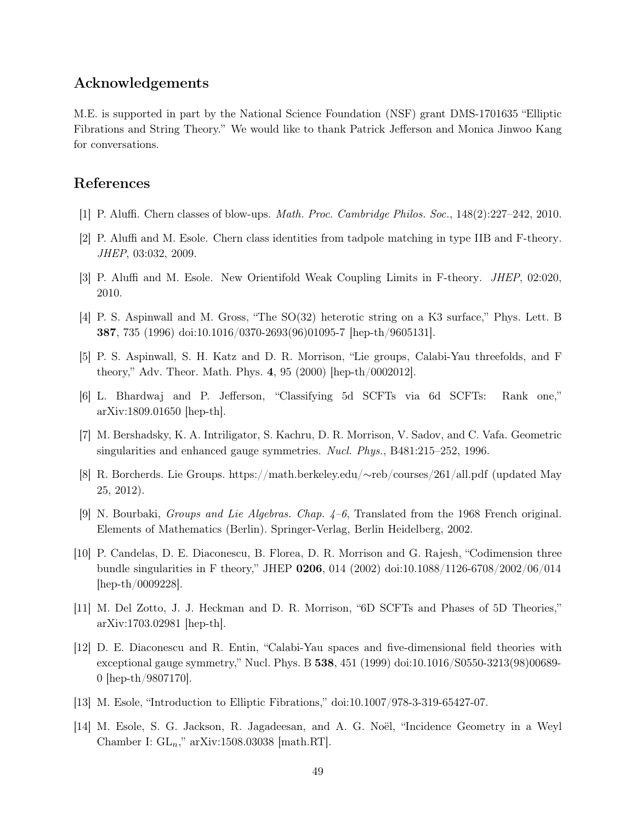## Acknowledgements

M.E. is supported in part by the National Science Foundation (NSF) grant DMS-1701635 "Elliptic Fibrations and String Theory." We would like to thank Patrick Jefferson and Monica Jinwoo Kang for conversations.

## <span id="page-49-4"></span>References

- <span id="page-49-5"></span>[1] P. Aluffi. Chern classes of blow-ups. Math. Proc. Cambridge Philos. Soc., 148(2):227–242, 2010.
- <span id="page-49-6"></span>[2] P. Aluffi and M. Esole. Chern class identities from tadpole matching in type IIB and F-theory. JHEP, 03:032, 2009.
- [3] P. Aluffi and M. Esole. New Orientifold Weak Coupling Limits in F-theory. JHEP, 02:020, 2010.
- [4] P. S. Aspinwall and M. Gross, "The SO(32) heterotic string on a K3 surface," Phys. Lett. B 387, 735 (1996) doi:10.1016/0370-2693(96)01095-7 [hep-th/9605131].
- <span id="page-49-0"></span>[5] P. S. Aspinwall, S. H. Katz and D. R. Morrison, "Lie groups, Calabi-Yau threefolds, and F theory," Adv. Theor. Math. Phys. 4, 95 (2000) [hep-th/0002012].
- [6] L. Bhardwaj and P. Jefferson, "Classifying 5d SCFTs via 6d SCFTs: Rank one," arXiv:1809.01650 [hep-th].
- [7] M. Bershadsky, K. A. Intriligator, S. Kachru, D. R. Morrison, V. Sadov, and C. Vafa. Geometric singularities and enhanced gauge symmetries. Nucl. Phys., B481:215–252, 1996.
- <span id="page-49-3"></span>[8] R. Borcherds. Lie Groups. https://math.berkeley.edu/∼reb/courses/261/all.pdf (updated May 25, 2012).
- <span id="page-49-7"></span>[9] N. Bourbaki, Groups and Lie Algebras. Chap. 4–6, Translated from the 1968 French original. Elements of Mathematics (Berlin). Springer-Verlag, Berlin Heidelberg, 2002.
- [10] P. Candelas, D. E. Diaconescu, B. Florea, D. R. Morrison and G. Rajesh, "Codimension three bundle singularities in F theory," JHEP 0206, 014 (2002) doi:10.1088/1126-6708/2002/06/014 [hep-th/0009228].
- <span id="page-49-2"></span><span id="page-49-1"></span>[11] M. Del Zotto, J. J. Heckman and D. R. Morrison, "6D SCFTs and Phases of 5D Theories," arXiv:1703.02981 [hep-th].
- [12] D. E. Diaconescu and R. Entin, "Calabi-Yau spaces and five-dimensional field theories with exceptional gauge symmetry," Nucl. Phys. B 538, 451 (1999) doi:10.1016/S0550-3213(98)00689- 0 [hep-th/9807170].
- [13] M. Esole, "Introduction to Elliptic Fibrations," doi:10.1007/978-3-319-65427-07.
- [14] M. Esole, S. G. Jackson, R. Jagadeesan, and A. G. Noël, "Incidence Geometry in a Weyl Chamber I:  $GL_n$ ," arXiv:1508.03038 [math.RT].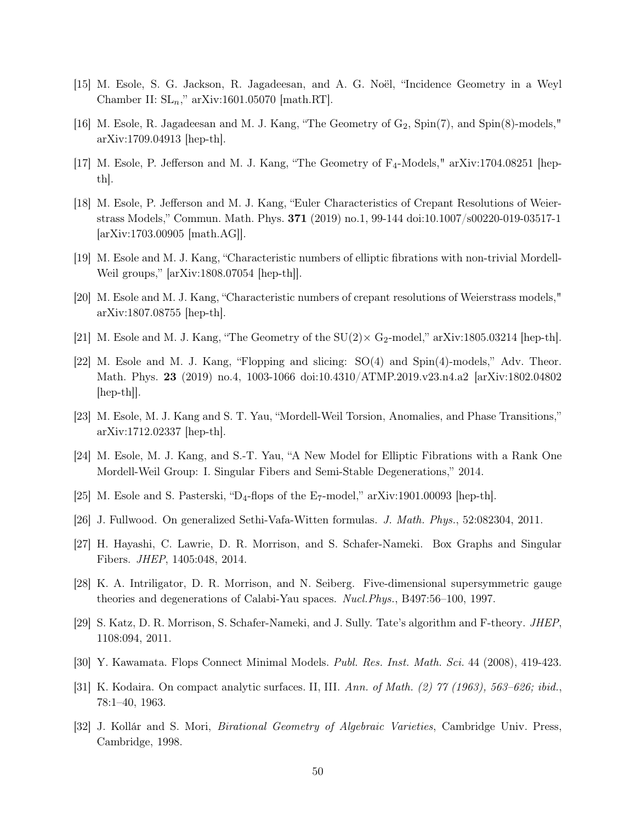- [15] M. Esole, S. G. Jackson, R. Jagadeesan, and A. G. Noël, "Incidence Geometry in a Weyl Chamber II:  $SL_n$ ," arXiv:1601.05070 [math.RT].
- <span id="page-50-6"></span>[16] M. Esole, R. Jagadeesan and M. J. Kang, "The Geometry of  $G_2$ ,  $Spin(7)$ , and  $Spin(8)$ -models," arXiv:1709.04913 [hep-th].
- <span id="page-50-2"></span>[17] M. Esole, P. Jefferson and M. J. Kang, "The Geometry of  $F_4$ -Models," arXiv:1704.08251 [hepth].
- [18] M. Esole, P. Jefferson and M. J. Kang, "Euler Characteristics of Crepant Resolutions of Weierstrass Models," Commun. Math. Phys. 371 (2019) no.1, 99-144 doi:10.1007/s00220-019-03517-1 [arXiv:1703.00905 [math.AG]].
- <span id="page-50-7"></span><span id="page-50-3"></span>[19] M. Esole and M. J. Kang, "Characteristic numbers of elliptic fibrations with non-trivial Mordell-Weil groups," [arXiv:1808.07054 [hep-th]].
- [20] M. Esole and M. J. Kang, "Characteristic numbers of crepant resolutions of Weierstrass models," arXiv:1807.08755 [hep-th].
- [21] M. Esole and M. J. Kang, "The Geometry of the  $SU(2) \times G_2$ -model," arXiv:1805.03214 [hep-th].
- [22] M. Esole and M. J. Kang, "Flopping and slicing: SO(4) and Spin(4)-models," Adv. Theor. Math. Phys. 23 (2019) no.4, 1003-1066 doi:10.4310/ATMP.2019.v23.n4.a2 [arXiv:1802.04802 [hep-th]].
- <span id="page-50-4"></span>[23] M. Esole, M. J. Kang and S. T. Yau, "Mordell-Weil Torsion, Anomalies, and Phase Transitions," arXiv:1712.02337 [hep-th].
- <span id="page-50-1"></span>[24] M. Esole, M. J. Kang, and S.-T. Yau, "A New Model for Elliptic Fibrations with a Rank One Mordell-Weil Group: I. Singular Fibers and Semi-Stable Degenerations," 2014.
- <span id="page-50-5"></span>[25] M. Esole and S. Pasterski, "D<sub>4</sub>-flops of the E<sub>7</sub>-model," arXiv:1901.00093 [hep-th].
- <span id="page-50-0"></span>[26] J. Fullwood. On generalized Sethi-Vafa-Witten formulas. J. Math. Phys., 52:082304, 2011.
- [27] H. Hayashi, C. Lawrie, D. R. Morrison, and S. Schafer-Nameki. Box Graphs and Singular Fibers. JHEP, 1405:048, 2014.
- [28] K. A. Intriligator, D. R. Morrison, and N. Seiberg. Five-dimensional supersymmetric gauge theories and degenerations of Calabi-Yau spaces. Nucl.Phys., B497:56–100, 1997.
- [29] S. Katz, D. R. Morrison, S. Schafer-Nameki, and J. Sully. Tate's algorithm and F-theory. JHEP, 1108:094, 2011.
- [30] Y. Kawamata. Flops Connect Minimal Models. Publ. Res. Inst. Math. Sci. 44 (2008), 419-423.
- [31] K. Kodaira. On compact analytic surfaces. II, III. Ann. of Math. (2) 77 (1963), 563–626; ibid., 78:1–40, 1963.
- [32] J. Kollár and S. Mori, Birational Geometry of Algebraic Varieties, Cambridge Univ. Press, Cambridge, 1998.